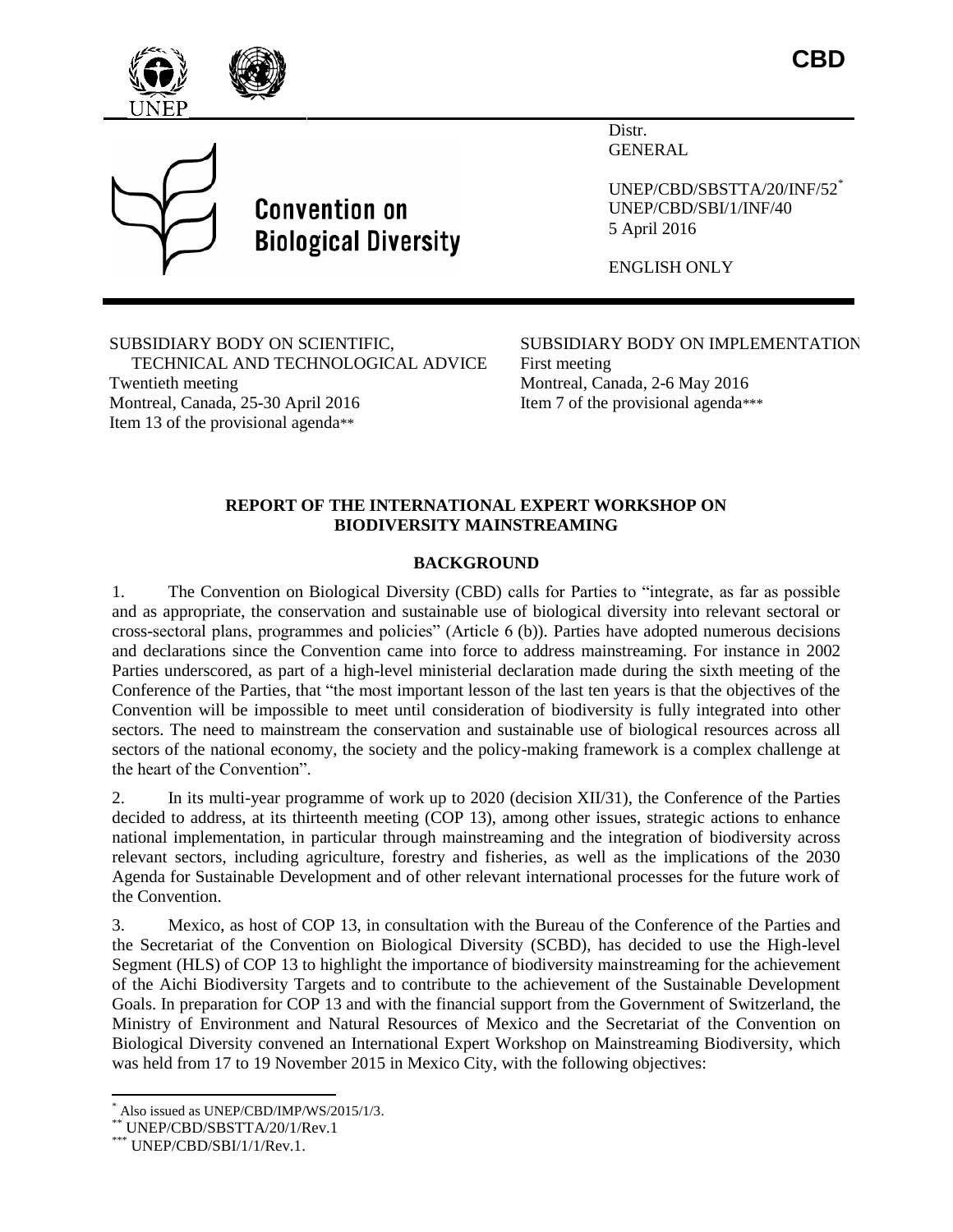



# **Convention on Biological Diversity**

Distr. GENERAL

UNEP/CBD/SBSTTA/20/INF/52\* UNEP/CBD/SBI/1/INF/40 5 April 2016

ENGLISH ONLY

SUBSIDIARY BODY ON SCIENTIFIC, TECHNICAL AND TECHNOLOGICAL ADVICE Twentieth meeting Montreal, Canada, 25-30 April 2016 Item 13 of the provisional agenda\*\*

SUBSIDIARY BODY ON IMPLEMENTATION First meeting Montreal, Canada, 2-6 May 2016 Item 7 of the provisional agenda\*\*\*

# **REPORT OF THE INTERNATIONAL EXPERT WORKSHOP ON BIODIVERSITY MAINSTREAMING**

# **BACKGROUND**

1. The Convention on Biological Diversity (CBD) calls for Parties to "integrate, as far as possible and as appropriate, the conservation and sustainable use of biological diversity into relevant sectoral or cross-sectoral plans, programmes and policies" (Article 6 (b)). Parties have adopted numerous decisions and declarations since the Convention came into force to address mainstreaming. For instance in 2002 Parties underscored, as part of a high-level ministerial declaration made during the sixth meeting of the Conference of the Parties, that "the most important lesson of the last ten years is that the objectives of the Convention will be impossible to meet until consideration of biodiversity is fully integrated into other sectors. The need to mainstream the conservation and sustainable use of biological resources across all sectors of the national economy, the society and the policy-making framework is a complex challenge at the heart of the Convention".

2. In its multi-year programme of work up to 2020 (decision XII/31), the Conference of the Parties decided to address, at its thirteenth meeting (COP 13), among other issues, strategic actions to enhance national implementation, in particular through mainstreaming and the integration of biodiversity across relevant sectors, including agriculture, forestry and fisheries, as well as the implications of the 2030 Agenda for Sustainable Development and of other relevant international processes for the future work of the Convention.

3. Mexico, as host of COP 13, in consultation with the Bureau of the Conference of the Parties and the Secretariat of the Convention on Biological Diversity (SCBD), has decided to use the High-level Segment (HLS) of COP 13 to highlight the importance of biodiversity mainstreaming for the achievement of the Aichi Biodiversity Targets and to contribute to the achievement of the Sustainable Development Goals. In preparation for COP 13 and with the financial support from the Government of Switzerland, the Ministry of Environment and Natural Resources of Mexico and the Secretariat of the Convention on Biological Diversity convened an International Expert Workshop on Mainstreaming Biodiversity, which was held from 17 to 19 November 2015 in Mexico City, with the following objectives:

l Also issued as UNEP/CBD/IMP/WS/2015/1/3.

UNEP/CBD/SBSTTA/20/1/Rev.1

 $*$  UNEP/CBD/SBI/1/1/Rev.1.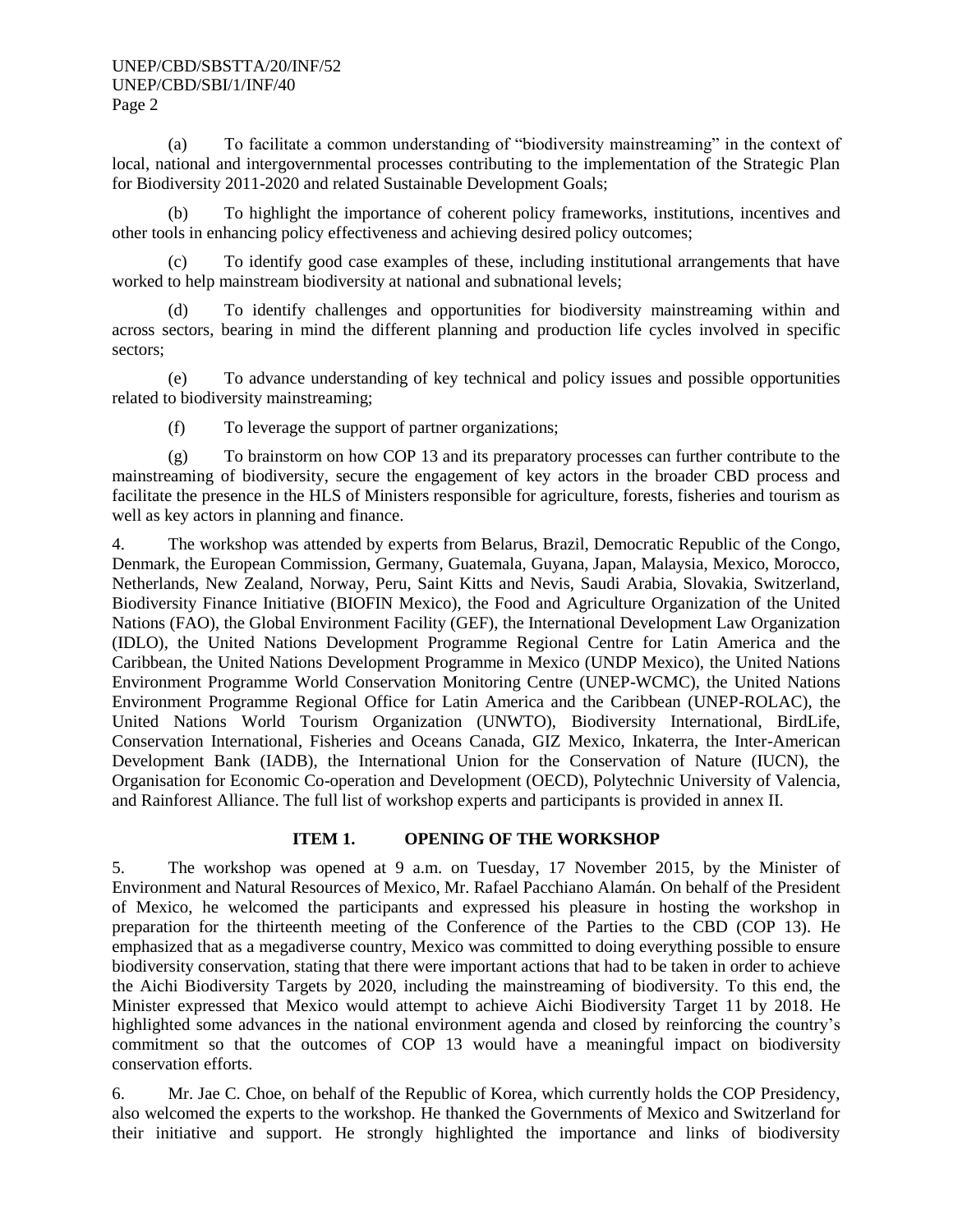(a) To facilitate a common understanding of "biodiversity mainstreaming" in the context of local, national and intergovernmental processes contributing to the implementation of the Strategic Plan for Biodiversity 2011-2020 and related Sustainable Development Goals;

(b) To highlight the importance of coherent policy frameworks, institutions, incentives and other tools in enhancing policy effectiveness and achieving desired policy outcomes;

(c) To identify good case examples of these, including institutional arrangements that have worked to help mainstream biodiversity at national and subnational levels;

(d) To identify challenges and opportunities for biodiversity mainstreaming within and across sectors, bearing in mind the different planning and production life cycles involved in specific sectors;

(e) To advance understanding of key technical and policy issues and possible opportunities related to biodiversity mainstreaming;

(f) To leverage the support of partner organizations;

(g) To brainstorm on how COP 13 and its preparatory processes can further contribute to the mainstreaming of biodiversity, secure the engagement of key actors in the broader CBD process and facilitate the presence in the HLS of Ministers responsible for agriculture, forests, fisheries and tourism as well as key actors in planning and finance.

4. The workshop was attended by experts from Belarus, Brazil, Democratic Republic of the Congo, Denmark, the European Commission, Germany, Guatemala, Guyana, Japan, Malaysia, Mexico, Morocco, Netherlands, New Zealand, Norway, Peru, Saint Kitts and Nevis, Saudi Arabia, Slovakia, Switzerland, Biodiversity Finance Initiative (BIOFIN Mexico), the Food and Agriculture Organization of the United Nations (FAO), the Global Environment Facility (GEF), the International Development Law Organization (IDLO), the United Nations Development Programme Regional Centre for Latin America and the Caribbean, the United Nations Development Programme in Mexico (UNDP Mexico), the United Nations Environment Programme World Conservation Monitoring Centre (UNEP-WCMC), the United Nations Environment Programme Regional Office for Latin America and the Caribbean (UNEP-ROLAC), the United Nations World Tourism Organization (UNWTO), Biodiversity International, BirdLife, Conservation International, Fisheries and Oceans Canada, GIZ Mexico, Inkaterra, the Inter-American Development Bank (IADB), the International Union for the Conservation of Nature (IUCN), the Organisation for Economic Co-operation and Development (OECD), Polytechnic University of Valencia, and Rainforest Alliance. The full list of workshop experts and participants is provided in annex II.

## **ITEM 1. OPENING OF THE WORKSHOP**

5. The workshop was opened at 9 a.m. on Tuesday, 17 November 2015, by the Minister of Environment and Natural Resources of Mexico, Mr. Rafael Pacchiano Alamán. On behalf of the President of Mexico, he welcomed the participants and expressed his pleasure in hosting the workshop in preparation for the thirteenth meeting of the Conference of the Parties to the CBD (COP 13). He emphasized that as a megadiverse country, Mexico was committed to doing everything possible to ensure biodiversity conservation, stating that there were important actions that had to be taken in order to achieve the Aichi Biodiversity Targets by 2020, including the mainstreaming of biodiversity. To this end, the Minister expressed that Mexico would attempt to achieve Aichi Biodiversity Target 11 by 2018. He highlighted some advances in the national environment agenda and closed by reinforcing the country's commitment so that the outcomes of COP 13 would have a meaningful impact on biodiversity conservation efforts.

6. Mr. Jae C. Choe, on behalf of the Republic of Korea, which currently holds the COP Presidency, also welcomed the experts to the workshop. He thanked the Governments of Mexico and Switzerland for their initiative and support. He strongly highlighted the importance and links of biodiversity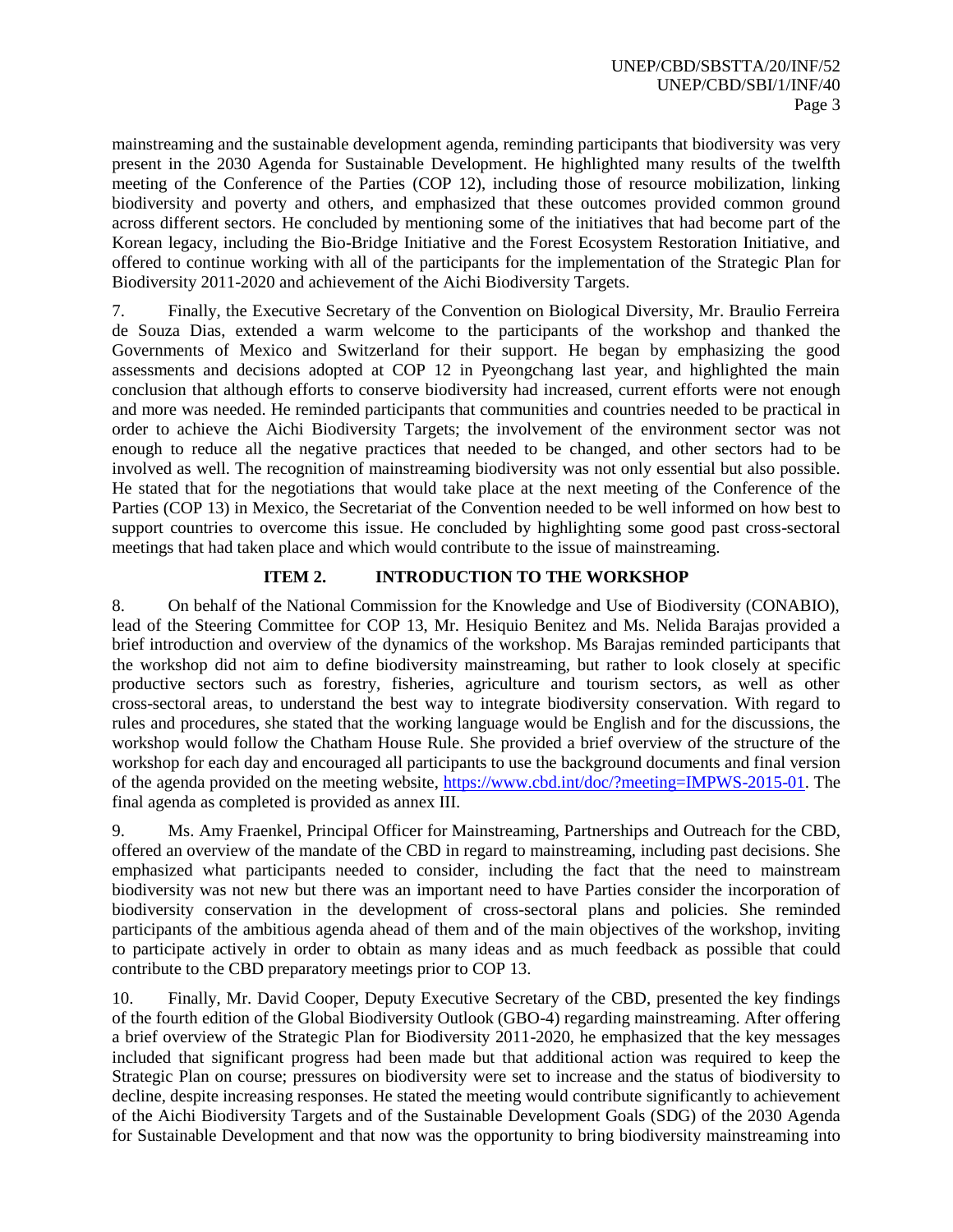mainstreaming and the sustainable development agenda, reminding participants that biodiversity was very present in the 2030 Agenda for Sustainable Development. He highlighted many results of the twelfth meeting of the Conference of the Parties (COP 12), including those of resource mobilization, linking biodiversity and poverty and others, and emphasized that these outcomes provided common ground across different sectors. He concluded by mentioning some of the initiatives that had become part of the Korean legacy, including the Bio-Bridge Initiative and the Forest Ecosystem Restoration Initiative, and offered to continue working with all of the participants for the implementation of the Strategic Plan for Biodiversity 2011-2020 and achievement of the Aichi Biodiversity Targets.

7. Finally, the Executive Secretary of the Convention on Biological Diversity, Mr. Braulio Ferreira de Souza Dias, extended a warm welcome to the participants of the workshop and thanked the Governments of Mexico and Switzerland for their support. He began by emphasizing the good assessments and decisions adopted at COP 12 in Pyeongchang last year, and highlighted the main conclusion that although efforts to conserve biodiversity had increased, current efforts were not enough and more was needed. He reminded participants that communities and countries needed to be practical in order to achieve the Aichi Biodiversity Targets; the involvement of the environment sector was not enough to reduce all the negative practices that needed to be changed, and other sectors had to be involved as well. The recognition of mainstreaming biodiversity was not only essential but also possible. He stated that for the negotiations that would take place at the next meeting of the Conference of the Parties (COP 13) in Mexico, the Secretariat of the Convention needed to be well informed on how best to support countries to overcome this issue. He concluded by highlighting some good past cross-sectoral meetings that had taken place and which would contribute to the issue of mainstreaming.

# **ITEM 2. INTRODUCTION TO THE WORKSHOP**

8. On behalf of the National Commission for the Knowledge and Use of Biodiversity (CONABIO), lead of the Steering Committee for COP 13, Mr. Hesiquio Benitez and Ms. Nelida Barajas provided a brief introduction and overview of the dynamics of the workshop. Ms Barajas reminded participants that the workshop did not aim to define biodiversity mainstreaming, but rather to look closely at specific productive sectors such as forestry, fisheries, agriculture and tourism sectors, as well as other cross-sectoral areas, to understand the best way to integrate biodiversity conservation. With regard to rules and procedures, she stated that the working language would be English and for the discussions, the workshop would follow the Chatham House Rule. She provided a brief overview of the structure of the workshop for each day and encouraged all participants to use the background documents and final version of the agenda provided on the meeting website, [https://www.cbd.int/doc/?meeting=IMPWS-2015-01.](https://www.cbd.int/doc/?meeting=IMPWS-2015-01) The final agenda as completed is provided as annex III.

9. Ms. Amy Fraenkel, Principal Officer for Mainstreaming, Partnerships and Outreach for the CBD, offered an overview of the mandate of the CBD in regard to mainstreaming, including past decisions. She emphasized what participants needed to consider, including the fact that the need to mainstream biodiversity was not new but there was an important need to have Parties consider the incorporation of biodiversity conservation in the development of cross-sectoral plans and policies. She reminded participants of the ambitious agenda ahead of them and of the main objectives of the workshop, inviting to participate actively in order to obtain as many ideas and as much feedback as possible that could contribute to the CBD preparatory meetings prior to COP 13.

10. Finally, Mr. David Cooper, Deputy Executive Secretary of the CBD, presented the key findings of the fourth edition of the Global Biodiversity Outlook (GBO-4) regarding mainstreaming. After offering a brief overview of the Strategic Plan for Biodiversity 2011-2020, he emphasized that the key messages included that significant progress had been made but that additional action was required to keep the Strategic Plan on course; pressures on biodiversity were set to increase and the status of biodiversity to decline, despite increasing responses. He stated the meeting would contribute significantly to achievement of the Aichi Biodiversity Targets and of the Sustainable Development Goals (SDG) of the 2030 Agenda for Sustainable Development and that now was the opportunity to bring biodiversity mainstreaming into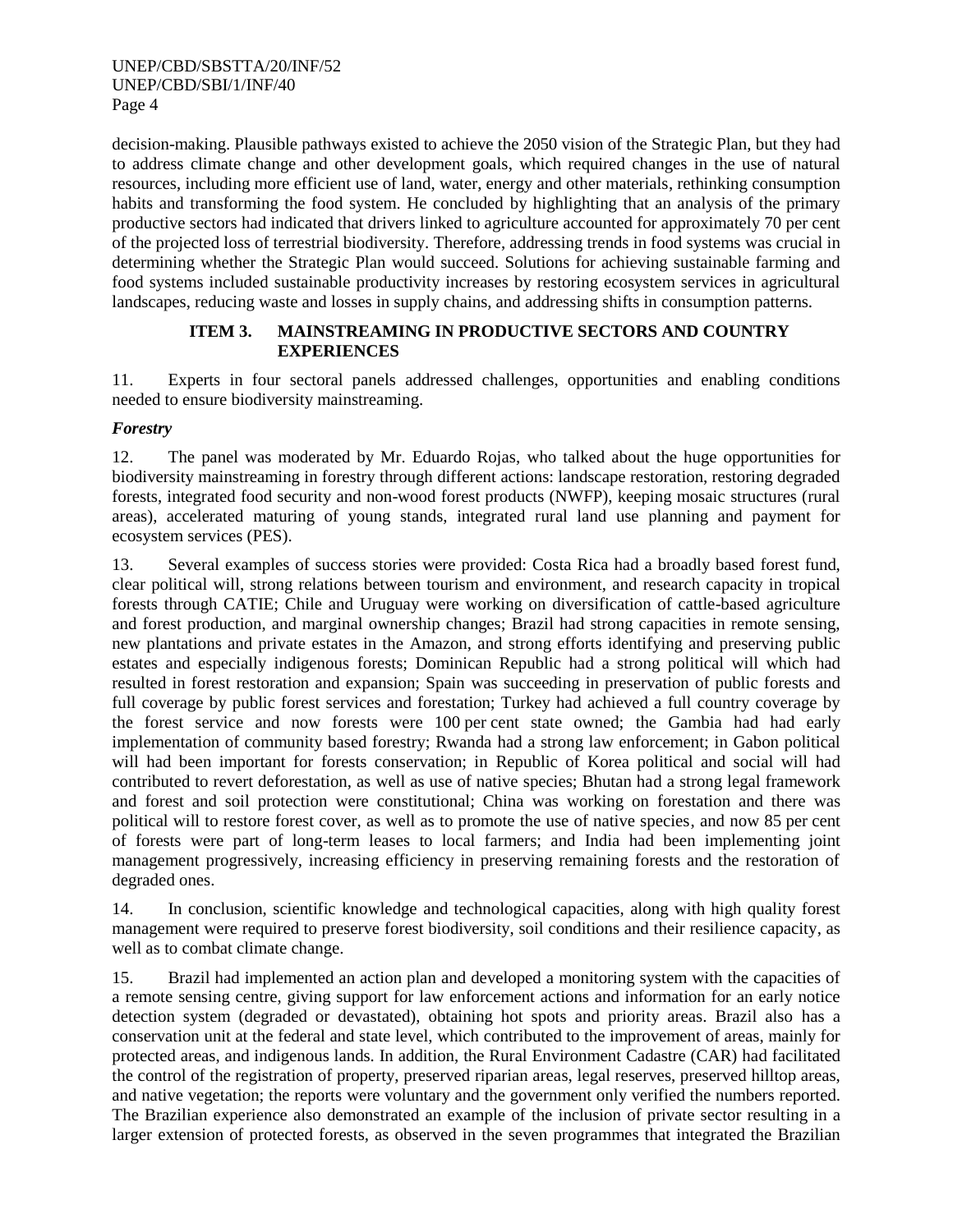decision-making. Plausible pathways existed to achieve the 2050 vision of the Strategic Plan, but they had to address climate change and other development goals, which required changes in the use of natural resources, including more efficient use of land, water, energy and other materials, rethinking consumption habits and transforming the food system. He concluded by highlighting that an analysis of the primary productive sectors had indicated that drivers linked to agriculture accounted for approximately 70 per cent of the projected loss of terrestrial biodiversity. Therefore, addressing trends in food systems was crucial in determining whether the Strategic Plan would succeed. Solutions for achieving sustainable farming and food systems included sustainable productivity increases by restoring ecosystem services in agricultural landscapes, reducing waste and losses in supply chains, and addressing shifts in consumption patterns.

## **ITEM 3. MAINSTREAMING IN PRODUCTIVE SECTORS AND COUNTRY EXPERIENCES**

11. Experts in four sectoral panels addressed challenges, opportunities and enabling conditions needed to ensure biodiversity mainstreaming.

## *Forestry*

12. The panel was moderated by Mr. Eduardo Rojas, who talked about the huge opportunities for biodiversity mainstreaming in forestry through different actions: landscape restoration, restoring degraded forests, integrated food security and non-wood forest products (NWFP), keeping mosaic structures (rural areas), accelerated maturing of young stands, integrated rural land use planning and payment for ecosystem services (PES).

13. Several examples of success stories were provided: Costa Rica had a broadly based forest fund, clear political will, strong relations between tourism and environment, and research capacity in tropical forests through CATIE; Chile and Uruguay were working on diversification of cattle-based agriculture and forest production, and marginal ownership changes; Brazil had strong capacities in remote sensing, new plantations and private estates in the Amazon, and strong efforts identifying and preserving public estates and especially indigenous forests; Dominican Republic had a strong political will which had resulted in forest restoration and expansion; Spain was succeeding in preservation of public forests and full coverage by public forest services and forestation; Turkey had achieved a full country coverage by the forest service and now forests were 100 per cent state owned; the Gambia had had early implementation of community based forestry; Rwanda had a strong law enforcement; in Gabon political will had been important for forests conservation; in Republic of Korea political and social will had contributed to revert deforestation, as well as use of native species; Bhutan had a strong legal framework and forest and soil protection were constitutional; China was working on forestation and there was political will to restore forest cover, as well as to promote the use of native species, and now 85 per cent of forests were part of long-term leases to local farmers; and India had been implementing joint management progressively, increasing efficiency in preserving remaining forests and the restoration of degraded ones.

14. In conclusion, scientific knowledge and technological capacities, along with high quality forest management were required to preserve forest biodiversity, soil conditions and their resilience capacity, as well as to combat climate change.

15. Brazil had implemented an action plan and developed a monitoring system with the capacities of a remote sensing centre, giving support for law enforcement actions and information for an early notice detection system (degraded or devastated), obtaining hot spots and priority areas. Brazil also has a conservation unit at the federal and state level, which contributed to the improvement of areas, mainly for protected areas, and indigenous lands. In addition, the Rural Environment Cadastre (CAR) had facilitated the control of the registration of property, preserved riparian areas, legal reserves, preserved hilltop areas, and native vegetation; the reports were voluntary and the government only verified the numbers reported. The Brazilian experience also demonstrated an example of the inclusion of private sector resulting in a larger extension of protected forests, as observed in the seven programmes that integrated the Brazilian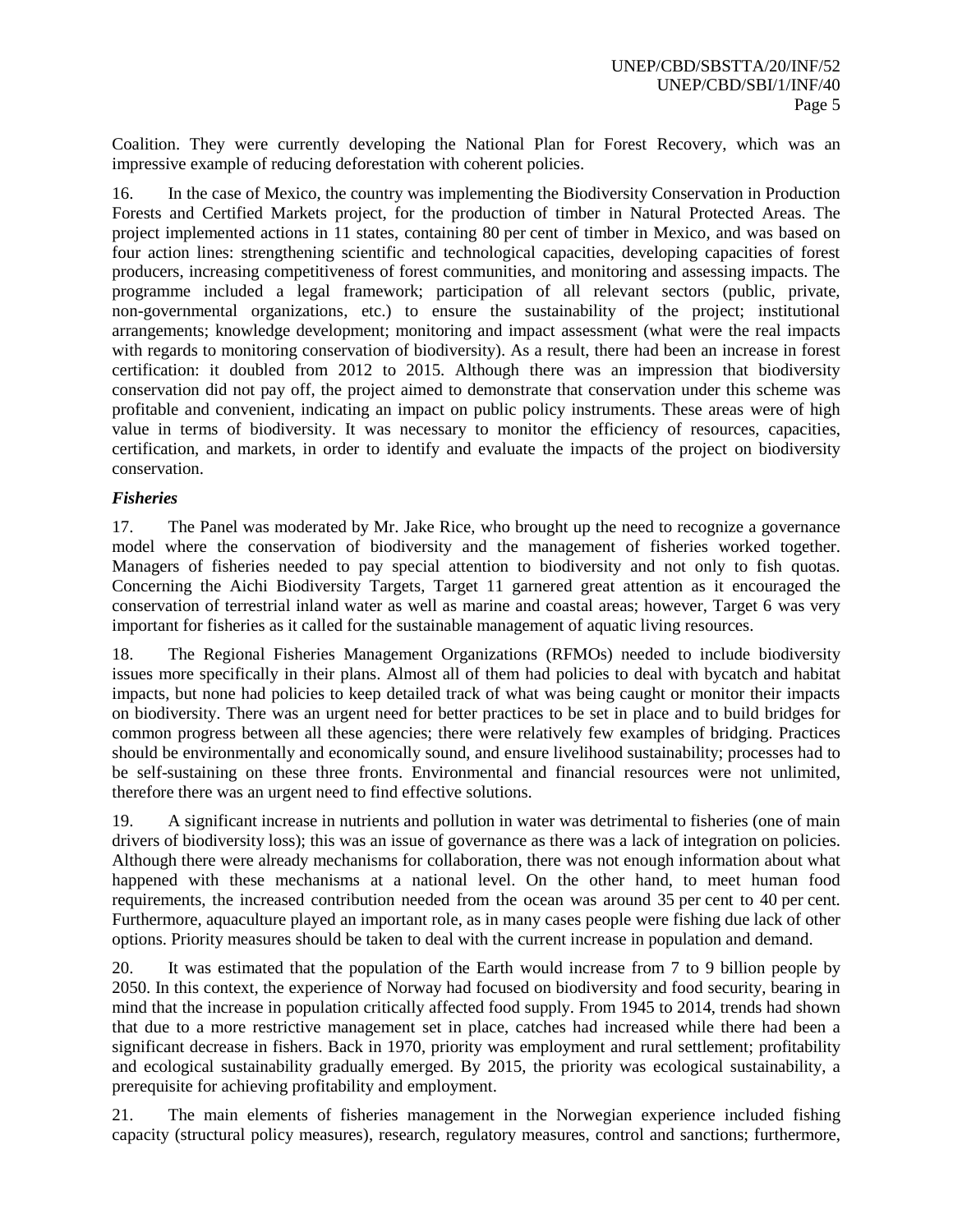Coalition. They were currently developing the National Plan for Forest Recovery, which was an impressive example of reducing deforestation with coherent policies.

16. In the case of Mexico, the country was implementing the Biodiversity Conservation in Production Forests and Certified Markets project, for the production of timber in Natural Protected Areas. The project implemented actions in 11 states, containing 80 per cent of timber in Mexico, and was based on four action lines: strengthening scientific and technological capacities, developing capacities of forest producers, increasing competitiveness of forest communities, and monitoring and assessing impacts. The programme included a legal framework; participation of all relevant sectors (public, private, non-governmental organizations, etc.) to ensure the sustainability of the project; institutional arrangements; knowledge development; monitoring and impact assessment (what were the real impacts with regards to monitoring conservation of biodiversity). As a result, there had been an increase in forest certification: it doubled from 2012 to 2015. Although there was an impression that biodiversity conservation did not pay off, the project aimed to demonstrate that conservation under this scheme was profitable and convenient, indicating an impact on public policy instruments. These areas were of high value in terms of biodiversity. It was necessary to monitor the efficiency of resources, capacities, certification, and markets, in order to identify and evaluate the impacts of the project on biodiversity conservation.

## *Fisheries*

17. The Panel was moderated by Mr. Jake Rice, who brought up the need to recognize a governance model where the conservation of biodiversity and the management of fisheries worked together. Managers of fisheries needed to pay special attention to biodiversity and not only to fish quotas. Concerning the Aichi Biodiversity Targets, Target 11 garnered great attention as it encouraged the conservation of terrestrial inland water as well as marine and coastal areas; however, Target 6 was very important for fisheries as it called for the sustainable management of aquatic living resources.

18. The Regional Fisheries Management Organizations (RFMOs) needed to include biodiversity issues more specifically in their plans. Almost all of them had policies to deal with bycatch and habitat impacts, but none had policies to keep detailed track of what was being caught or monitor their impacts on biodiversity. There was an urgent need for better practices to be set in place and to build bridges for common progress between all these agencies; there were relatively few examples of bridging. Practices should be environmentally and economically sound, and ensure livelihood sustainability; processes had to be self-sustaining on these three fronts. Environmental and financial resources were not unlimited, therefore there was an urgent need to find effective solutions.

19. A significant increase in nutrients and pollution in water was detrimental to fisheries (one of main drivers of biodiversity loss); this was an issue of governance as there was a lack of integration on policies. Although there were already mechanisms for collaboration, there was not enough information about what happened with these mechanisms at a national level. On the other hand, to meet human food requirements, the increased contribution needed from the ocean was around 35 per cent to 40 per cent. Furthermore, aquaculture played an important role, as in many cases people were fishing due lack of other options. Priority measures should be taken to deal with the current increase in population and demand.

20. It was estimated that the population of the Earth would increase from 7 to 9 billion people by 2050. In this context, the experience of Norway had focused on biodiversity and food security, bearing in mind that the increase in population critically affected food supply. From 1945 to 2014, trends had shown that due to a more restrictive management set in place, catches had increased while there had been a significant decrease in fishers. Back in 1970, priority was employment and rural settlement; profitability and ecological sustainability gradually emerged. By 2015, the priority was ecological sustainability, a prerequisite for achieving profitability and employment.

21. The main elements of fisheries management in the Norwegian experience included fishing capacity (structural policy measures), research, regulatory measures, control and sanctions; furthermore,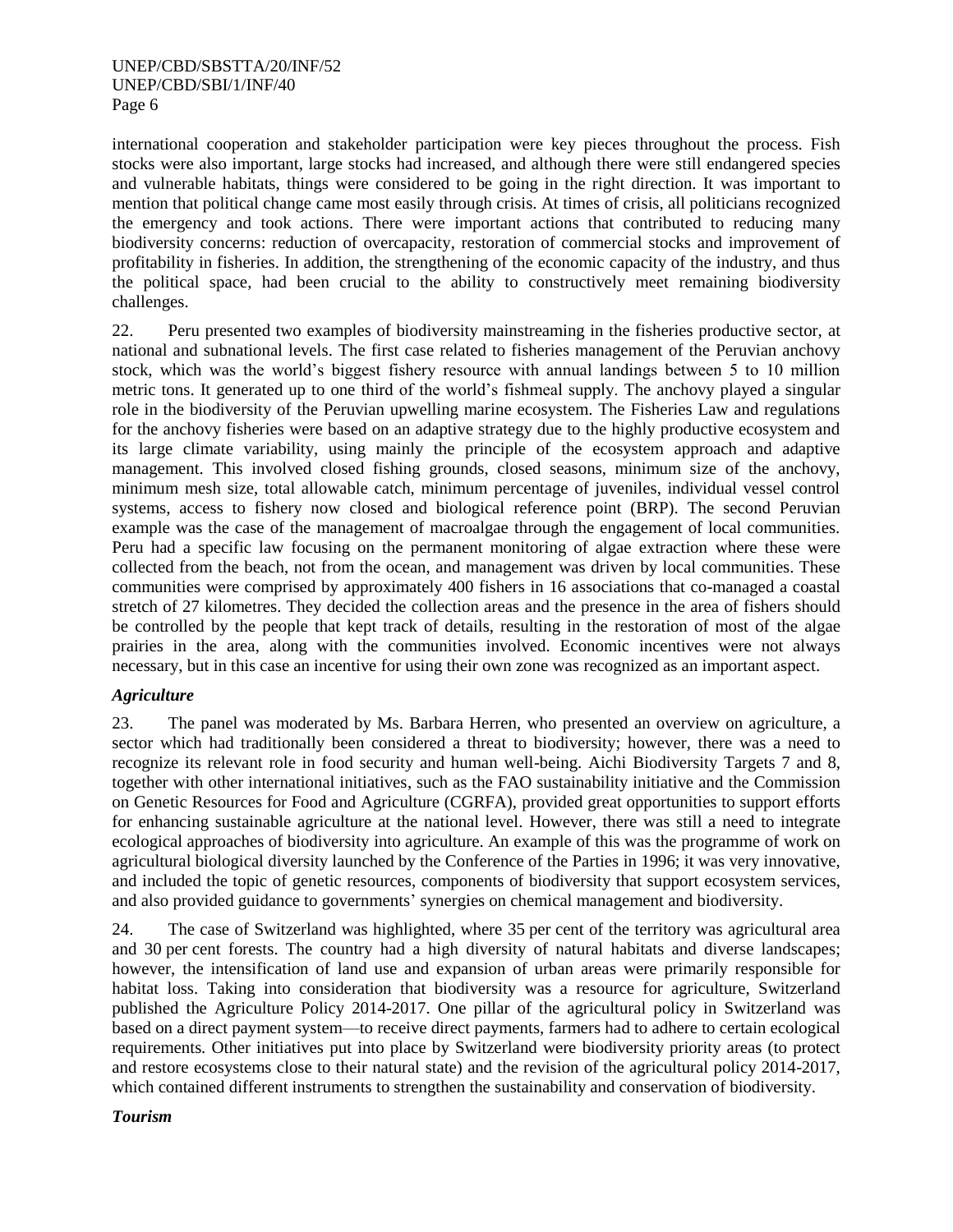international cooperation and stakeholder participation were key pieces throughout the process. Fish stocks were also important, large stocks had increased, and although there were still endangered species and vulnerable habitats, things were considered to be going in the right direction. It was important to mention that political change came most easily through crisis. At times of crisis, all politicians recognized the emergency and took actions. There were important actions that contributed to reducing many biodiversity concerns: reduction of overcapacity, restoration of commercial stocks and improvement of profitability in fisheries. In addition, the strengthening of the economic capacity of the industry, and thus the political space, had been crucial to the ability to constructively meet remaining biodiversity challenges.

22. Peru presented two examples of biodiversity mainstreaming in the fisheries productive sector, at national and subnational levels. The first case related to fisheries management of the Peruvian anchovy stock, which was the world's biggest fishery resource with annual landings between 5 to 10 million metric tons. It generated up to one third of the world's fishmeal supply. The anchovy played a singular role in the biodiversity of the Peruvian upwelling marine ecosystem. The Fisheries Law and regulations for the anchovy fisheries were based on an adaptive strategy due to the highly productive ecosystem and its large climate variability, using mainly the principle of the ecosystem approach and adaptive management. This involved closed fishing grounds, closed seasons, minimum size of the anchovy, minimum mesh size, total allowable catch, minimum percentage of juveniles, individual vessel control systems, access to fishery now closed and biological reference point (BRP). The second Peruvian example was the case of the management of macroalgae through the engagement of local communities. Peru had a specific law focusing on the permanent monitoring of algae extraction where these were collected from the beach, not from the ocean, and management was driven by local communities. These communities were comprised by approximately 400 fishers in 16 associations that co-managed a coastal stretch of 27 kilometres. They decided the collection areas and the presence in the area of fishers should be controlled by the people that kept track of details, resulting in the restoration of most of the algae prairies in the area, along with the communities involved. Economic incentives were not always necessary, but in this case an incentive for using their own zone was recognized as an important aspect.

# *Agriculture*

23. The panel was moderated by Ms. Barbara Herren, who presented an overview on agriculture, a sector which had traditionally been considered a threat to biodiversity; however, there was a need to recognize its relevant role in food security and human well-being. Aichi Biodiversity Targets 7 and 8, together with other international initiatives, such as the FAO sustainability initiative and the Commission on Genetic Resources for Food and Agriculture (CGRFA), provided great opportunities to support efforts for enhancing sustainable agriculture at the national level. However, there was still a need to integrate ecological approaches of biodiversity into agriculture. An example of this was the programme of work on agricultural biological diversity launched by the Conference of the Parties in 1996; it was very innovative, and included the topic of genetic resources, components of biodiversity that support ecosystem services, and also provided guidance to governments' synergies on chemical management and biodiversity.

24. The case of Switzerland was highlighted, where 35 per cent of the territory was agricultural area and 30 per cent forests. The country had a high diversity of natural habitats and diverse landscapes; however, the intensification of land use and expansion of urban areas were primarily responsible for habitat loss. Taking into consideration that biodiversity was a resource for agriculture, Switzerland published the Agriculture Policy 2014-2017. One pillar of the agricultural policy in Switzerland was based on a direct payment system—to receive direct payments, farmers had to adhere to certain ecological requirements. Other initiatives put into place by Switzerland were biodiversity priority areas (to protect and restore ecosystems close to their natural state) and the revision of the agricultural policy 2014-2017, which contained different instruments to strengthen the sustainability and conservation of biodiversity.

## *Tourism*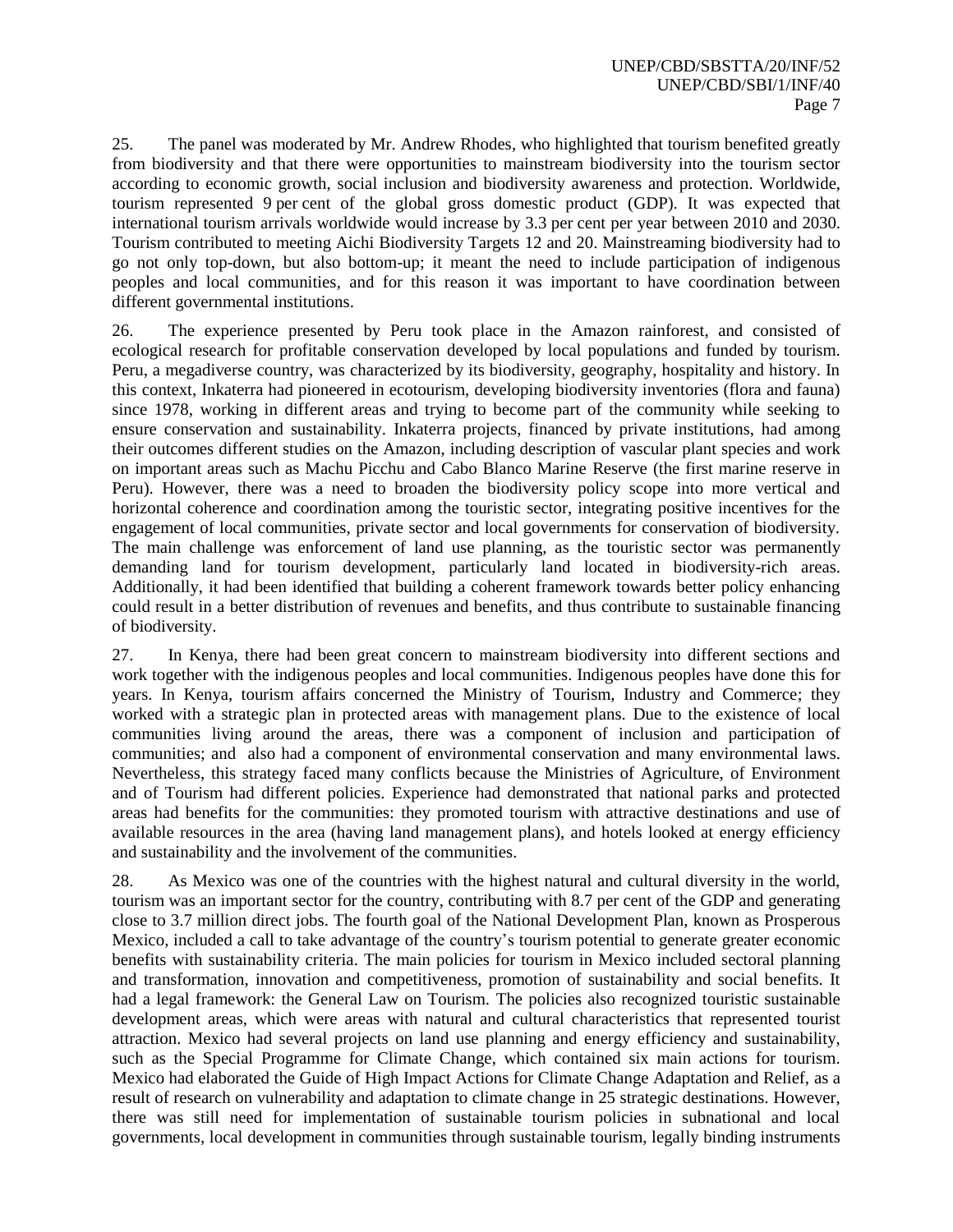25. The panel was moderated by Mr. Andrew Rhodes, who highlighted that tourism benefited greatly from biodiversity and that there were opportunities to mainstream biodiversity into the tourism sector according to economic growth, social inclusion and biodiversity awareness and protection. Worldwide, tourism represented 9 per cent of the global gross domestic product (GDP). It was expected that international tourism arrivals worldwide would increase by 3.3 per cent per year between 2010 and 2030. Tourism contributed to meeting Aichi Biodiversity Targets 12 and 20. Mainstreaming biodiversity had to go not only top-down, but also bottom-up; it meant the need to include participation of indigenous peoples and local communities, and for this reason it was important to have coordination between different governmental institutions.

26. The experience presented by Peru took place in the Amazon rainforest, and consisted of ecological research for profitable conservation developed by local populations and funded by tourism. Peru, a megadiverse country, was characterized by its biodiversity, geography, hospitality and history. In this context, Inkaterra had pioneered in ecotourism, developing biodiversity inventories (flora and fauna) since 1978, working in different areas and trying to become part of the community while seeking to ensure conservation and sustainability. Inkaterra projects, financed by private institutions, had among their outcomes different studies on the Amazon, including description of vascular plant species and work on important areas such as Machu Picchu and Cabo Blanco Marine Reserve (the first marine reserve in Peru). However, there was a need to broaden the biodiversity policy scope into more vertical and horizontal coherence and coordination among the touristic sector, integrating positive incentives for the engagement of local communities, private sector and local governments for conservation of biodiversity. The main challenge was enforcement of land use planning, as the touristic sector was permanently demanding land for tourism development, particularly land located in biodiversity-rich areas. Additionally, it had been identified that building a coherent framework towards better policy enhancing could result in a better distribution of revenues and benefits, and thus contribute to sustainable financing of biodiversity.

27. In Kenya, there had been great concern to mainstream biodiversity into different sections and work together with the indigenous peoples and local communities. Indigenous peoples have done this for years. In Kenya, tourism affairs concerned the Ministry of Tourism, Industry and Commerce; they worked with a strategic plan in protected areas with management plans. Due to the existence of local communities living around the areas, there was a component of inclusion and participation of communities; and also had a component of environmental conservation and many environmental laws. Nevertheless, this strategy faced many conflicts because the Ministries of Agriculture, of Environment and of Tourism had different policies. Experience had demonstrated that national parks and protected areas had benefits for the communities: they promoted tourism with attractive destinations and use of available resources in the area (having land management plans), and hotels looked at energy efficiency and sustainability and the involvement of the communities.

28. As Mexico was one of the countries with the highest natural and cultural diversity in the world, tourism was an important sector for the country, contributing with 8.7 per cent of the GDP and generating close to 3.7 million direct jobs. The fourth goal of the National Development Plan, known as Prosperous Mexico, included a call to take advantage of the country's tourism potential to generate greater economic benefits with sustainability criteria. The main policies for tourism in Mexico included sectoral planning and transformation, innovation and competitiveness, promotion of sustainability and social benefits. It had a legal framework: the General Law on Tourism. The policies also recognized touristic sustainable development areas, which were areas with natural and cultural characteristics that represented tourist attraction. Mexico had several projects on land use planning and energy efficiency and sustainability, such as the Special Programme for Climate Change, which contained six main actions for tourism. Mexico had elaborated the Guide of High Impact Actions for Climate Change Adaptation and Relief, as a result of research on vulnerability and adaptation to climate change in 25 strategic destinations. However, there was still need for implementation of sustainable tourism policies in subnational and local governments, local development in communities through sustainable tourism, legally binding instruments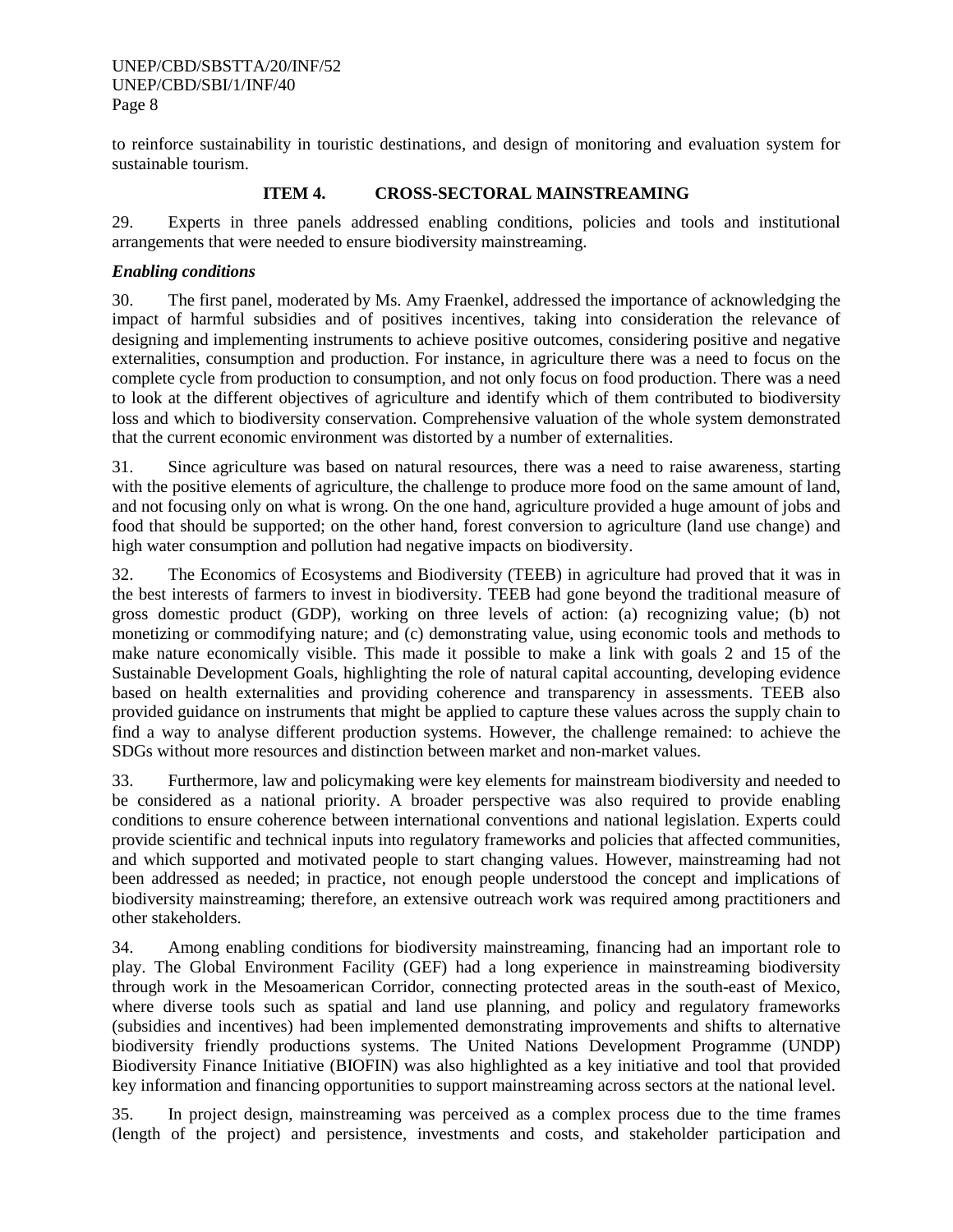to reinforce sustainability in touristic destinations, and design of monitoring and evaluation system for sustainable tourism.

## **ITEM 4. CROSS-SECTORAL MAINSTREAMING**

29. Experts in three panels addressed enabling conditions, policies and tools and institutional arrangements that were needed to ensure biodiversity mainstreaming.

## *Enabling conditions*

30. The first panel, moderated by Ms. Amy Fraenkel, addressed the importance of acknowledging the impact of harmful subsidies and of positives incentives, taking into consideration the relevance of designing and implementing instruments to achieve positive outcomes, considering positive and negative externalities, consumption and production. For instance, in agriculture there was a need to focus on the complete cycle from production to consumption, and not only focus on food production. There was a need to look at the different objectives of agriculture and identify which of them contributed to biodiversity loss and which to biodiversity conservation. Comprehensive valuation of the whole system demonstrated that the current economic environment was distorted by a number of externalities.

31. Since agriculture was based on natural resources, there was a need to raise awareness, starting with the positive elements of agriculture, the challenge to produce more food on the same amount of land, and not focusing only on what is wrong. On the one hand, agriculture provided a huge amount of jobs and food that should be supported; on the other hand, forest conversion to agriculture (land use change) and high water consumption and pollution had negative impacts on biodiversity.

32. The Economics of Ecosystems and Biodiversity (TEEB) in agriculture had proved that it was in the best interests of farmers to invest in biodiversity. TEEB had gone beyond the traditional measure of gross domestic product (GDP), working on three levels of action: (a) recognizing value; (b) not monetizing or commodifying nature; and (c) demonstrating value, using economic tools and methods to make nature economically visible. This made it possible to make a link with goals 2 and 15 of the Sustainable Development Goals, highlighting the role of natural capital accounting, developing evidence based on health externalities and providing coherence and transparency in assessments. TEEB also provided guidance on instruments that might be applied to capture these values across the supply chain to find a way to analyse different production systems. However, the challenge remained: to achieve the SDGs without more resources and distinction between market and non-market values.

33. Furthermore, law and policymaking were key elements for mainstream biodiversity and needed to be considered as a national priority. A broader perspective was also required to provide enabling conditions to ensure coherence between international conventions and national legislation. Experts could provide scientific and technical inputs into regulatory frameworks and policies that affected communities, and which supported and motivated people to start changing values. However, mainstreaming had not been addressed as needed; in practice, not enough people understood the concept and implications of biodiversity mainstreaming; therefore, an extensive outreach work was required among practitioners and other stakeholders.

34. Among enabling conditions for biodiversity mainstreaming, financing had an important role to play. The Global Environment Facility (GEF) had a long experience in mainstreaming biodiversity through work in the Mesoamerican Corridor, connecting protected areas in the south-east of Mexico, where diverse tools such as spatial and land use planning, and policy and regulatory frameworks (subsidies and incentives) had been implemented demonstrating improvements and shifts to alternative biodiversity friendly productions systems. The United Nations Development Programme (UNDP) Biodiversity Finance Initiative (BIOFIN) was also highlighted as a key initiative and tool that provided key information and financing opportunities to support mainstreaming across sectors at the national level.

35. In project design, mainstreaming was perceived as a complex process due to the time frames (length of the project) and persistence, investments and costs, and stakeholder participation and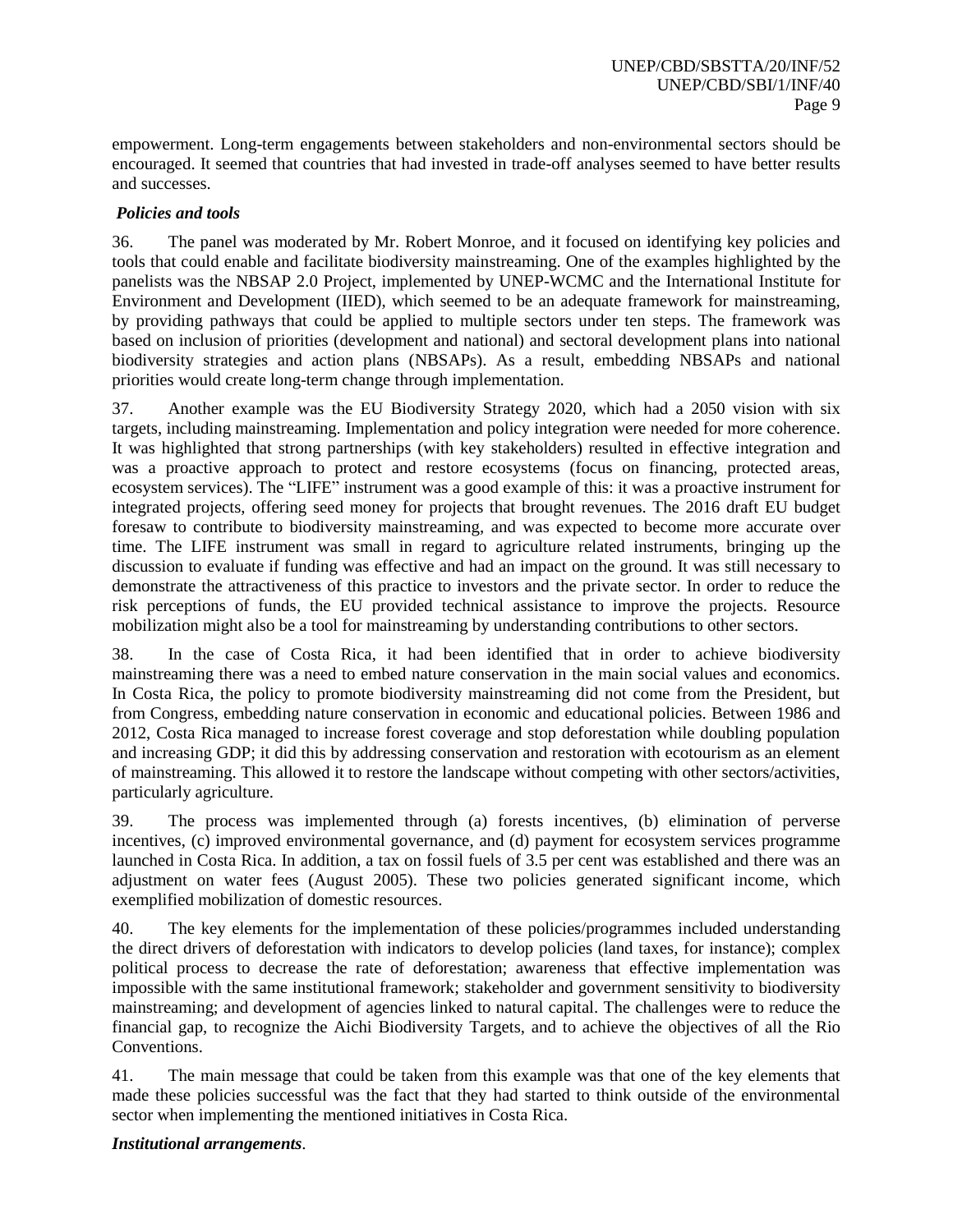empowerment. Long-term engagements between stakeholders and non-environmental sectors should be encouraged. It seemed that countries that had invested in trade-off analyses seemed to have better results and successes.

# *Policies and tools*

36. The panel was moderated by Mr. Robert Monroe, and it focused on identifying key policies and tools that could enable and facilitate biodiversity mainstreaming. One of the examples highlighted by the panelists was the NBSAP 2.0 Project, implemented by UNEP-WCMC and the International Institute for Environment and Development (IIED), which seemed to be an adequate framework for mainstreaming, by providing pathways that could be applied to multiple sectors under ten steps. The framework was based on inclusion of priorities (development and national) and sectoral development plans into national biodiversity strategies and action plans (NBSAPs). As a result, embedding NBSAPs and national priorities would create long-term change through implementation.

37. Another example was the EU Biodiversity Strategy 2020, which had a 2050 vision with six targets, including mainstreaming. Implementation and policy integration were needed for more coherence. It was highlighted that strong partnerships (with key stakeholders) resulted in effective integration and was a proactive approach to protect and restore ecosystems (focus on financing, protected areas, ecosystem services). The "LIFE" instrument was a good example of this: it was a proactive instrument for integrated projects, offering seed money for projects that brought revenues. The 2016 draft EU budget foresaw to contribute to biodiversity mainstreaming, and was expected to become more accurate over time. The LIFE instrument was small in regard to agriculture related instruments, bringing up the discussion to evaluate if funding was effective and had an impact on the ground. It was still necessary to demonstrate the attractiveness of this practice to investors and the private sector. In order to reduce the risk perceptions of funds, the EU provided technical assistance to improve the projects. Resource mobilization might also be a tool for mainstreaming by understanding contributions to other sectors.

38. In the case of Costa Rica, it had been identified that in order to achieve biodiversity mainstreaming there was a need to embed nature conservation in the main social values and economics. In Costa Rica, the policy to promote biodiversity mainstreaming did not come from the President, but from Congress, embedding nature conservation in economic and educational policies. Between 1986 and 2012, Costa Rica managed to increase forest coverage and stop deforestation while doubling population and increasing GDP; it did this by addressing conservation and restoration with ecotourism as an element of mainstreaming. This allowed it to restore the landscape without competing with other sectors/activities, particularly agriculture.

39. The process was implemented through (a) forests incentives, (b) elimination of perverse incentives, (c) improved environmental governance, and (d) payment for ecosystem services programme launched in Costa Rica. In addition, a tax on fossil fuels of 3.5 per cent was established and there was an adjustment on water fees (August 2005). These two policies generated significant income, which exemplified mobilization of domestic resources.

40. The key elements for the implementation of these policies/programmes included understanding the direct drivers of deforestation with indicators to develop policies (land taxes, for instance); complex political process to decrease the rate of deforestation; awareness that effective implementation was impossible with the same institutional framework; stakeholder and government sensitivity to biodiversity mainstreaming; and development of agencies linked to natural capital. The challenges were to reduce the financial gap, to recognize the Aichi Biodiversity Targets, and to achieve the objectives of all the Rio Conventions.

41. The main message that could be taken from this example was that one of the key elements that made these policies successful was the fact that they had started to think outside of the environmental sector when implementing the mentioned initiatives in Costa Rica.

## *Institutional arrangements*.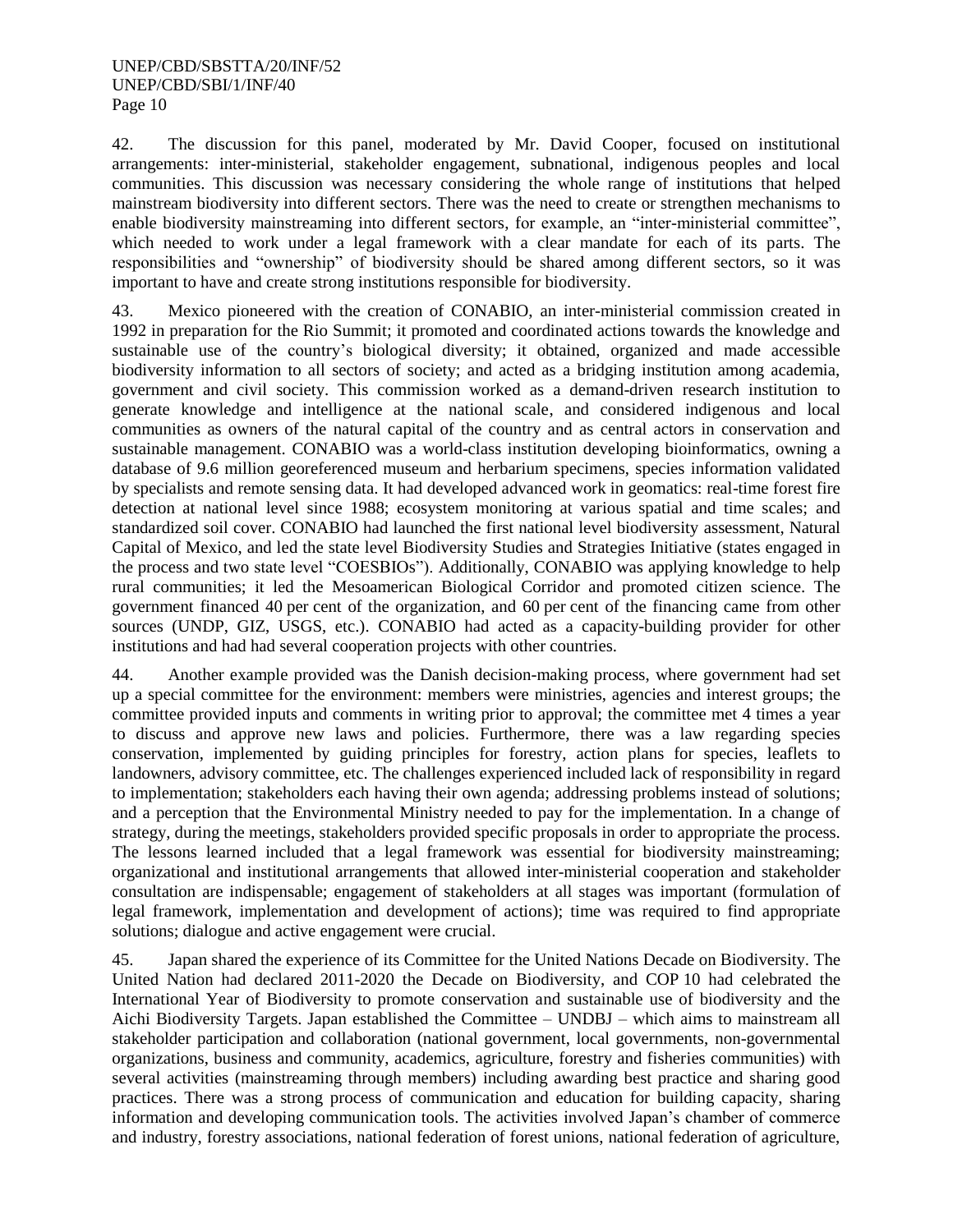42. The discussion for this panel, moderated by Mr. David Cooper, focused on institutional arrangements: inter-ministerial, stakeholder engagement, subnational, indigenous peoples and local communities. This discussion was necessary considering the whole range of institutions that helped mainstream biodiversity into different sectors. There was the need to create or strengthen mechanisms to enable biodiversity mainstreaming into different sectors, for example, an "inter-ministerial committee", which needed to work under a legal framework with a clear mandate for each of its parts. The responsibilities and "ownership" of biodiversity should be shared among different sectors, so it was important to have and create strong institutions responsible for biodiversity.

43. Mexico pioneered with the creation of CONABIO, an inter-ministerial commission created in 1992 in preparation for the Rio Summit; it promoted and coordinated actions towards the knowledge and sustainable use of the country's biological diversity; it obtained, organized and made accessible biodiversity information to all sectors of society; and acted as a bridging institution among academia, government and civil society. This commission worked as a demand-driven research institution to generate knowledge and intelligence at the national scale, and considered indigenous and local communities as owners of the natural capital of the country and as central actors in conservation and sustainable management. CONABIO was a world-class institution developing bioinformatics, owning a database of 9.6 million georeferenced museum and herbarium specimens, species information validated by specialists and remote sensing data. It had developed advanced work in geomatics: real-time forest fire detection at national level since 1988; ecosystem monitoring at various spatial and time scales; and standardized soil cover. CONABIO had launched the first national level biodiversity assessment, Natural Capital of Mexico, and led the state level Biodiversity Studies and Strategies Initiative (states engaged in the process and two state level "COESBIOs"). Additionally, CONABIO was applying knowledge to help rural communities; it led the Mesoamerican Biological Corridor and promoted citizen science. The government financed 40 per cent of the organization, and 60 per cent of the financing came from other sources (UNDP, GIZ, USGS, etc.). CONABIO had acted as a capacity-building provider for other institutions and had had several cooperation projects with other countries.

44. Another example provided was the Danish decision-making process, where government had set up a special committee for the environment: members were ministries, agencies and interest groups; the committee provided inputs and comments in writing prior to approval; the committee met 4 times a year to discuss and approve new laws and policies. Furthermore, there was a law regarding species conservation, implemented by guiding principles for forestry, action plans for species, leaflets to landowners, advisory committee, etc. The challenges experienced included lack of responsibility in regard to implementation; stakeholders each having their own agenda; addressing problems instead of solutions; and a perception that the Environmental Ministry needed to pay for the implementation. In a change of strategy, during the meetings, stakeholders provided specific proposals in order to appropriate the process. The lessons learned included that a legal framework was essential for biodiversity mainstreaming; organizational and institutional arrangements that allowed inter-ministerial cooperation and stakeholder consultation are indispensable; engagement of stakeholders at all stages was important (formulation of legal framework, implementation and development of actions); time was required to find appropriate solutions; dialogue and active engagement were crucial.

45. Japan shared the experience of its Committee for the United Nations Decade on Biodiversity. The United Nation had declared 2011-2020 the Decade on Biodiversity, and COP 10 had celebrated the International Year of Biodiversity to promote conservation and sustainable use of biodiversity and the Aichi Biodiversity Targets. Japan established the Committee – UNDBJ – which aims to mainstream all stakeholder participation and collaboration (national government, local governments, non-governmental organizations, business and community, academics, agriculture, forestry and fisheries communities) with several activities (mainstreaming through members) including awarding best practice and sharing good practices. There was a strong process of communication and education for building capacity, sharing information and developing communication tools. The activities involved Japan's chamber of commerce and industry, forestry associations, national federation of forest unions, national federation of agriculture,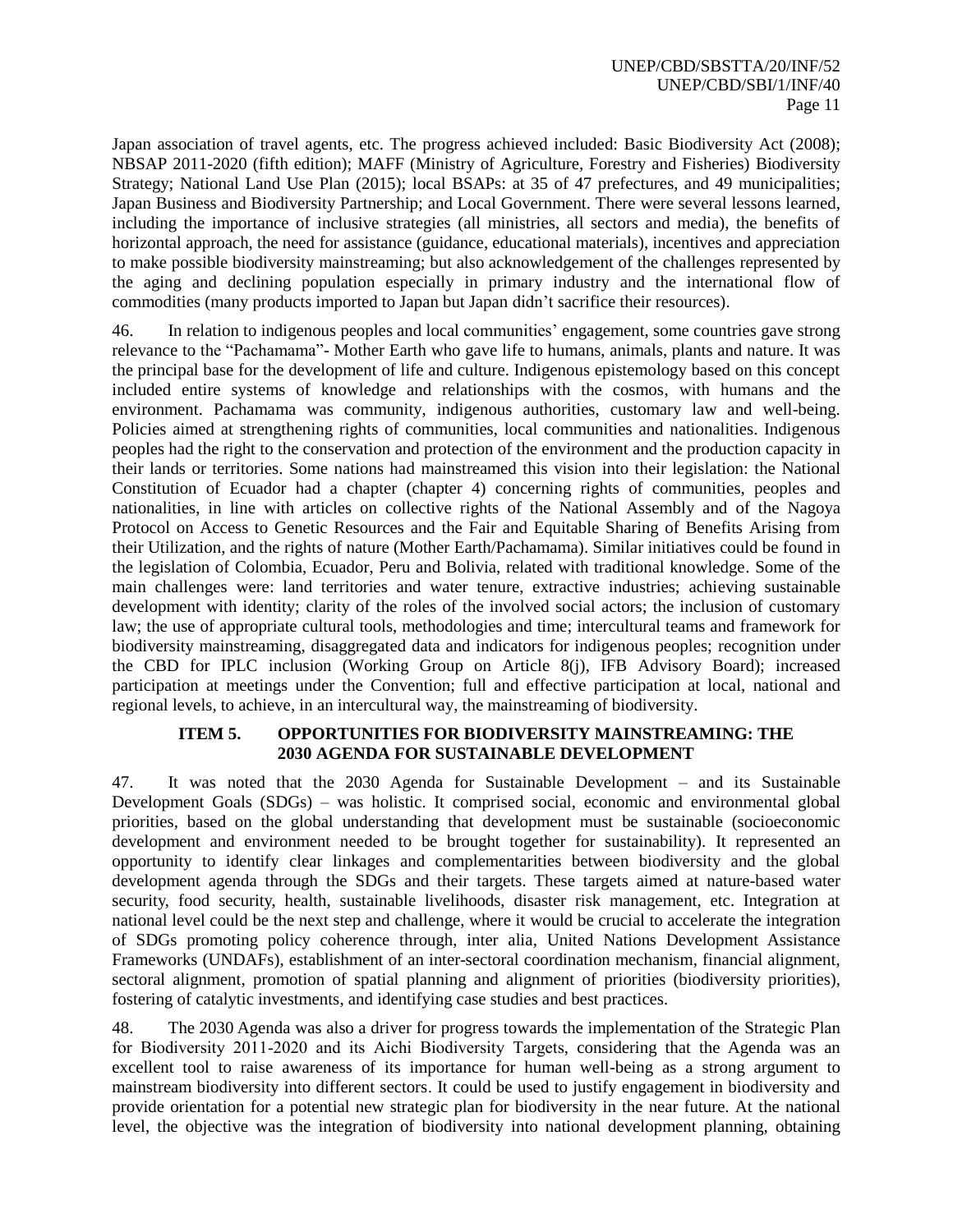Japan association of travel agents, etc. The progress achieved included: Basic Biodiversity Act (2008); NBSAP 2011-2020 (fifth edition); MAFF (Ministry of Agriculture, Forestry and Fisheries) Biodiversity Strategy; National Land Use Plan (2015); local BSAPs: at 35 of 47 prefectures, and 49 municipalities; Japan Business and Biodiversity Partnership; and Local Government. There were several lessons learned, including the importance of inclusive strategies (all ministries, all sectors and media), the benefits of horizontal approach, the need for assistance (guidance, educational materials), incentives and appreciation to make possible biodiversity mainstreaming; but also acknowledgement of the challenges represented by the aging and declining population especially in primary industry and the international flow of commodities (many products imported to Japan but Japan didn't sacrifice their resources).

46. In relation to indigenous peoples and local communities' engagement, some countries gave strong relevance to the "Pachamama"- Mother Earth who gave life to humans, animals, plants and nature. It was the principal base for the development of life and culture. Indigenous epistemology based on this concept included entire systems of knowledge and relationships with the cosmos, with humans and the environment. Pachamama was community, indigenous authorities, customary law and well-being. Policies aimed at strengthening rights of communities, local communities and nationalities. Indigenous peoples had the right to the conservation and protection of the environment and the production capacity in their lands or territories. Some nations had mainstreamed this vision into their legislation: the National Constitution of Ecuador had a chapter (chapter 4) concerning rights of communities, peoples and nationalities, in line with articles on collective rights of the National Assembly and of the Nagoya Protocol on Access to Genetic Resources and the Fair and Equitable Sharing of Benefits Arising from their Utilization, and the rights of nature (Mother Earth/Pachamama). Similar initiatives could be found in the legislation of Colombia, Ecuador, Peru and Bolivia, related with traditional knowledge. Some of the main challenges were: land territories and water tenure, extractive industries; achieving sustainable development with identity; clarity of the roles of the involved social actors; the inclusion of customary law; the use of appropriate cultural tools, methodologies and time; intercultural teams and framework for biodiversity mainstreaming, disaggregated data and indicators for indigenous peoples; recognition under the CBD for IPLC inclusion (Working Group on Article 8(j), IFB Advisory Board); increased participation at meetings under the Convention; full and effective participation at local, national and regional levels, to achieve, in an intercultural way, the mainstreaming of biodiversity.

## **ITEM 5. OPPORTUNITIES FOR BIODIVERSITY MAINSTREAMING: THE 2030 AGENDA FOR SUSTAINABLE DEVELOPMENT**

47. It was noted that the 2030 Agenda for Sustainable Development – and its Sustainable Development Goals (SDGs) – was holistic. It comprised social, economic and environmental global priorities, based on the global understanding that development must be sustainable (socioeconomic development and environment needed to be brought together for sustainability). It represented an opportunity to identify clear linkages and complementarities between biodiversity and the global development agenda through the SDGs and their targets. These targets aimed at nature-based water security, food security, health, sustainable livelihoods, disaster risk management, etc. Integration at national level could be the next step and challenge, where it would be crucial to accelerate the integration of SDGs promoting policy coherence through, inter alia, United Nations Development Assistance Frameworks (UNDAFs), establishment of an inter-sectoral coordination mechanism, financial alignment, sectoral alignment, promotion of spatial planning and alignment of priorities (biodiversity priorities), fostering of catalytic investments, and identifying case studies and best practices.

48. The 2030 Agenda was also a driver for progress towards the implementation of the Strategic Plan for Biodiversity 2011-2020 and its Aichi Biodiversity Targets, considering that the Agenda was an excellent tool to raise awareness of its importance for human well-being as a strong argument to mainstream biodiversity into different sectors. It could be used to justify engagement in biodiversity and provide orientation for a potential new strategic plan for biodiversity in the near future. At the national level, the objective was the integration of biodiversity into national development planning, obtaining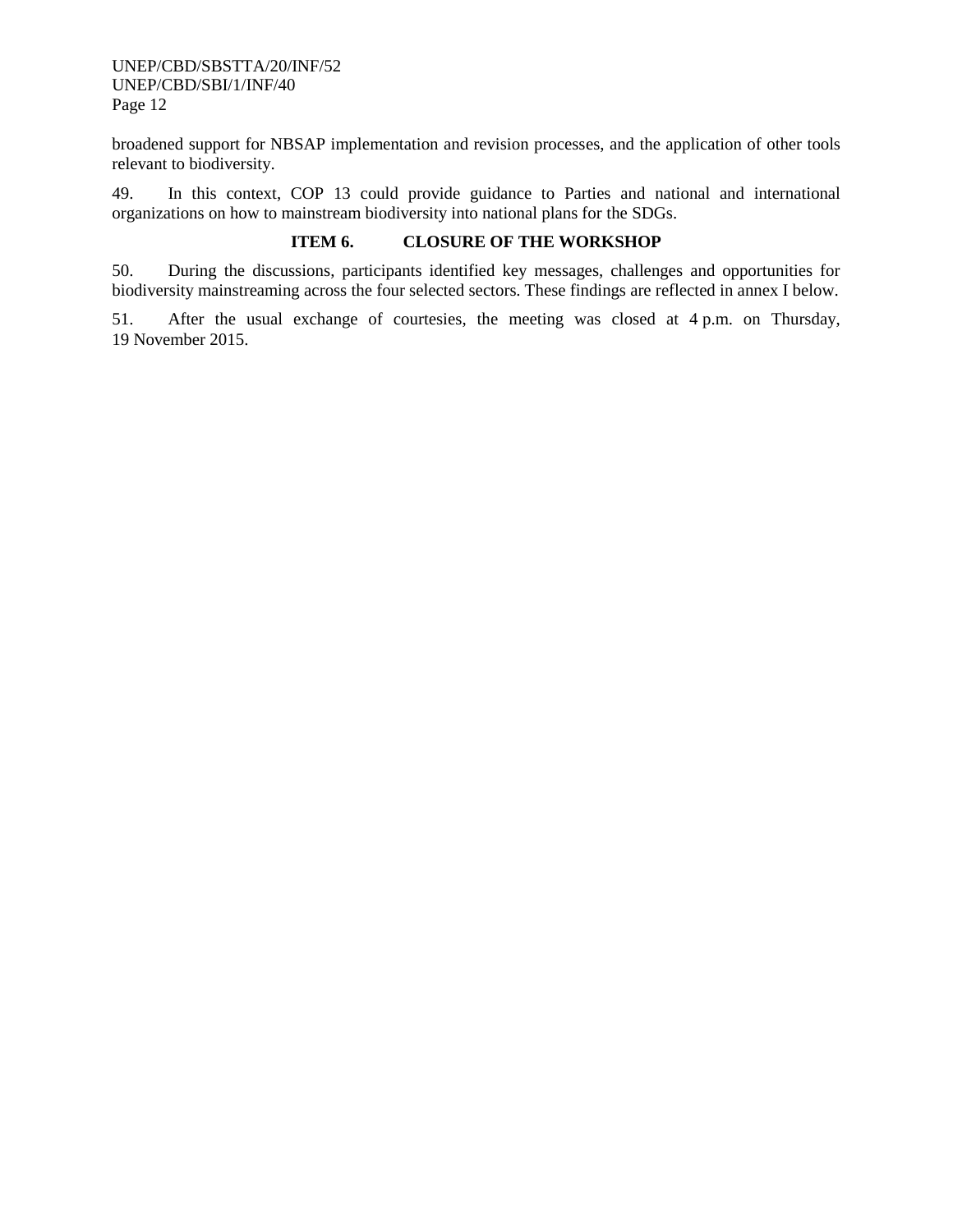broadened support for NBSAP implementation and revision processes, and the application of other tools relevant to biodiversity.

49. In this context, COP 13 could provide guidance to Parties and national and international organizations on how to mainstream biodiversity into national plans for the SDGs.

## **ITEM 6. CLOSURE OF THE WORKSHOP**

50. During the discussions, participants identified key messages, challenges and opportunities for biodiversity mainstreaming across the four selected sectors. These findings are reflected in annex I below.

51. After the usual exchange of courtesies, the meeting was closed at 4 p.m. on Thursday, 19 November 2015.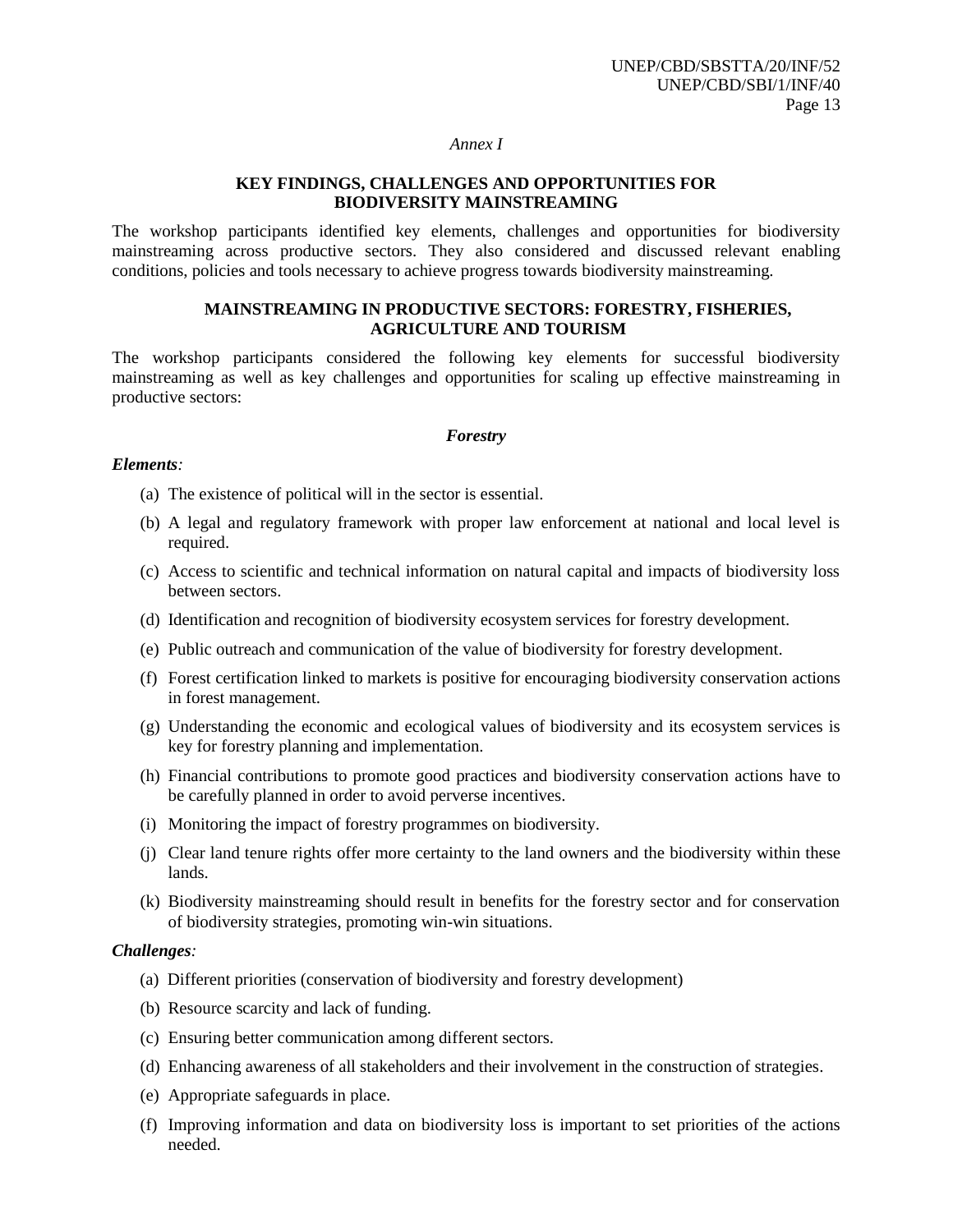#### *Annex I*

## **KEY FINDINGS, CHALLENGES AND OPPORTUNITIES FOR BIODIVERSITY MAINSTREAMING**

The workshop participants identified key elements, challenges and opportunities for biodiversity mainstreaming across productive sectors. They also considered and discussed relevant enabling conditions, policies and tools necessary to achieve progress towards biodiversity mainstreaming.

## **MAINSTREAMING IN PRODUCTIVE SECTORS: FORESTRY, FISHERIES, AGRICULTURE AND TOURISM**

The workshop participants considered the following key elements for successful biodiversity mainstreaming as well as key challenges and opportunities for scaling up effective mainstreaming in productive sectors:

## *Forestry*

#### *Elements:*

- (a) The existence of political will in the sector is essential.
- (b) A legal and regulatory framework with proper law enforcement at national and local level is required.
- (c) Access to scientific and technical information on natural capital and impacts of biodiversity loss between sectors.
- (d) Identification and recognition of biodiversity ecosystem services for forestry development.
- (e) Public outreach and communication of the value of biodiversity for forestry development.
- (f) Forest certification linked to markets is positive for encouraging biodiversity conservation actions in forest management.
- (g) Understanding the economic and ecological values of biodiversity and its ecosystem services is key for forestry planning and implementation.
- (h) Financial contributions to promote good practices and biodiversity conservation actions have to be carefully planned in order to avoid perverse incentives.
- (i) Monitoring the impact of forestry programmes on biodiversity.
- (j) Clear land tenure rights offer more certainty to the land owners and the biodiversity within these lands.
- (k) Biodiversity mainstreaming should result in benefits for the forestry sector and for conservation of biodiversity strategies, promoting win-win situations.

## *Challenges:*

- (a) Different priorities (conservation of biodiversity and forestry development)
- (b) Resource scarcity and lack of funding.
- (c) Ensuring better communication among different sectors.
- (d) Enhancing awareness of all stakeholders and their involvement in the construction of strategies.
- (e) Appropriate safeguards in place.
- (f) Improving information and data on biodiversity loss is important to set priorities of the actions needed.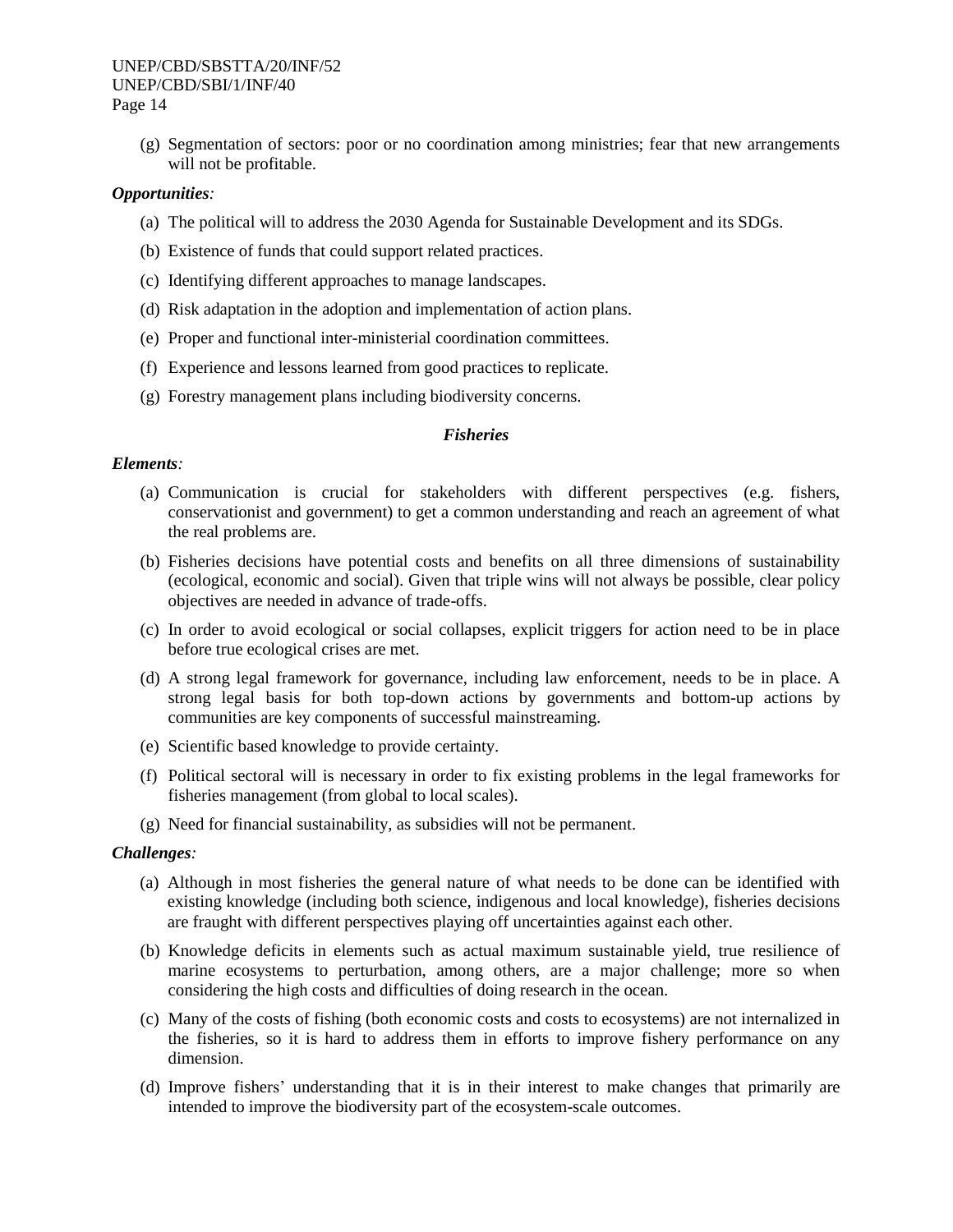(g) Segmentation of sectors: poor or no coordination among ministries; fear that new arrangements will not be profitable.

## *Opportunities:*

- (a) The political will to address the 2030 Agenda for Sustainable Development and its SDGs.
- (b) Existence of funds that could support related practices.
- (c) Identifying different approaches to manage landscapes.
- (d) Risk adaptation in the adoption and implementation of action plans.
- (e) Proper and functional inter-ministerial coordination committees.
- (f) Experience and lessons learned from good practices to replicate.
- (g) Forestry management plans including biodiversity concerns.

## *Fisheries*

## *Elements:*

- (a) Communication is crucial for stakeholders with different perspectives (e.g. fishers, conservationist and government) to get a common understanding and reach an agreement of what the real problems are.
- (b) Fisheries decisions have potential costs and benefits on all three dimensions of sustainability (ecological, economic and social). Given that triple wins will not always be possible, clear policy objectives are needed in advance of trade-offs.
- (c) In order to avoid ecological or social collapses, explicit triggers for action need to be in place before true ecological crises are met.
- (d) A strong legal framework for governance, including law enforcement, needs to be in place. A strong legal basis for both top-down actions by governments and bottom-up actions by communities are key components of successful mainstreaming.
- (e) Scientific based knowledge to provide certainty.
- (f) Political sectoral will is necessary in order to fix existing problems in the legal frameworks for fisheries management (from global to local scales).
- (g) Need for financial sustainability, as subsidies will not be permanent.

#### *Challenges:*

- (a) Although in most fisheries the general nature of what needs to be done can be identified with existing knowledge (including both science, indigenous and local knowledge), fisheries decisions are fraught with different perspectives playing off uncertainties against each other.
- (b) Knowledge deficits in elements such as actual maximum sustainable yield, true resilience of marine ecosystems to perturbation, among others, are a major challenge; more so when considering the high costs and difficulties of doing research in the ocean.
- (c) Many of the costs of fishing (both economic costs and costs to ecosystems) are not internalized in the fisheries, so it is hard to address them in efforts to improve fishery performance on any dimension.
- (d) Improve fishers' understanding that it is in their interest to make changes that primarily are intended to improve the biodiversity part of the ecosystem-scale outcomes.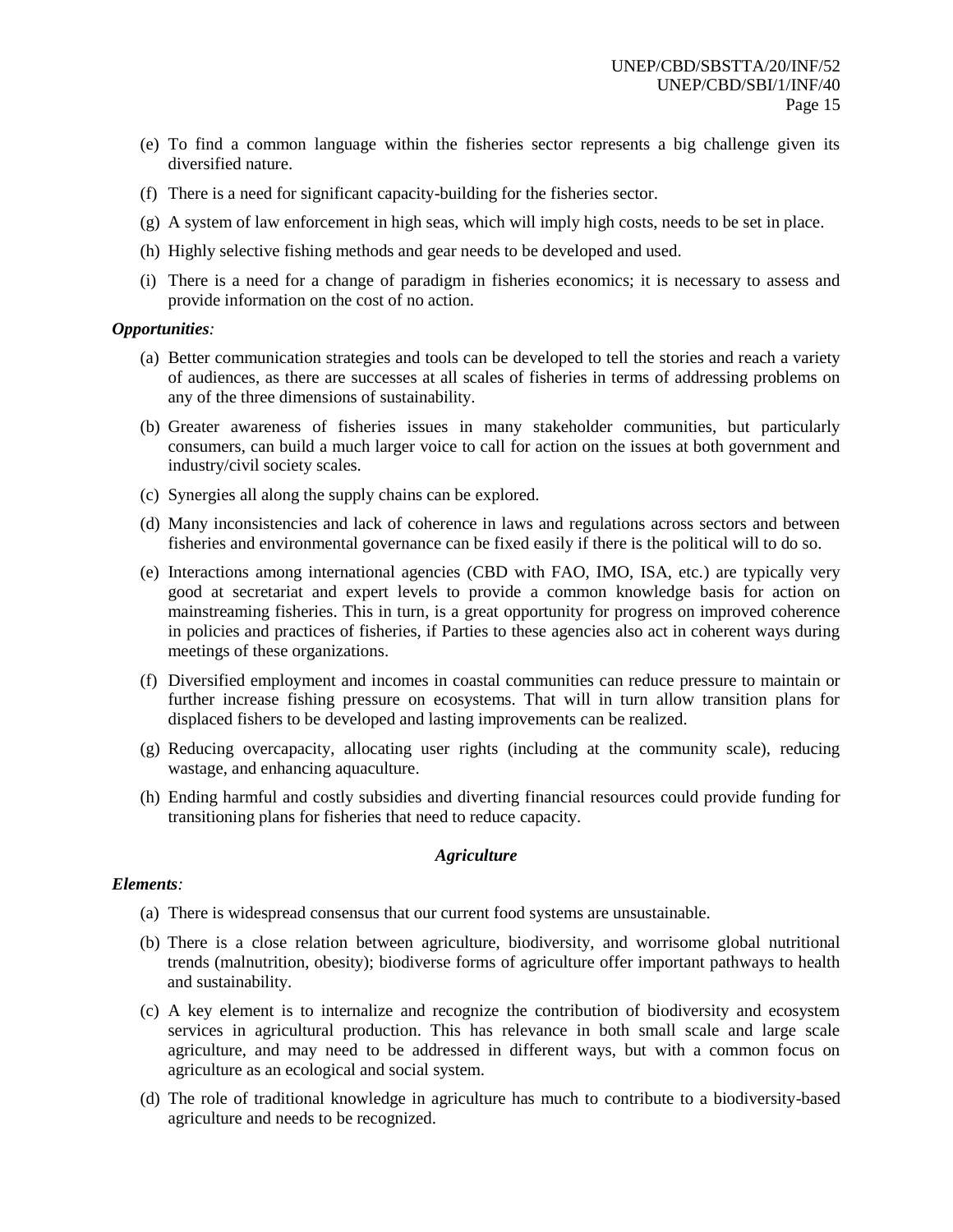- (e) To find a common language within the fisheries sector represents a big challenge given its diversified nature.
- (f) There is a need for significant capacity-building for the fisheries sector.
- (g) A system of law enforcement in high seas, which will imply high costs, needs to be set in place.
- (h) Highly selective fishing methods and gear needs to be developed and used.
- (i) There is a need for a change of paradigm in fisheries economics; it is necessary to assess and provide information on the cost of no action.

#### *Opportunities:*

- (a) Better communication strategies and tools can be developed to tell the stories and reach a variety of audiences, as there are successes at all scales of fisheries in terms of addressing problems on any of the three dimensions of sustainability.
- (b) Greater awareness of fisheries issues in many stakeholder communities, but particularly consumers, can build a much larger voice to call for action on the issues at both government and industry/civil society scales.
- (c) Synergies all along the supply chains can be explored.
- (d) Many inconsistencies and lack of coherence in laws and regulations across sectors and between fisheries and environmental governance can be fixed easily if there is the political will to do so.
- (e) Interactions among international agencies (CBD with FAO, IMO, ISA, etc.) are typically very good at secretariat and expert levels to provide a common knowledge basis for action on mainstreaming fisheries. This in turn, is a great opportunity for progress on improved coherence in policies and practices of fisheries, if Parties to these agencies also act in coherent ways during meetings of these organizations.
- (f) Diversified employment and incomes in coastal communities can reduce pressure to maintain or further increase fishing pressure on ecosystems. That will in turn allow transition plans for displaced fishers to be developed and lasting improvements can be realized.
- (g) Reducing overcapacity, allocating user rights (including at the community scale), reducing wastage, and enhancing aquaculture.
- (h) Ending harmful and costly subsidies and diverting financial resources could provide funding for transitioning plans for fisheries that need to reduce capacity.

## *Agriculture*

#### *Elements:*

- (a) There is widespread consensus that our current food systems are unsustainable.
- (b) There is a close relation between agriculture, biodiversity, and worrisome global nutritional trends (malnutrition, obesity); biodiverse forms of agriculture offer important pathways to health and sustainability.
- (c) A key element is to internalize and recognize the contribution of biodiversity and ecosystem services in agricultural production. This has relevance in both small scale and large scale agriculture, and may need to be addressed in different ways, but with a common focus on agriculture as an ecological and social system.
- (d) The role of traditional knowledge in agriculture has much to contribute to a biodiversity-based agriculture and needs to be recognized.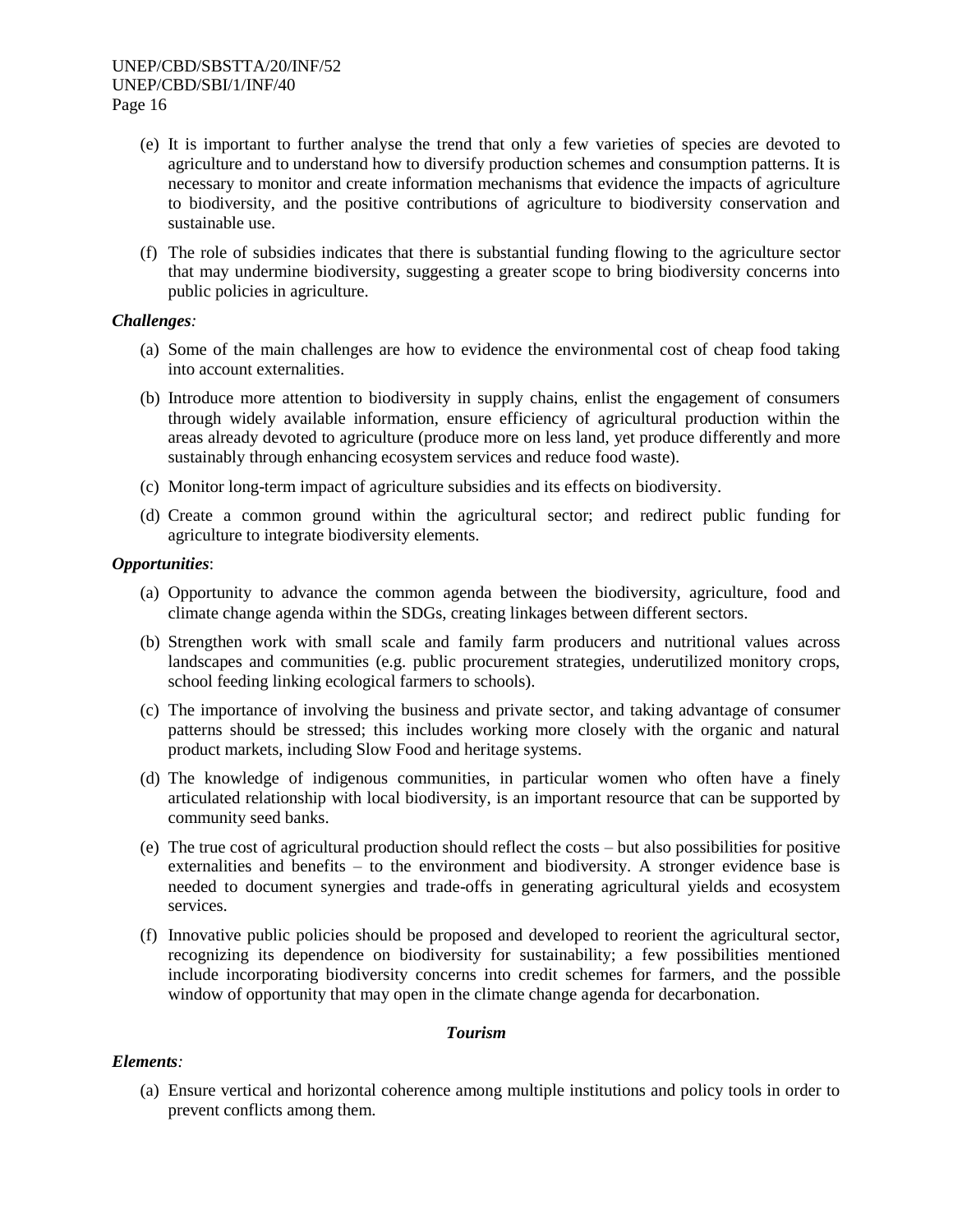- (e) It is important to further analyse the trend that only a few varieties of species are devoted to agriculture and to understand how to diversify production schemes and consumption patterns. It is necessary to monitor and create information mechanisms that evidence the impacts of agriculture to biodiversity, and the positive contributions of agriculture to biodiversity conservation and sustainable use.
- (f) The role of subsidies indicates that there is substantial funding flowing to the agriculture sector that may undermine biodiversity, suggesting a greater scope to bring biodiversity concerns into public policies in agriculture.

## *Challenges:*

- (a) Some of the main challenges are how to evidence the environmental cost of cheap food taking into account externalities.
- (b) Introduce more attention to biodiversity in supply chains, enlist the engagement of consumers through widely available information, ensure efficiency of agricultural production within the areas already devoted to agriculture (produce more on less land, yet produce differently and more sustainably through enhancing ecosystem services and reduce food waste).
- (c) Monitor long-term impact of agriculture subsidies and its effects on biodiversity.
- (d) Create a common ground within the agricultural sector; and redirect public funding for agriculture to integrate biodiversity elements.

## *Opportunities*:

- (a) Opportunity to advance the common agenda between the biodiversity, agriculture, food and climate change agenda within the SDGs, creating linkages between different sectors.
- (b) Strengthen work with small scale and family farm producers and nutritional values across landscapes and communities (e.g. public procurement strategies, underutilized monitory crops, school feeding linking ecological farmers to schools).
- (c) The importance of involving the business and private sector, and taking advantage of consumer patterns should be stressed; this includes working more closely with the organic and natural product markets, including Slow Food and heritage systems.
- (d) The knowledge of indigenous communities, in particular women who often have a finely articulated relationship with local biodiversity, is an important resource that can be supported by community seed banks.
- (e) The true cost of agricultural production should reflect the costs but also possibilities for positive externalities and benefits – to the environment and biodiversity. A stronger evidence base is needed to document synergies and trade-offs in generating agricultural yields and ecosystem services.
- (f) Innovative public policies should be proposed and developed to reorient the agricultural sector, recognizing its dependence on biodiversity for sustainability; a few possibilities mentioned include incorporating biodiversity concerns into credit schemes for farmers, and the possible window of opportunity that may open in the climate change agenda for decarbonation.

#### *Tourism*

## *Elements:*

(a) Ensure vertical and horizontal coherence among multiple institutions and policy tools in order to prevent conflicts among them.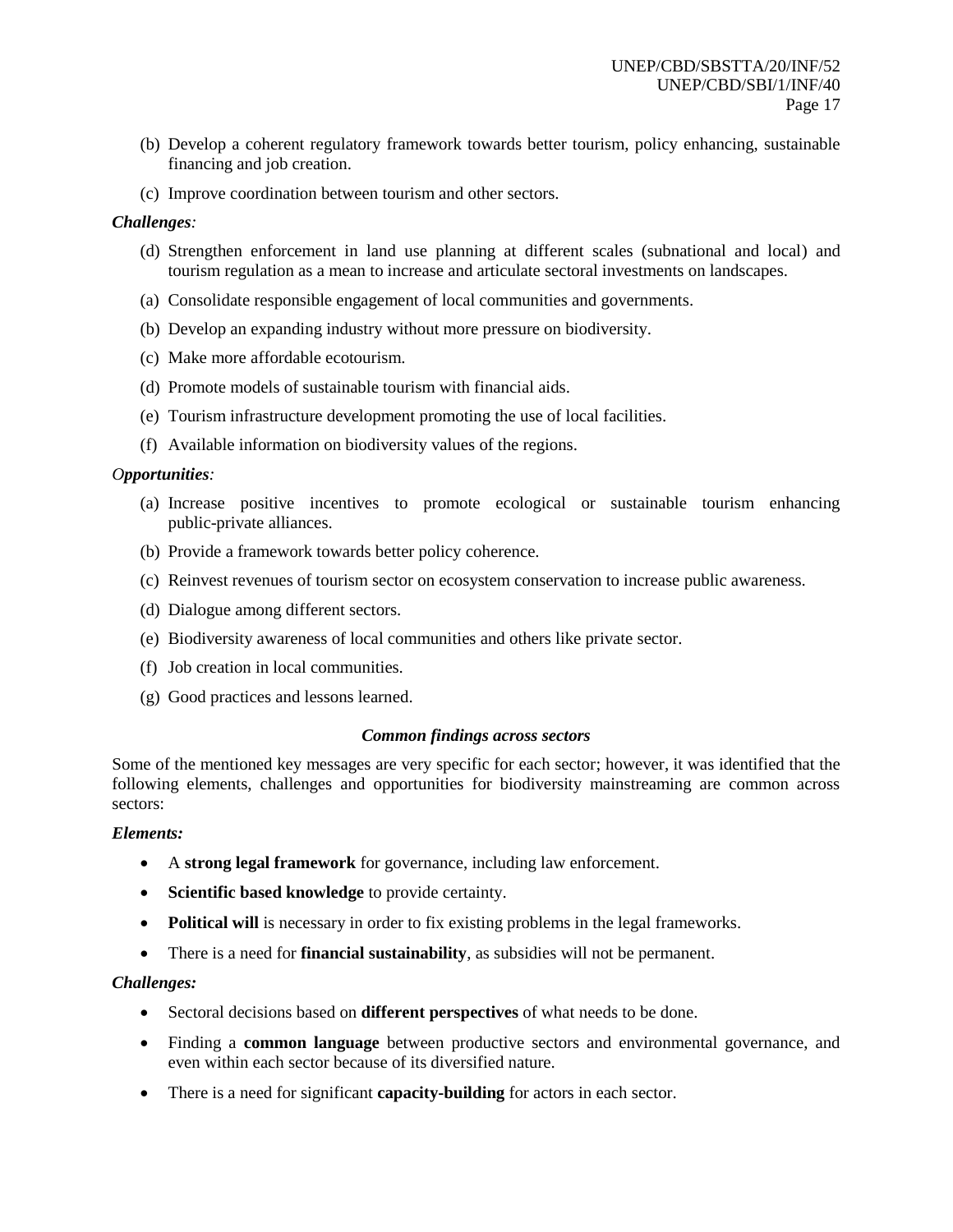- (b) Develop a coherent regulatory framework towards better tourism, policy enhancing, sustainable financing and job creation.
- (c) Improve coordination between tourism and other sectors.

## *Challenges:*

- (d) Strengthen enforcement in land use planning at different scales (subnational and local) and tourism regulation as a mean to increase and articulate sectoral investments on landscapes.
- (a) Consolidate responsible engagement of local communities and governments.
- (b) Develop an expanding industry without more pressure on biodiversity.
- (c) Make more affordable ecotourism.
- (d) Promote models of sustainable tourism with financial aids.
- (e) Tourism infrastructure development promoting the use of local facilities.
- (f) Available information on biodiversity values of the regions.

## *Opportunities:*

- (a) Increase positive incentives to promote ecological or sustainable tourism enhancing public-private alliances.
- (b) Provide a framework towards better policy coherence.
- (c) Reinvest revenues of tourism sector on ecosystem conservation to increase public awareness.
- (d) Dialogue among different sectors.
- (e) Biodiversity awareness of local communities and others like private sector.
- (f) Job creation in local communities.
- (g) Good practices and lessons learned.

## *Common findings across sectors*

Some of the mentioned key messages are very specific for each sector; however, it was identified that the following elements, challenges and opportunities for biodiversity mainstreaming are common across sectors:

## *Elements:*

- A **strong legal framework** for governance, including law enforcement.
- **Scientific based knowledge** to provide certainty.
- **Political will** is necessary in order to fix existing problems in the legal frameworks.
- There is a need for **financial sustainability**, as subsidies will not be permanent.

## *Challenges:*

- Sectoral decisions based on **different perspectives** of what needs to be done.
- Finding a **common language** between productive sectors and environmental governance, and even within each sector because of its diversified nature.
- There is a need for significant **capacity-building** for actors in each sector.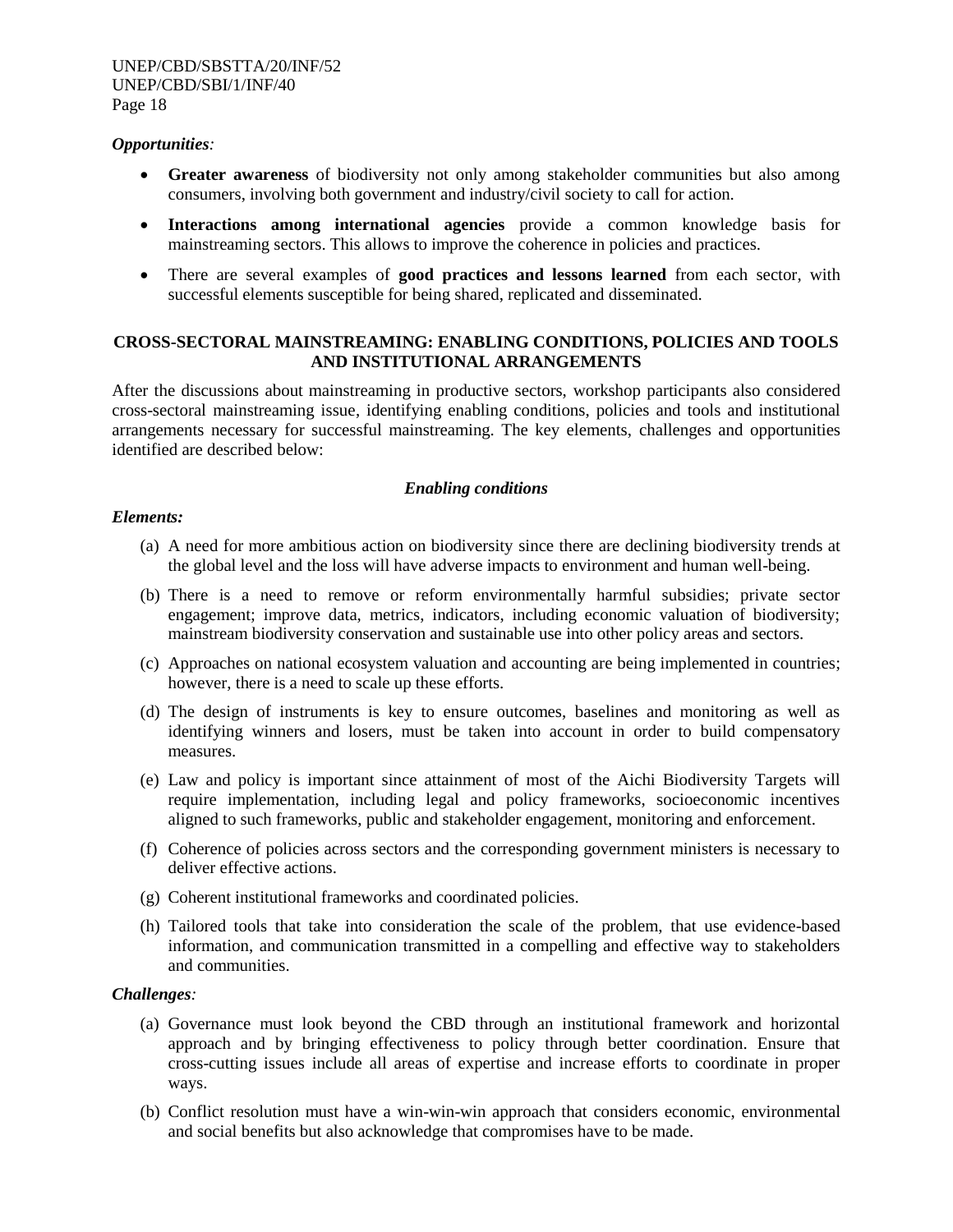#### *Opportunities:*

- **Greater awareness** of biodiversity not only among stakeholder communities but also among consumers, involving both government and industry/civil society to call for action.
- **Interactions among international agencies** provide a common knowledge basis for mainstreaming sectors. This allows to improve the coherence in policies and practices.
- There are several examples of **good practices and lessons learned** from each sector, with successful elements susceptible for being shared, replicated and disseminated.

## **CROSS-SECTORAL MAINSTREAMING: ENABLING CONDITIONS, POLICIES AND TOOLS AND INSTITUTIONAL ARRANGEMENTS**

After the discussions about mainstreaming in productive sectors, workshop participants also considered cross-sectoral mainstreaming issue, identifying enabling conditions, policies and tools and institutional arrangements necessary for successful mainstreaming. The key elements, challenges and opportunities identified are described below:

## *Enabling conditions*

#### *Elements:*

- (a) A need for more ambitious action on biodiversity since there are declining biodiversity trends at the global level and the loss will have adverse impacts to environment and human well-being.
- (b) There is a need to remove or reform environmentally harmful subsidies; private sector engagement; improve data, metrics, indicators, including economic valuation of biodiversity; mainstream biodiversity conservation and sustainable use into other policy areas and sectors.
- (c) Approaches on national ecosystem valuation and accounting are being implemented in countries; however, there is a need to scale up these efforts.
- (d) The design of instruments is key to ensure outcomes, baselines and monitoring as well as identifying winners and losers, must be taken into account in order to build compensatory measures.
- (e) Law and policy is important since attainment of most of the Aichi Biodiversity Targets will require implementation, including legal and policy frameworks, socioeconomic incentives aligned to such frameworks, public and stakeholder engagement, monitoring and enforcement.
- (f) Coherence of policies across sectors and the corresponding government ministers is necessary to deliver effective actions.
- (g) Coherent institutional frameworks and coordinated policies.
- (h) Tailored tools that take into consideration the scale of the problem, that use evidence-based information, and communication transmitted in a compelling and effective way to stakeholders and communities.

#### *Challenges:*

- (a) Governance must look beyond the CBD through an institutional framework and horizontal approach and by bringing effectiveness to policy through better coordination. Ensure that cross-cutting issues include all areas of expertise and increase efforts to coordinate in proper ways.
- (b) Conflict resolution must have a win-win-win approach that considers economic, environmental and social benefits but also acknowledge that compromises have to be made.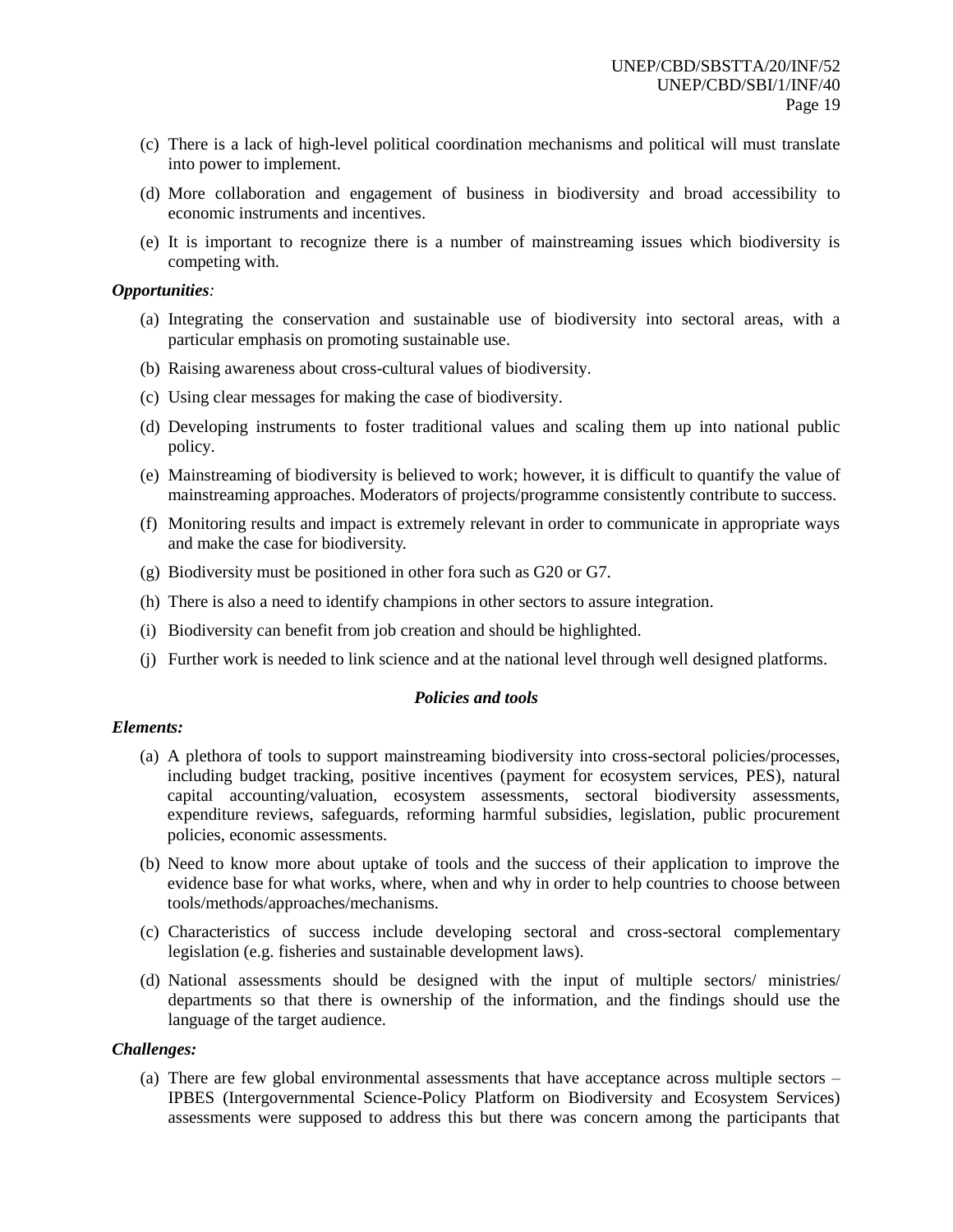- (c) There is a lack of high-level political coordination mechanisms and political will must translate into power to implement.
- (d) More collaboration and engagement of business in biodiversity and broad accessibility to economic instruments and incentives.
- (e) It is important to recognize there is a number of mainstreaming issues which biodiversity is competing with.

#### *Opportunities:*

- (a) Integrating the conservation and sustainable use of biodiversity into sectoral areas, with a particular emphasis on promoting sustainable use.
- (b) Raising awareness about cross-cultural values of biodiversity.
- (c) Using clear messages for making the case of biodiversity.
- (d) Developing instruments to foster traditional values and scaling them up into national public policy.
- (e) Mainstreaming of biodiversity is believed to work; however, it is difficult to quantify the value of mainstreaming approaches. Moderators of projects/programme consistently contribute to success.
- (f) Monitoring results and impact is extremely relevant in order to communicate in appropriate ways and make the case for biodiversity.
- (g) Biodiversity must be positioned in other fora such as G20 or G7.
- (h) There is also a need to identify champions in other sectors to assure integration.
- (i) Biodiversity can benefit from job creation and should be highlighted.
- (j) Further work is needed to link science and at the national level through well designed platforms.

#### *Policies and tools*

#### *Elements:*

- (a) A plethora of tools to support mainstreaming biodiversity into cross-sectoral policies/processes, including budget tracking, positive incentives (payment for ecosystem services, PES), natural capital accounting/valuation, ecosystem assessments, sectoral biodiversity assessments, expenditure reviews, safeguards, reforming harmful subsidies, legislation, public procurement policies, economic assessments.
- (b) Need to know more about uptake of tools and the success of their application to improve the evidence base for what works, where, when and why in order to help countries to choose between tools/methods/approaches/mechanisms.
- (c) Characteristics of success include developing sectoral and cross-sectoral complementary legislation (e.g. fisheries and sustainable development laws).
- (d) National assessments should be designed with the input of multiple sectors/ ministries/ departments so that there is ownership of the information, and the findings should use the language of the target audience.

#### *Challenges:*

(a) There are few global environmental assessments that have acceptance across multiple sectors – IPBES (Intergovernmental Science-Policy Platform on Biodiversity and Ecosystem Services) assessments were supposed to address this but there was concern among the participants that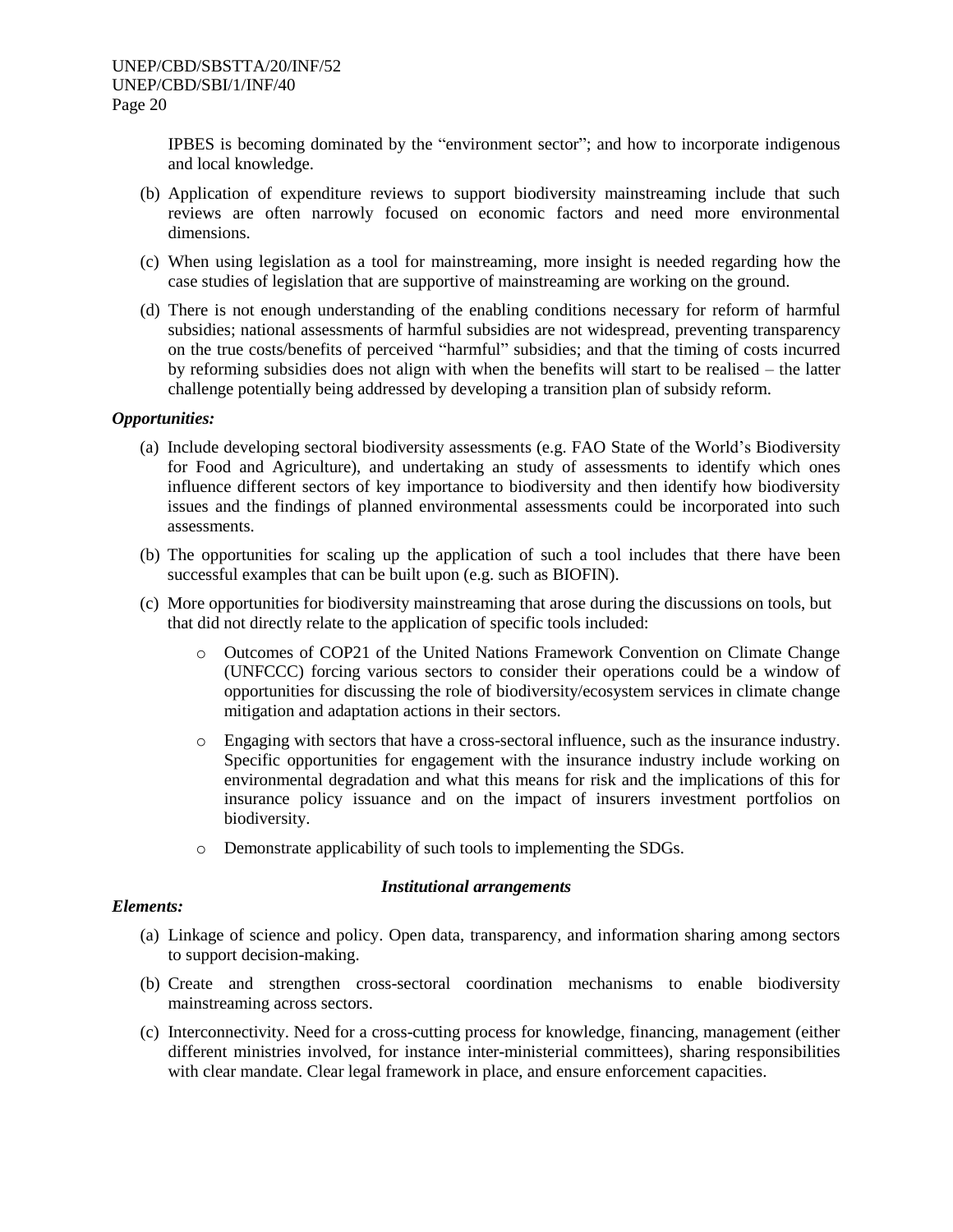IPBES is becoming dominated by the "environment sector"; and how to incorporate indigenous and local knowledge.

- (b) Application of expenditure reviews to support biodiversity mainstreaming include that such reviews are often narrowly focused on economic factors and need more environmental dimensions.
- (c) When using legislation as a tool for mainstreaming, more insight is needed regarding how the case studies of legislation that are supportive of mainstreaming are working on the ground.
- (d) There is not enough understanding of the enabling conditions necessary for reform of harmful subsidies; national assessments of harmful subsidies are not widespread, preventing transparency on the true costs/benefits of perceived "harmful" subsidies; and that the timing of costs incurred by reforming subsidies does not align with when the benefits will start to be realised – the latter challenge potentially being addressed by developing a transition plan of subsidy reform.

## *Opportunities:*

- (a) Include developing sectoral biodiversity assessments (e.g. FAO State of the World's Biodiversity for Food and Agriculture), and undertaking an study of assessments to identify which ones influence different sectors of key importance to biodiversity and then identify how biodiversity issues and the findings of planned environmental assessments could be incorporated into such assessments.
- (b) The opportunities for scaling up the application of such a tool includes that there have been successful examples that can be built upon (e.g. such as BIOFIN).
- (c) More opportunities for biodiversity mainstreaming that arose during the discussions on tools, but that did not directly relate to the application of specific tools included:
	- Outcomes of COP21 of the United Nations Framework Convention on Climate Change (UNFCCC) forcing various sectors to consider their operations could be a window of opportunities for discussing the role of biodiversity/ecosystem services in climate change mitigation and adaptation actions in their sectors.
	- o Engaging with sectors that have a cross-sectoral influence, such as the insurance industry. Specific opportunities for engagement with the insurance industry include working on environmental degradation and what this means for risk and the implications of this for insurance policy issuance and on the impact of insurers investment portfolios on biodiversity.
	- o Demonstrate applicability of such tools to implementing the SDGs.

#### *Institutional arrangements*

#### *Elements:*

- (a) Linkage of science and policy. Open data, transparency, and information sharing among sectors to support decision-making.
- (b) Create and strengthen cross-sectoral coordination mechanisms to enable biodiversity mainstreaming across sectors.
- (c) Interconnectivity. Need for a cross-cutting process for knowledge, financing, management (either different ministries involved, for instance inter-ministerial committees), sharing responsibilities with clear mandate. Clear legal framework in place, and ensure enforcement capacities.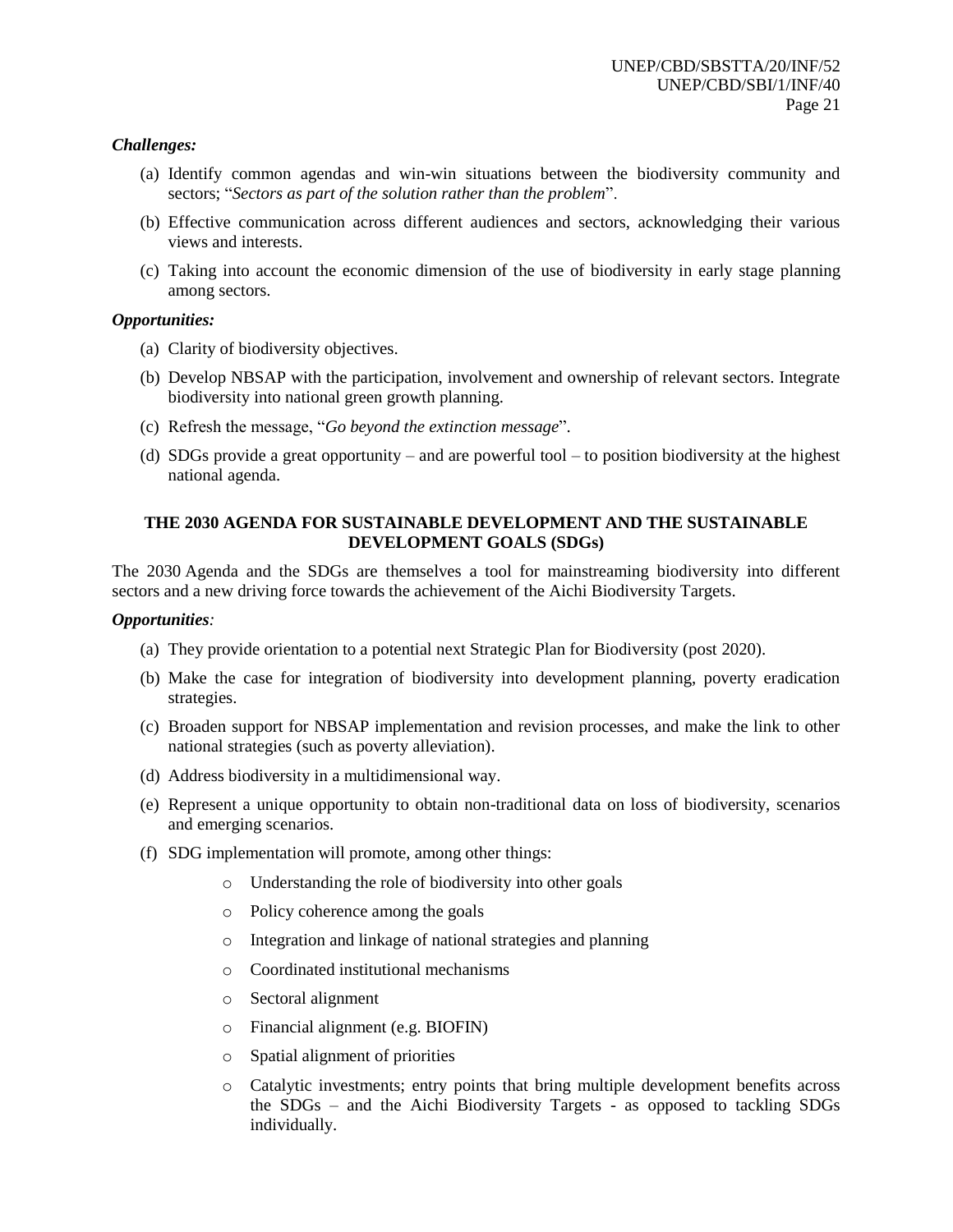## *Challenges:*

- (a) Identify common agendas and win-win situations between the biodiversity community and sectors; "*Sectors as part of the solution rather than the problem*".
- (b) Effective communication across different audiences and sectors, acknowledging their various views and interests.
- (c) Taking into account the economic dimension of the use of biodiversity in early stage planning among sectors.

## *Opportunities:*

- (a) Clarity of biodiversity objectives.
- (b) Develop NBSAP with the participation, involvement and ownership of relevant sectors. Integrate biodiversity into national green growth planning.
- (c) Refresh the message, "*Go beyond the extinction message*".
- (d) SDGs provide a great opportunity and are powerful tool to position biodiversity at the highest national agenda.

## **THE 2030 AGENDA FOR SUSTAINABLE DEVELOPMENT AND THE SUSTAINABLE DEVELOPMENT GOALS (SDGs)**

The 2030 Agenda and the SDGs are themselves a tool for mainstreaming biodiversity into different sectors and a new driving force towards the achievement of the Aichi Biodiversity Targets.

#### *Opportunities:*

- (a) They provide orientation to a potential next Strategic Plan for Biodiversity (post 2020).
- (b) Make the case for integration of biodiversity into development planning, poverty eradication strategies.
- (c) Broaden support for NBSAP implementation and revision processes, and make the link to other national strategies (such as poverty alleviation).
- (d) Address biodiversity in a multidimensional way.
- (e) Represent a unique opportunity to obtain non-traditional data on loss of biodiversity, scenarios and emerging scenarios.
- (f) SDG implementation will promote, among other things:
	- o Understanding the role of biodiversity into other goals
	- o Policy coherence among the goals
	- o Integration and linkage of national strategies and planning
	- o Coordinated institutional mechanisms
	- o Sectoral alignment
	- o Financial alignment (e.g. BIOFIN)
	- o Spatial alignment of priorities
	- o Catalytic investments; entry points that bring multiple development benefits across the SDGs – and the Aichi Biodiversity Targets - as opposed to tackling SDGs individually.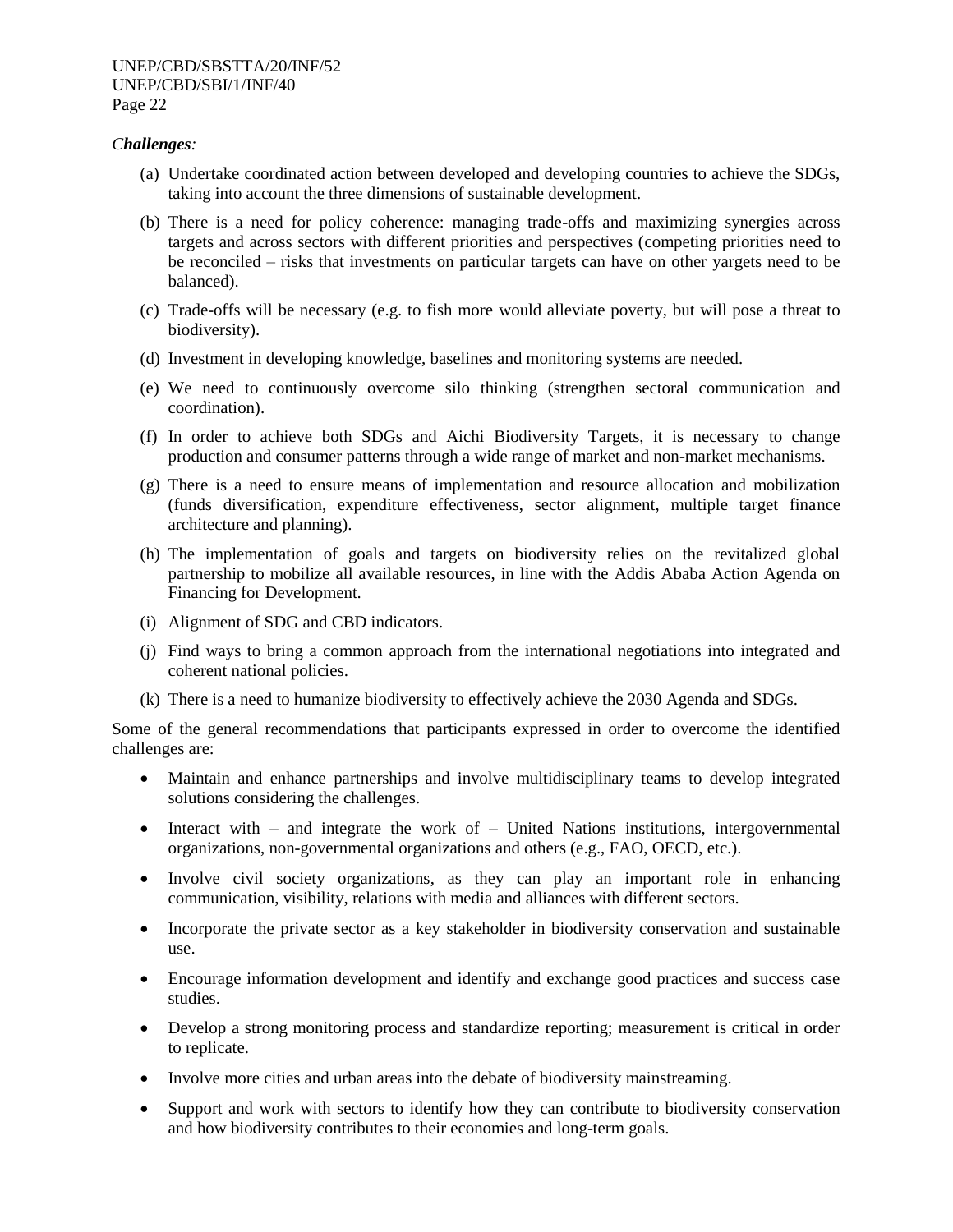## *Challenges:*

- (a) Undertake coordinated action between developed and developing countries to achieve the SDGs, taking into account the three dimensions of sustainable development.
- (b) There is a need for policy coherence: managing trade-offs and maximizing synergies across targets and across sectors with different priorities and perspectives (competing priorities need to be reconciled – risks that investments on particular targets can have on other yargets need to be balanced).
- (c) Trade-offs will be necessary (e.g. to fish more would alleviate poverty, but will pose a threat to biodiversity).
- (d) Investment in developing knowledge, baselines and monitoring systems are needed.
- (e) We need to continuously overcome silo thinking (strengthen sectoral communication and coordination).
- (f) In order to achieve both SDGs and Aichi Biodiversity Targets, it is necessary to change production and consumer patterns through a wide range of market and non-market mechanisms.
- (g) There is a need to ensure means of implementation and resource allocation and mobilization (funds diversification, expenditure effectiveness, sector alignment, multiple target finance architecture and planning).
- (h) The implementation of goals and targets on biodiversity relies on the revitalized global partnership to mobilize all available resources, in line with the Addis Ababa Action Agenda on Financing for Development.
- (i) Alignment of SDG and CBD indicators.
- (j) Find ways to bring a common approach from the international negotiations into integrated and coherent national policies.
- (k) There is a need to humanize biodiversity to effectively achieve the 2030 Agenda and SDGs.

Some of the general recommendations that participants expressed in order to overcome the identified challenges are:

- Maintain and enhance partnerships and involve multidisciplinary teams to develop integrated solutions considering the challenges.
- Interact with and integrate the work of United Nations institutions, intergovernmental organizations, non-governmental organizations and others (e.g., FAO, OECD, etc.).
- Involve civil society organizations, as they can play an important role in enhancing communication, visibility, relations with media and alliances with different sectors.
- Incorporate the private sector as a key stakeholder in biodiversity conservation and sustainable use.
- Encourage information development and identify and exchange good practices and success case studies.
- Develop a strong monitoring process and standardize reporting; measurement is critical in order to replicate.
- Involve more cities and urban areas into the debate of biodiversity mainstreaming.
- Support and work with sectors to identify how they can contribute to biodiversity conservation and how biodiversity contributes to their economies and long-term goals.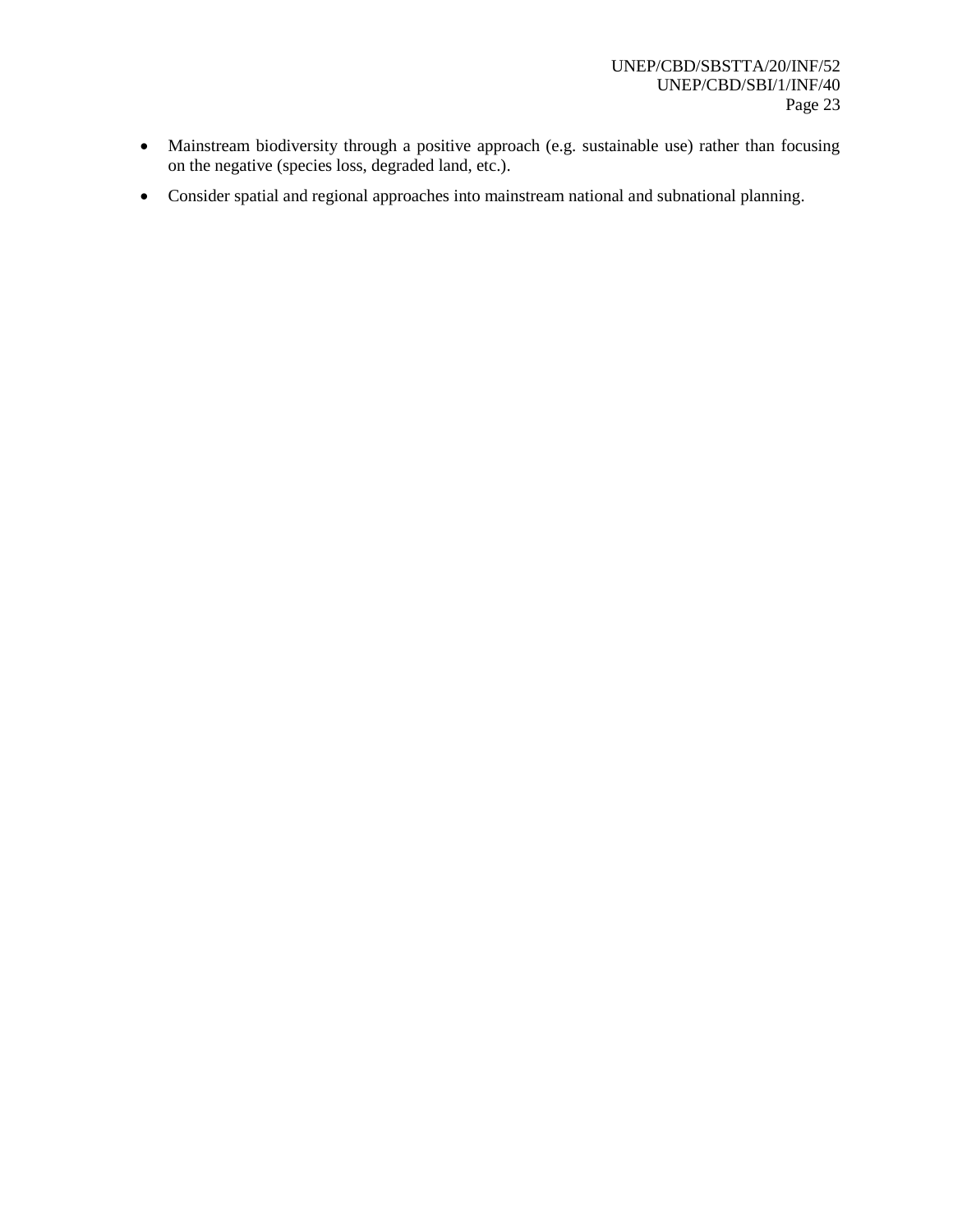- Mainstream biodiversity through a positive approach (e.g. sustainable use) rather than focusing on the negative (species loss, degraded land, etc.).
- Consider spatial and regional approaches into mainstream national and subnational planning.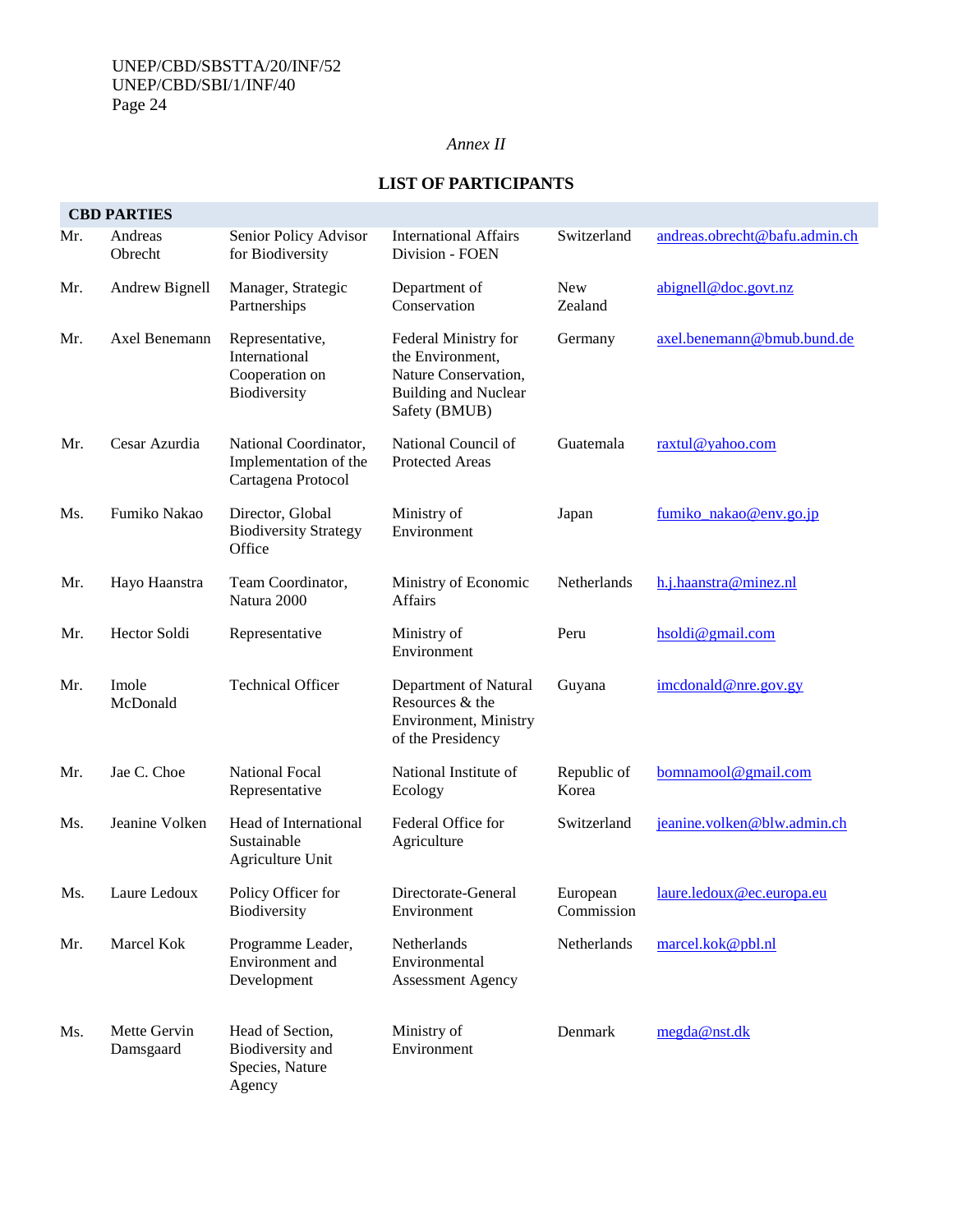## *Annex II*

|     | <b>CBD PARTIES</b>        |                                                                      |                                                                                                                  |                        |                               |
|-----|---------------------------|----------------------------------------------------------------------|------------------------------------------------------------------------------------------------------------------|------------------------|-------------------------------|
| Mr. | Andreas<br>Obrecht        | Senior Policy Advisor<br>for Biodiversity                            | <b>International Affairs</b><br>Division - FOEN                                                                  | Switzerland            | andreas.obrecht@bafu.admin.ch |
| Mr. | Andrew Bignell            | Manager, Strategic<br>Partnerships                                   | Department of<br>Conservation                                                                                    | <b>New</b><br>Zealand  | abigenell@doc.govt.nz         |
| Mr. | Axel Benemann             | Representative,<br>International<br>Cooperation on<br>Biodiversity   | Federal Ministry for<br>the Environment,<br>Nature Conservation,<br><b>Building and Nuclear</b><br>Safety (BMUB) | Germany                | axel.benemann@bmub.bund.de    |
| Mr. | Cesar Azurdia             | National Coordinator,<br>Implementation of the<br>Cartagena Protocol | National Council of<br><b>Protected Areas</b>                                                                    | Guatemala              | raxtul@yahoo.com              |
| Ms. | Fumiko Nakao              | Director, Global<br><b>Biodiversity Strategy</b><br>Office           | Ministry of<br>Environment                                                                                       | Japan                  | fumiko nakao@env.go.jp        |
| Mr. | Hayo Haanstra             | Team Coordinator,<br>Natura 2000                                     | Ministry of Economic<br><b>Affairs</b>                                                                           | Netherlands            | h.j.haanstra@minez.nl         |
| Mr. | Hector Soldi              | Representative                                                       | Ministry of<br>Environment                                                                                       | Peru                   | hsoldi@gmail.com              |
| Mr. | Imole<br>McDonald         | <b>Technical Officer</b>                                             | Department of Natural<br>Resources & the<br>Environment, Ministry<br>of the Presidency                           | Guyana                 | imcdonal d@nre.gov.gy         |
| Mr. | Jae C. Choe               | National Focal<br>Representative                                     | National Institute of<br>Ecology                                                                                 | Republic of<br>Korea   | bomnanool@gmail.com           |
| Ms. | Jeanine Volken            | Head of International<br>Sustainable<br>Agriculture Unit             | Federal Office for<br>Agriculture                                                                                | Switzerland            | jeanine.volken@blw.admin.ch   |
| Ms. | Laure Ledoux              | Policy Officer for<br>Biodiversity                                   | Directorate-General<br>Environment                                                                               | European<br>Commission | laure.ledoux@ec.europa.eu     |
| Mr. | Marcel Kok                | Programme Leader,<br>Environment and<br>Development                  | Netherlands<br>Environmental<br><b>Assessment Agency</b>                                                         | Netherlands            | marcel.kok@pbl.nl             |
| Ms. | Mette Gervin<br>Damsgaard | Head of Section,<br>Biodiversity and<br>Species, Nature<br>Agency    | Ministry of<br>Environment                                                                                       | Denmark                | megda@nst.dk                  |

# **LIST OF PARTICIPANTS**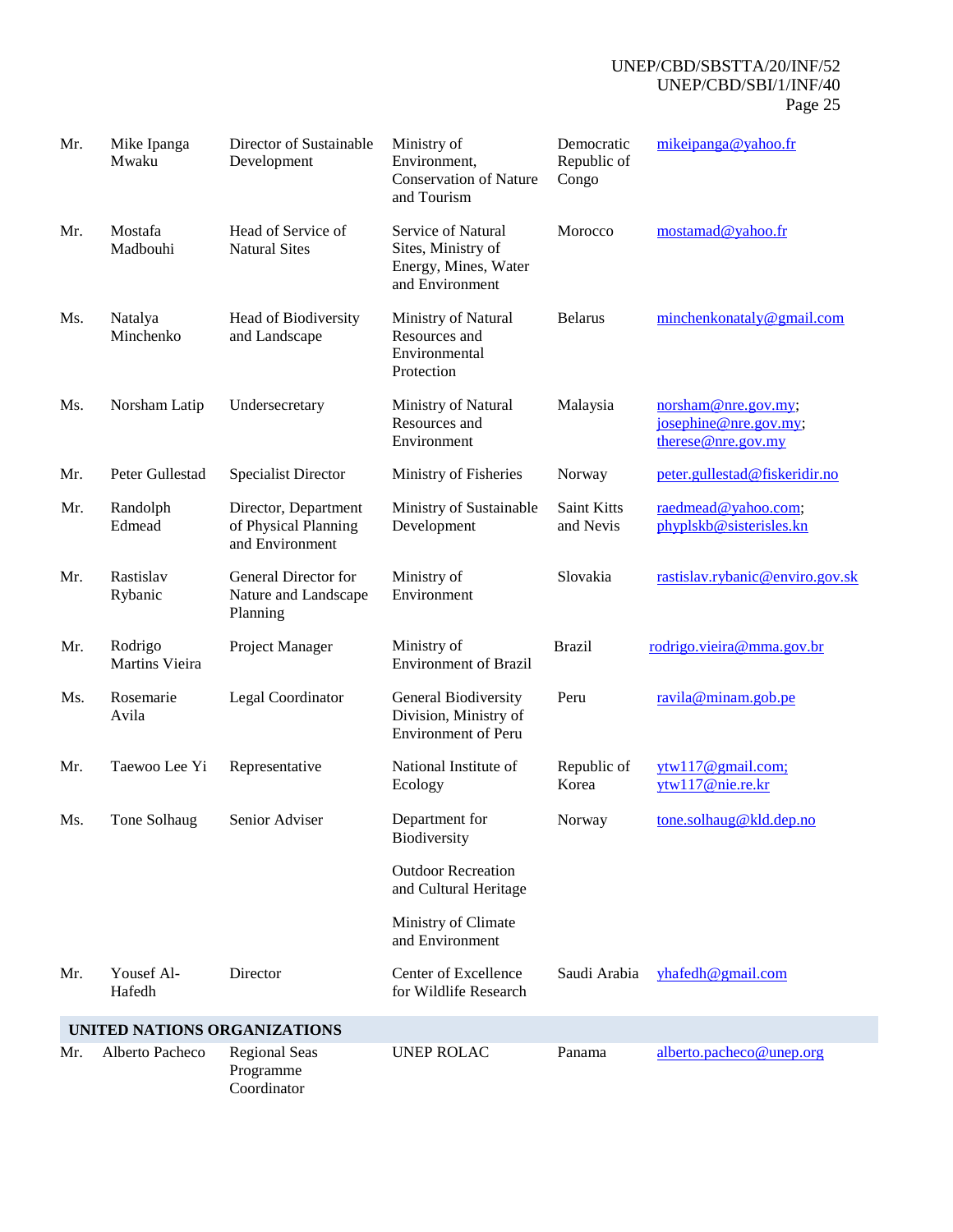| Mr. | Mike Ipanga<br>Mwaku             | Director of Sustainable<br>Development                          | Ministry of<br>Environment,<br><b>Conservation of Nature</b><br>and Tourism         | Democratic<br>Republic of<br>Congo | mikeipanga@yahoo.fr                                               |
|-----|----------------------------------|-----------------------------------------------------------------|-------------------------------------------------------------------------------------|------------------------------------|-------------------------------------------------------------------|
| Mr. | Mostafa<br>Madbouhi              | Head of Service of<br><b>Natural Sites</b>                      | Service of Natural<br>Sites, Ministry of<br>Energy, Mines, Water<br>and Environment | Morocco                            | mostamad@yahoo.fr                                                 |
| Ms. | Natalya<br>Minchenko             | Head of Biodiversity<br>and Landscape                           | Ministry of Natural<br>Resources and<br>Environmental<br>Protection                 | <b>Belarus</b>                     | minchenkonataly@gmail.com                                         |
| Ms. | Norsham Latip                    | Undersecretary                                                  | Ministry of Natural<br>Resources and<br>Environment                                 | Malaysia                           | norsham@nre.gov.my;<br>josephine@nre.gov.my;<br>$there@me.gov my$ |
| Mr. | Peter Gullestad                  | <b>Specialist Director</b>                                      | Ministry of Fisheries                                                               | Norway                             | peter.gullestad@fiskeridir.no                                     |
| Mr. | Randolph<br>Edmead               | Director, Department<br>of Physical Planning<br>and Environment | Ministry of Sustainable<br>Development                                              | Saint Kitts<br>and Nevis           | raedmead@yahoo.com;<br>phyplskb@sisterisles.kn                    |
| Mr. | Rastislav<br>Rybanic             | General Director for<br>Nature and Landscape<br>Planning        | Ministry of<br>Environment                                                          | Slovakia                           | rastislav.rybanic@enviro.gov.sk                                   |
| Mr. | Rodrigo<br><b>Martins Vieira</b> | Project Manager                                                 | Ministry of<br><b>Environment of Brazil</b>                                         | <b>Brazil</b>                      | rodrigo.vieira@mma.gov.br                                         |
| Ms. | Rosemarie<br>Avila               | Legal Coordinator                                               | General Biodiversity<br>Division, Ministry of<br><b>Environment of Peru</b>         | Peru                               | ravila@minam.gob.pe                                               |
| Mr. | Taewoo Lee Yi                    | Representative                                                  | National Institute of<br>Ecology                                                    | Republic of<br>Korea               | ytw117@gmail.com;<br>ytw117@nie.re.kr                             |
| Ms. | Tone Solhaug                     | Senior Adviser                                                  | Department for<br>Biodiversity                                                      | Norway                             | tone.solhaug@kld.dep.no                                           |
|     |                                  |                                                                 | <b>Outdoor Recreation</b><br>and Cultural Heritage                                  |                                    |                                                                   |
|     |                                  |                                                                 | Ministry of Climate<br>and Environment                                              |                                    |                                                                   |
| Mr. | Yousef Al-<br>Hafedh             | Director                                                        | Center of Excellence<br>for Wildlife Research                                       | Saudi Arabia                       | $y$ hafedh@gmail.com                                              |
|     |                                  | UNITED NATIONS ORGANIZATIONS                                    |                                                                                     |                                    |                                                                   |
| Mr. | Alberto Pacheco                  | <b>Regional Seas</b><br>Programme<br>Coordinator                | <b>UNEP ROLAC</b>                                                                   | Panama                             | alberto.pacheco@unep.org                                          |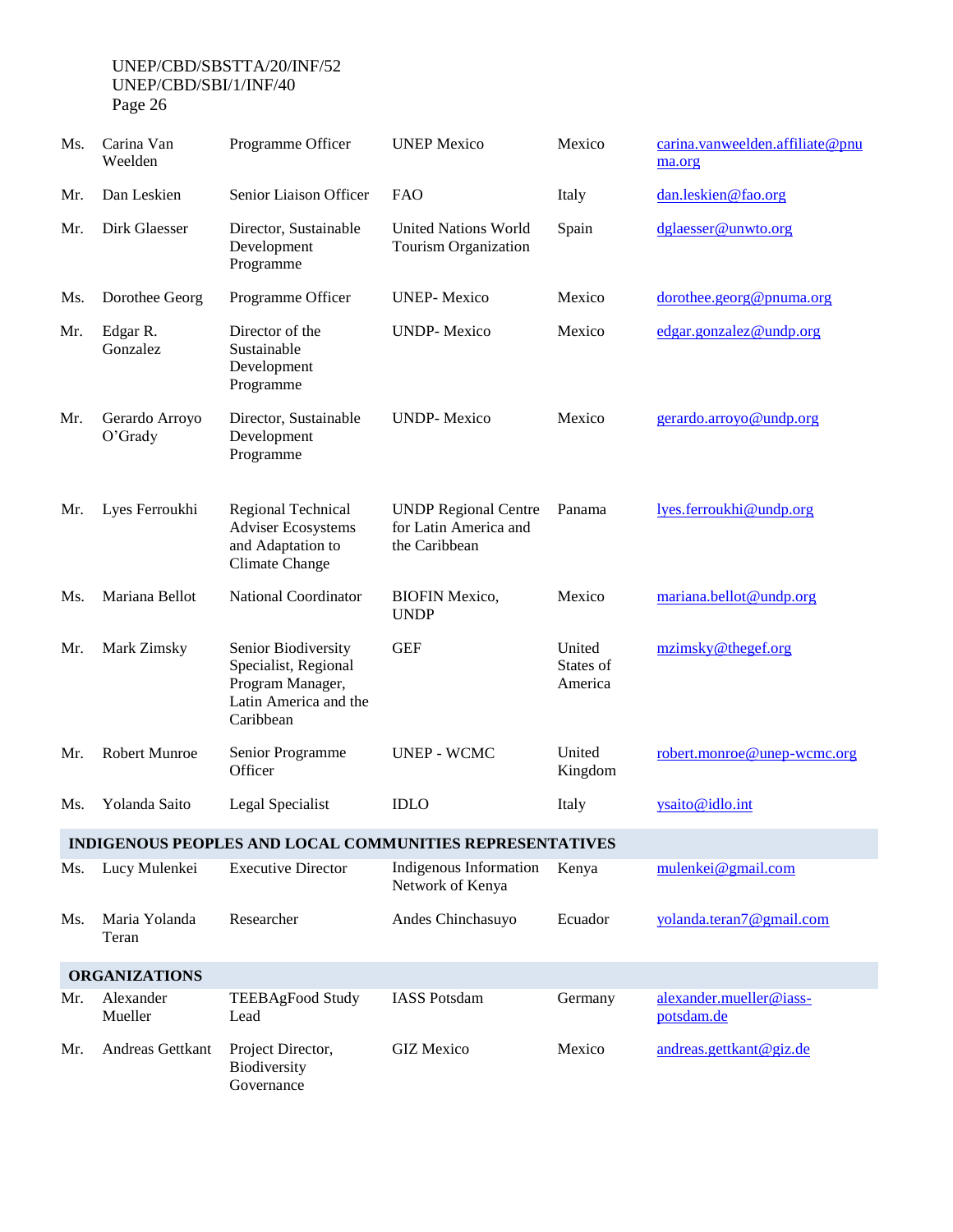| Ms. | Carina Van<br>Weelden        | Programme Officer                                                                                     | <b>UNEP Mexico</b>                                                    | Mexico                         | carina.vanweelden.affiliate@pnu<br>ma.org |
|-----|------------------------------|-------------------------------------------------------------------------------------------------------|-----------------------------------------------------------------------|--------------------------------|-------------------------------------------|
| Mr. | Dan Leskien                  | Senior Liaison Officer                                                                                | <b>FAO</b>                                                            | Italy                          | dan.leskien@fao.org                       |
| Mr. | Dirk Glaesser                | Director, Sustainable<br>Development<br>Programme                                                     | <b>United Nations World</b><br>Tourism Organization                   | Spain                          | dglaesser@unwto.org                       |
| Ms. | Dorothee Georg               | Programme Officer                                                                                     | <b>UNEP-Mexico</b>                                                    | Mexico                         | dorothee.georg@pnuma.org                  |
| Mr. | Edgar R.<br>Gonzalez         | Director of the<br>Sustainable<br>Development<br>Programme                                            | <b>UNDP-Mexico</b>                                                    | Mexico                         | edgar.gonzalez@undp.org                   |
| Mr. | Gerardo Arroyo<br>$O'$ Grady | Director, Sustainable<br>Development<br>Programme                                                     | <b>UNDP-Mexico</b>                                                    | Mexico                         | gerardo.arroyo@undp.org                   |
| Mr. | Lyes Ferroukhi               | Regional Technical<br><b>Adviser Ecosystems</b><br>and Adaptation to<br>Climate Change                | <b>UNDP Regional Centre</b><br>for Latin America and<br>the Caribbean | Panama                         | lyes.ferroukhi@undp.org                   |
| Ms. | Mariana Bellot               | <b>National Coordinator</b>                                                                           | <b>BIOFIN Mexico,</b><br><b>UNDP</b>                                  | Mexico                         | mariana.bellot@undp.org                   |
| Mr. | Mark Zimsky                  | Senior Biodiversity<br>Specialist, Regional<br>Program Manager,<br>Latin America and the<br>Caribbean | <b>GEF</b>                                                            | United<br>States of<br>America | mzimsky@thegef.org                        |
| Mr. | Robert Munroe                | Senior Programme<br>Officer                                                                           | <b>UNEP - WCMC</b>                                                    | United<br>Kingdom              | robert.monroe@unep-wcmc.org               |
| Ms. | Yolanda Saito                | Legal Specialist                                                                                      | <b>IDLO</b>                                                           | Italy                          | ysaito@idlo.int                           |
|     |                              |                                                                                                       | INDIGENOUS PEOPLES AND LOCAL COMMUNITIES REPRESENTATIVES              |                                |                                           |
| Ms. | Lucy Mulenkei                | <b>Executive Director</b>                                                                             | Indigenous Information<br>Network of Kenya                            | Kenya                          | mulenkei@gmail.com                        |
| Ms. | Maria Yolanda<br>Teran       | Researcher                                                                                            | Andes Chinchasuyo                                                     | Ecuador                        | yolanda.teran7@gmail.com                  |
|     | <b>ORGANIZATIONS</b>         |                                                                                                       |                                                                       |                                |                                           |
| Mr. | Alexander<br>Mueller         | <b>TEEBAgFood Study</b><br>Lead                                                                       | <b>IASS Potsdam</b>                                                   | Germany                        | alexander.mueller@iass-<br>potsdam.de     |
| Mr. | Andreas Gettkant             | Project Director,<br>Biodiversity<br>Governance                                                       | <b>GIZ</b> Mexico                                                     | Mexico                         | andreas.gettkant@giz.de                   |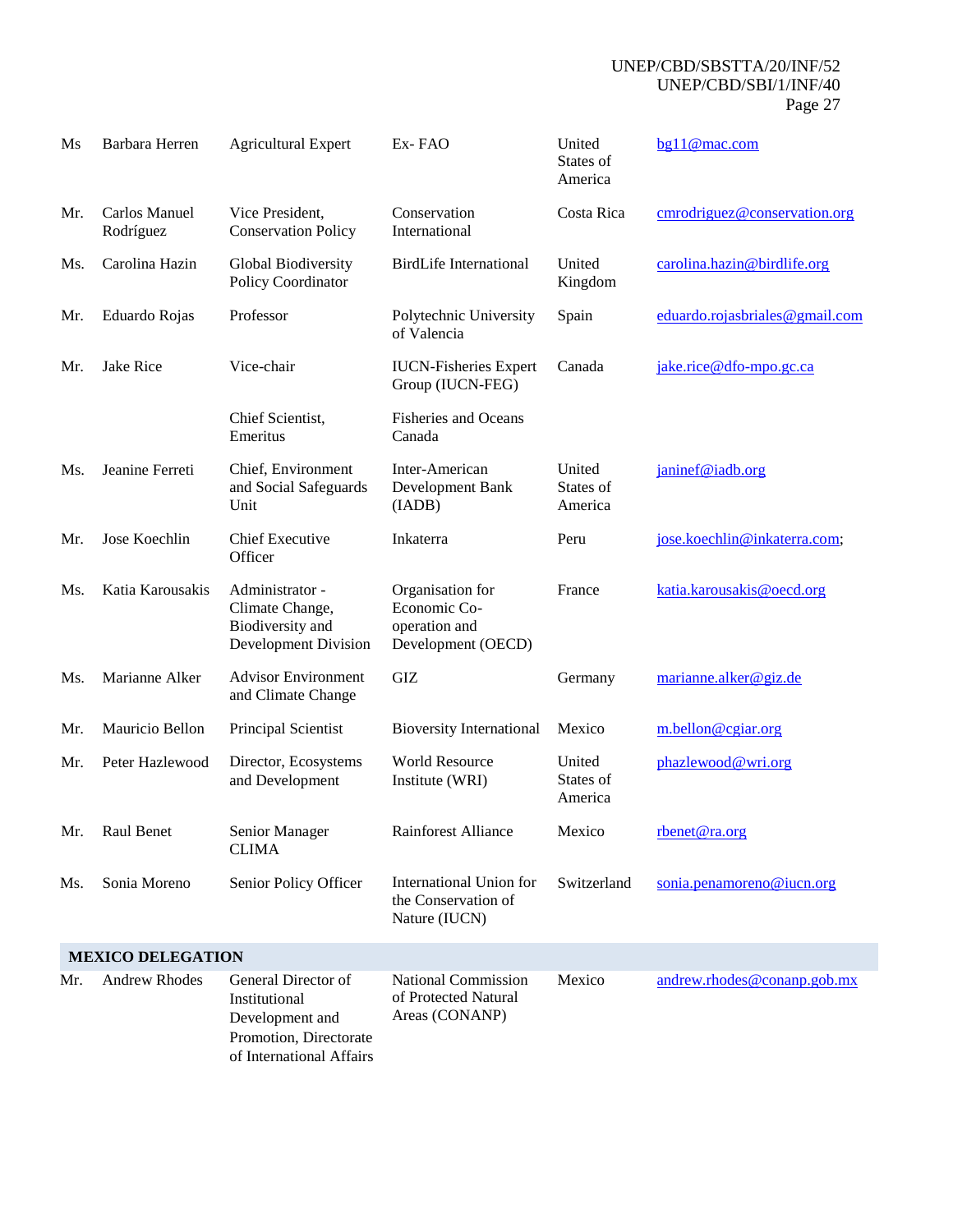| Ms  | Barbara Herren             | <b>Agricultural Expert</b>                                                                                    | Ex-FAO                                                                  | United<br>States of<br>America | bg11@mac.com                   |
|-----|----------------------------|---------------------------------------------------------------------------------------------------------------|-------------------------------------------------------------------------|--------------------------------|--------------------------------|
| Mr. | Carlos Manuel<br>Rodríguez | Vice President,<br><b>Conservation Policy</b>                                                                 | Conservation<br>International                                           | Costa Rica                     | cmrodriguez@conservation.org   |
| Ms. | Carolina Hazin             | Global Biodiversity<br>Policy Coordinator                                                                     | <b>BirdLife International</b>                                           | United<br>Kingdom              | carolina.hazin@birdlife.org    |
| Mr. | Eduardo Rojas              | Professor                                                                                                     | Polytechnic University<br>of Valencia                                   | Spain                          | eduardo.rojasbriales@gmail.com |
| Mr. | <b>Jake Rice</b>           | Vice-chair                                                                                                    | <b>IUCN-Fisheries Expert</b><br>Group (IUCN-FEG)                        | Canada                         | jake.rice@dfo-mpo.gc.ca        |
|     |                            | Chief Scientist,<br>Emeritus                                                                                  | <b>Fisheries and Oceans</b><br>Canada                                   |                                |                                |
| Ms. | Jeanine Ferreti            | Chief, Environment<br>and Social Safeguards<br>Unit                                                           | Inter-American<br>Development Bank<br>(IADB)                            | United<br>States of<br>America | janinef@iadb.org               |
| Mr. | Jose Koechlin              | <b>Chief Executive</b><br>Officer                                                                             | Inkaterra                                                               | Peru                           | jose.koechlin@inkaterra.com;   |
| Ms. | Katia Karousakis           | Administrator -<br>Climate Change,<br>Biodiversity and<br>Development Division                                | Organisation for<br>Economic Co-<br>operation and<br>Development (OECD) | France                         | katia.karousakis@oecd.org      |
| Ms. | Marianne Alker             | <b>Advisor Environment</b><br>and Climate Change                                                              | GIZ                                                                     | Germany                        | marianne.alker@giz.de          |
| Mr. | Mauricio Bellon            | Principal Scientist                                                                                           | <b>Bioversity International</b>                                         | Mexico                         | m.bellon@cgiar.org             |
| Mr. | Peter Hazlewood            | Director, Ecosystems<br>and Development                                                                       | <b>World Resource</b><br>Institute (WRI)                                | United<br>States of<br>America | phazlewood@wri.org             |
| Mr. | Raul Benet                 | Senior Manager<br><b>CLIMA</b>                                                                                | Rainforest Alliance                                                     | Mexico                         | rbenet@ra.org                  |
| Ms. | Sonia Moreno               | Senior Policy Officer                                                                                         | International Union for<br>the Conservation of<br>Nature (IUCN)         | Switzerland                    | sonia.penamoreno@iucn.org      |
|     | <b>MEXICO DELEGATION</b>   |                                                                                                               |                                                                         |                                |                                |
| Mr. | <b>Andrew Rhodes</b>       | General Director of<br>Institutional<br>Development and<br>Promotion, Directorate<br>of International Affairs | <b>National Commission</b><br>of Protected Natural<br>Areas (CONANP)    | Mexico                         | andrew.rhodes@conanp.gob.mx    |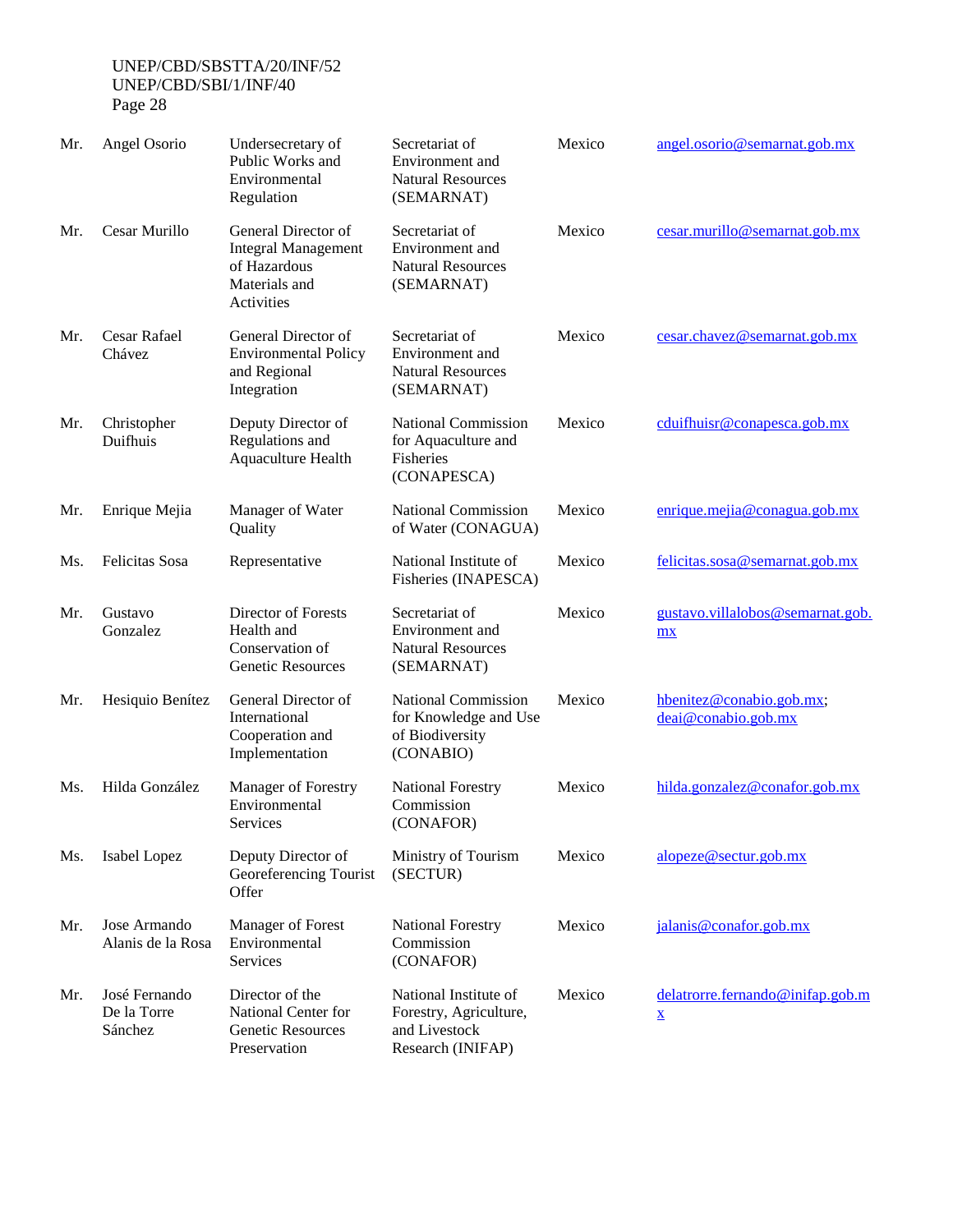| ┑ |  |
|---|--|
|---|--|

| Mr. | Angel Osorio                            | Undersecretary of<br>Public Works and<br>Environmental<br>Regulation                             | Secretariat of<br>Environment and<br><b>Natural Resources</b><br>(SEMARNAT)           | Mexico | angel.osorio@semarnat.gob.mx                                 |
|-----|-----------------------------------------|--------------------------------------------------------------------------------------------------|---------------------------------------------------------------------------------------|--------|--------------------------------------------------------------|
| Mr. | Cesar Murillo                           | General Director of<br><b>Integral Management</b><br>of Hazardous<br>Materials and<br>Activities | Secretariat of<br>Environment and<br><b>Natural Resources</b><br>(SEMARNAT)           | Mexico | cesar.murillo@semarnat.gov.mx                                |
| Mr. | Cesar Rafael<br>Chávez                  | General Director of<br><b>Environmental Policy</b><br>and Regional<br>Integration                | Secretariat of<br>Environment and<br><b>Natural Resources</b><br>(SEMARNAT)           | Mexico | cesar.chavez@semarnat.gob.mx                                 |
| Mr. | Christopher<br>Duifhuis                 | Deputy Director of<br>Regulations and<br>Aquaculture Health                                      | <b>National Commission</b><br>for Aquaculture and<br>Fisheries<br>(CONAPESCA)         | Mexico | cduifhuisr@conapesca.gob.mx                                  |
| Mr. | Enrique Mejia                           | Manager of Water<br>Quality                                                                      | <b>National Commission</b><br>of Water (CONAGUA)                                      | Mexico | enrique.mejia@conagua.gob.mx                                 |
| Ms. | Felicitas Sosa                          | Representative                                                                                   | National Institute of<br>Fisheries (INAPESCA)                                         | Mexico | felicitas.sosa@semarnat.gob.mx                               |
| Mr. | Gustavo<br>Gonzalez                     | Director of Forests<br>Health and<br>Conservation of<br>Genetic Resources                        | Secretariat of<br>Environment and<br><b>Natural Resources</b><br>(SEMARNAT)           | Mexico | gustavo.villalobos@semarnat.gob.<br>mx                       |
| Mr. | Hesiquio Benítez                        | General Director of<br>International<br>Cooperation and<br>Implementation                        | <b>National Commission</b><br>for Knowledge and Use<br>of Biodiversity<br>(CONABIO)   | Mexico | hbenitez@conabio.gob.mx;<br>deai@conabio.gob.mx              |
| Ms. | Hilda González                          | Manager of Forestry<br>Environmental<br>Services                                                 | <b>National Forestry</b><br>Commission<br>(CONAFOR)                                   | Mexico | hilda.gonzalez@conafor.gob.mx                                |
| Ms. | Isabel Lopez                            | Deputy Director of<br>Georeferencing Tourist<br>Offer                                            | Ministry of Tourism<br>(SECTUR)                                                       | Mexico | alopeze@sectur.gob.mx                                        |
| Mr. | Jose Armando<br>Alanis de la Rosa       | Manager of Forest<br>Environmental<br><b>Services</b>                                            | <b>National Forestry</b><br>Commission<br>(CONAFOR)                                   | Mexico | jalanis@conafor.gob.mx                                       |
| Mr. | José Fernando<br>De la Torre<br>Sánchez | Director of the<br>National Center for<br>Genetic Resources<br>Preservation                      | National Institute of<br>Forestry, Agriculture,<br>and Livestock<br>Research (INIFAP) | Mexico | delatrorre.fernando@inifap.gob.m<br>$\underline{\mathbf{X}}$ |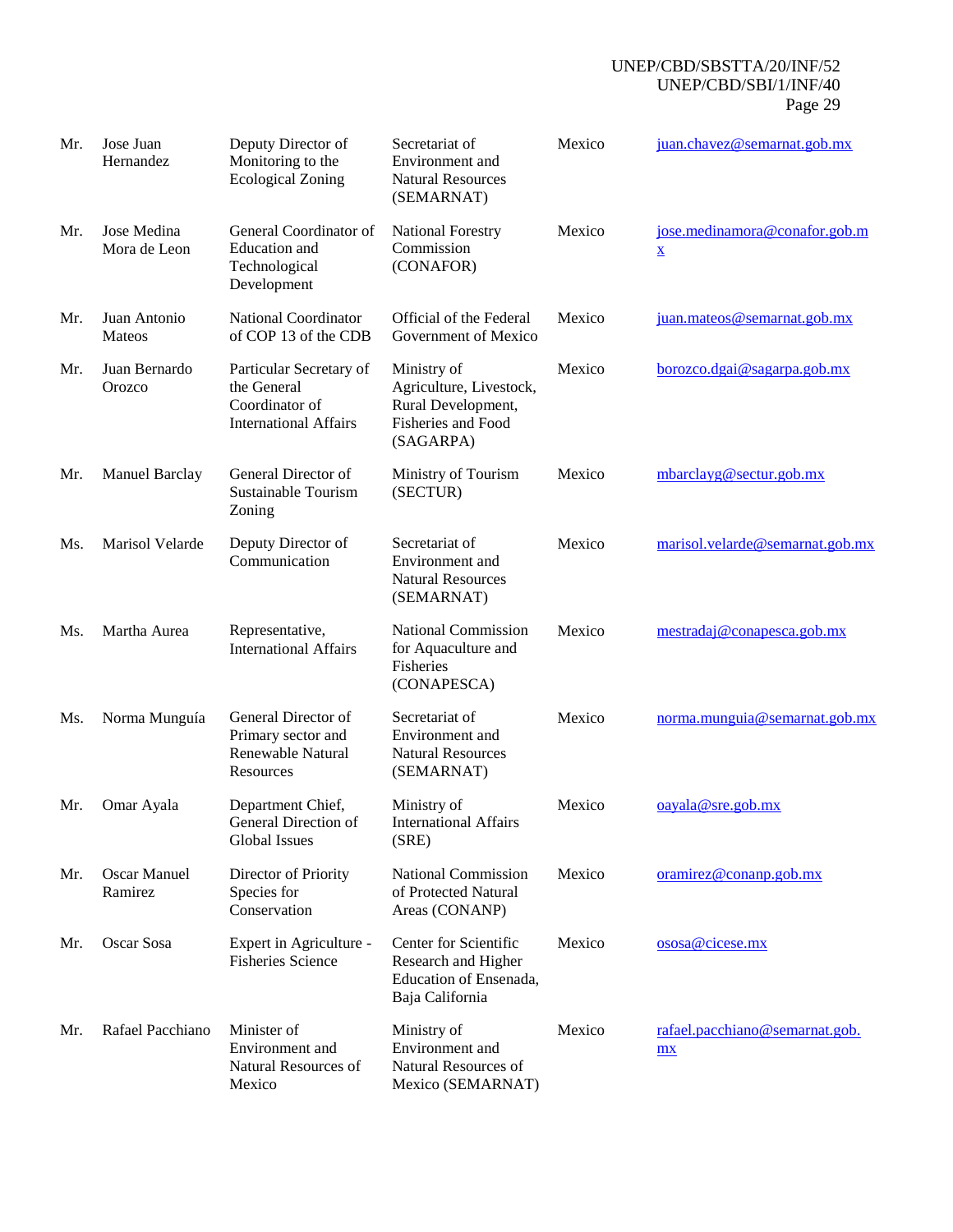| Mr. | Jose Juan<br>Hernandez         | Deputy Director of<br>Monitoring to the<br><b>Ecological Zoning</b>                      | Secretariat of<br>Environment and<br><b>Natural Resources</b><br>(SEMARNAT)                            | Mexico | juan.chavez@semarnat.gob.mx                               |
|-----|--------------------------------|------------------------------------------------------------------------------------------|--------------------------------------------------------------------------------------------------------|--------|-----------------------------------------------------------|
| Mr. | Jose Medina<br>Mora de Leon    | General Coordinator of<br>Education and<br>Technological<br>Development                  | <b>National Forestry</b><br>Commission<br>(CONAFOR)                                                    | Mexico | jose.medinamora@conafor.gob.m<br>$\underline{\mathbf{x}}$ |
| Mr. | Juan Antonio<br><b>Mateos</b>  | National Coordinator<br>of COP 13 of the CDB                                             | Official of the Federal<br>Government of Mexico                                                        | Mexico | juan.mateos@semarnat.gob.mx                               |
| Mr. | Juan Bernardo<br>Orozco        | Particular Secretary of<br>the General<br>Coordinator of<br><b>International Affairs</b> | Ministry of<br>Agriculture, Livestock,<br>Rural Development,<br><b>Fisheries and Food</b><br>(SAGARPA) | Mexico | borozco.dgai@sagarpa.gob.mx                               |
| Mr. | <b>Manuel Barclay</b>          | General Director of<br>Sustainable Tourism<br>Zoning                                     | Ministry of Tourism<br>(SECTUR)                                                                        | Mexico | mbarclayg@sectur.gob.mx                                   |
| Ms. | Marisol Velarde                | Deputy Director of<br>Communication                                                      | Secretariat of<br>Environment and<br><b>Natural Resources</b><br>(SEMARNAT)                            | Mexico | marisol.velarde@semarnat.gob.mx                           |
| Ms. | Martha Aurea                   | Representative,<br><b>International Affairs</b>                                          | <b>National Commission</b><br>for Aquaculture and<br>Fisheries<br>(CONAPESCA)                          | Mexico | mestradaj@conapesca.gob.mx                                |
| Ms. | Norma Munguía                  | General Director of<br>Primary sector and<br>Renewable Natural<br>Resources              | Secretariat of<br>Environment and<br><b>Natural Resources</b><br>(SEMARNAT)                            | Mexico | norma.munguia@semarnat.gob.mx                             |
| Mr. | Omar Ayala                     | Department Chief,<br>General Direction of<br>Global Issues                               | Ministry of<br>International Affairs<br>(SRE)                                                          | Mexico | $oayala@$ sre.gob.mx                                      |
| Mr. | <b>Oscar Manuel</b><br>Ramirez | Director of Priority<br>Species for<br>Conservation                                      | <b>National Commission</b><br>of Protected Natural<br>Areas (CONANP)                                   | Mexico | or a mirez @ company.gov(mx)                              |
| Mr. | Oscar Sosa                     | Expert in Agriculture -<br><b>Fisheries Science</b>                                      | Center for Scientific<br>Research and Higher<br>Education of Ensenada,<br>Baja California              | Mexico | ososa@cicese.mx                                           |
| Mr. | Rafael Pacchiano               | Minister of<br>Environment and<br>Natural Resources of<br>Mexico                         | Ministry of<br>Environment and<br>Natural Resources of<br>Mexico (SEMARNAT)                            | Mexico | rafael.pacchiano@semarnat.gob.<br>mx                      |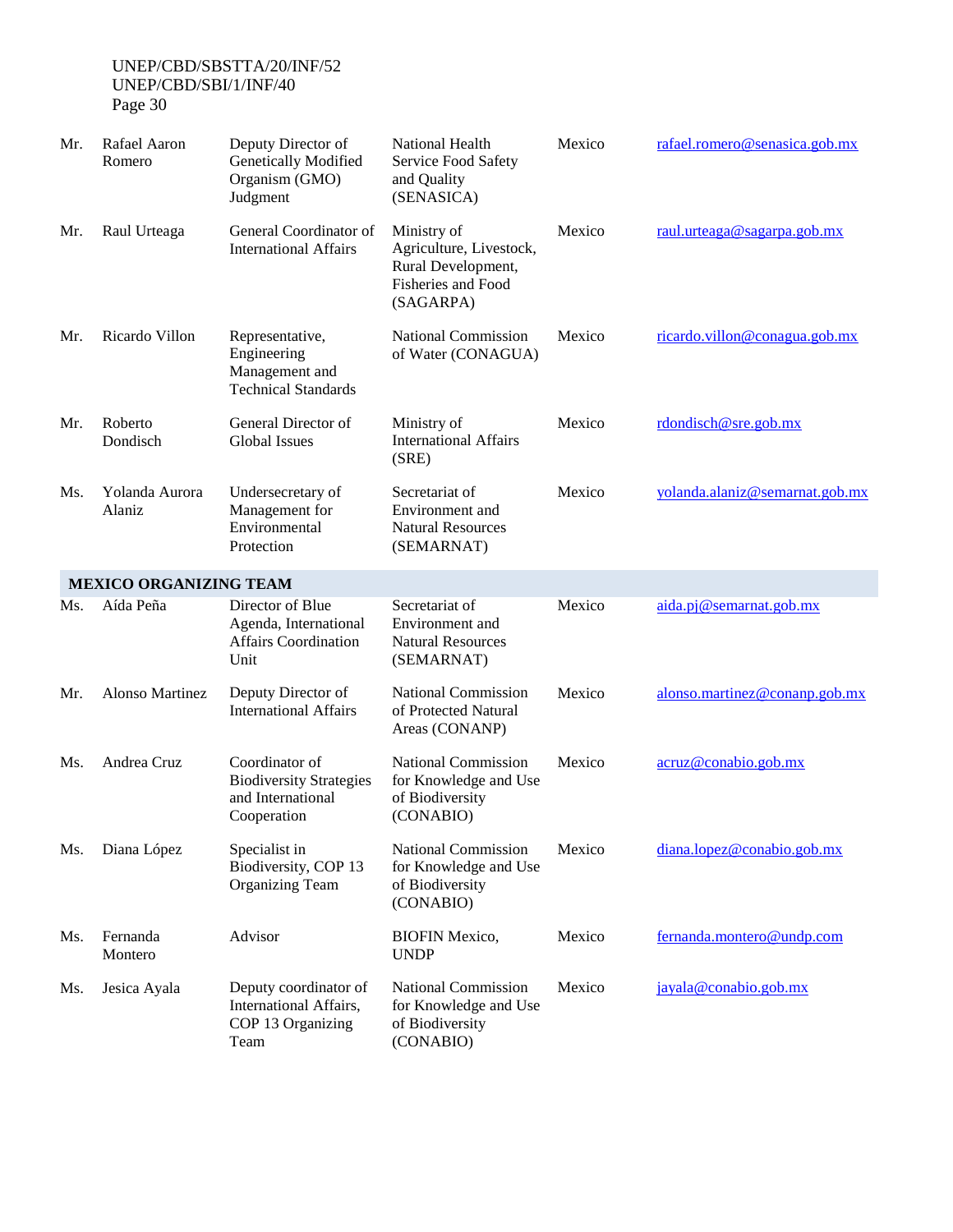| Mr. | Rafael Aaron<br>Romero        | Deputy Director of<br>Genetically Modified<br>Organism (GMO)<br>Judgment             | National Health<br>Service Food Safety<br>and Quality<br>(SENASICA)                             | Mexico | rafael.romero@senasica.gob.mx  |
|-----|-------------------------------|--------------------------------------------------------------------------------------|-------------------------------------------------------------------------------------------------|--------|--------------------------------|
| Mr. | Raul Urteaga                  | General Coordinator of<br><b>International Affairs</b>                               | Ministry of<br>Agriculture, Livestock,<br>Rural Development,<br>Fisheries and Food<br>(SAGARPA) | Mexico | raul.urteaga@sagarpa.gob.mx    |
| Mr. | Ricardo Villon                | Representative,<br>Engineering<br>Management and<br><b>Technical Standards</b>       | National Commission<br>of Water (CONAGUA)                                                       | Mexico | ricardo.villon@conagua.gob.mx  |
| Mr. | Roberto<br>Dondisch           | General Director of<br><b>Global Issues</b>                                          | Ministry of<br><b>International Affairs</b><br>(SRE)                                            | Mexico | $r$ dondisch@sre.gob.mx        |
| Ms. | Yolanda Aurora<br>Alaniz      | Undersecretary of<br>Management for<br>Environmental<br>Protection                   | Secretariat of<br>Environment and<br><b>Natural Resources</b><br>(SEMARNAT)                     | Mexico | yolanda.alaniz@semarnat.gob.mx |
|     | <b>MEXICO ORGANIZING TEAM</b> |                                                                                      |                                                                                                 |        |                                |
| Ms. | Aída Peña                     | Director of Blue<br>Agenda, International<br><b>Affairs Coordination</b><br>Unit     | Secretariat of<br>Environment and<br><b>Natural Resources</b><br>(SEMARNAT)                     | Mexico | aida.pj@semarnat.gob.mx        |
| Mr. | Alonso Martinez               | Deputy Director of<br><b>International Affairs</b>                                   | <b>National Commission</b><br>of Protected Natural<br>Areas (CONANP)                            | Mexico | alonso.martinez@conanp.gob.mx  |
| Ms. | Andrea Cruz                   | Coordinator of<br><b>Biodiversity Strategies</b><br>and International<br>Cooperation | <b>National Commission</b><br>for Knowledge and Use<br>of Biodiversity<br>(CONABIO)             | Mexico | acruz@conabio.gob.mx           |
| Ms. | Diana López                   | Specialist in<br>Biodiversity, COP 13<br><b>Organizing Team</b>                      | <b>National Commission</b><br>for Knowledge and Use<br>of Biodiversity<br>(CONABIO)             | Mexico | diana.lopez@conabio.gob.mx     |
| Ms. | Fernanda<br>Montero           | Advisor                                                                              | <b>BIOFIN Mexico,</b><br><b>UNDP</b>                                                            | Mexico | fernanda.montero@undp.com      |
| Ms. | Jesica Ayala                  | Deputy coordinator of<br>International Affairs,<br>COP 13 Organizing<br>Team         | <b>National Commission</b><br>for Knowledge and Use<br>of Biodiversity<br>(CONABIO)             | Mexico | jayala@conabio.gob.mx          |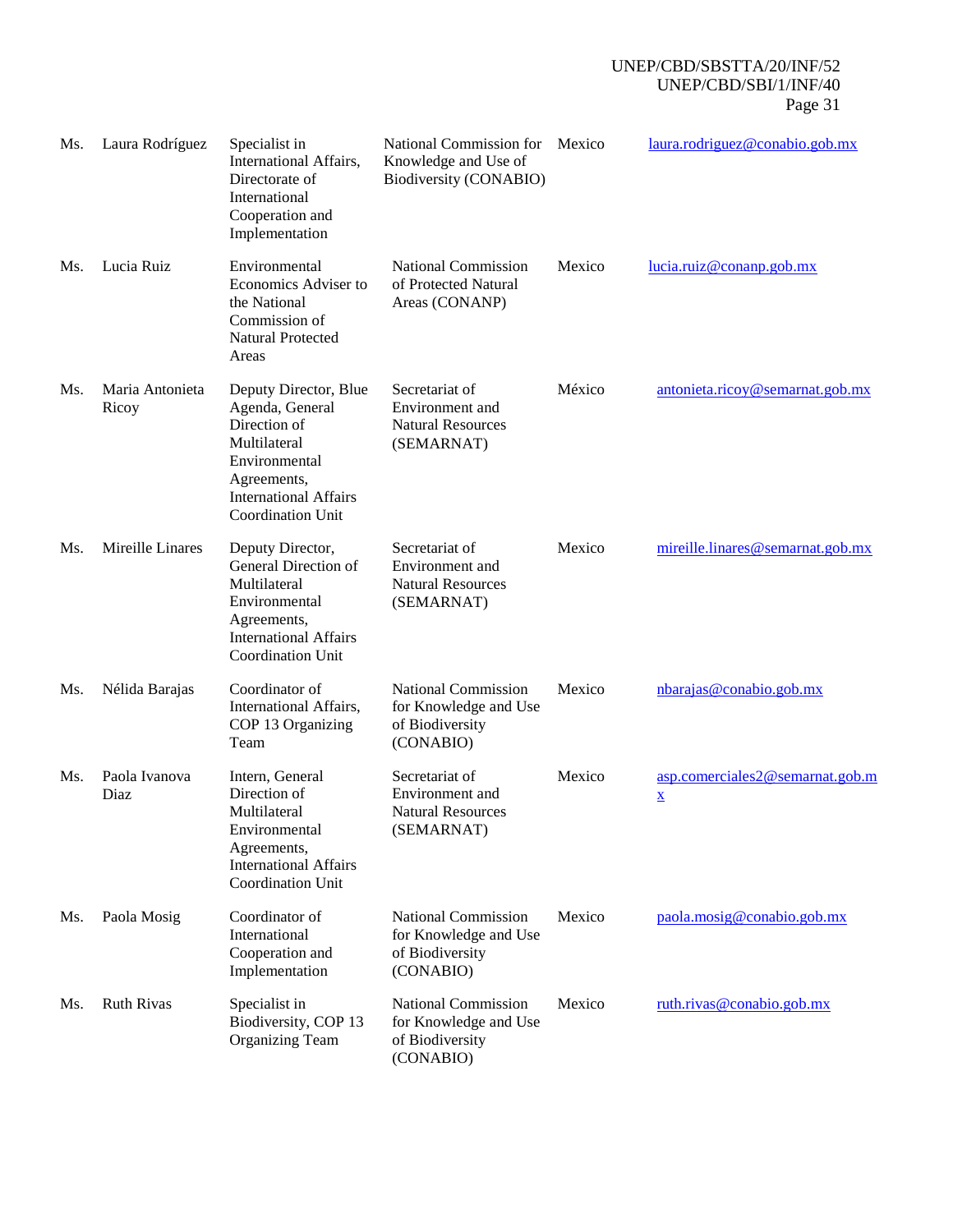| Ms. | Laura Rodríguez          | Specialist in<br>International Affairs,<br>Directorate of<br>International<br>Cooperation and<br>Implementation                                                      | National Commission for<br>Knowledge and Use of<br>Biodiversity (CONABIO)           | Mexico | laura.rodriguez@conabio.gob.mx                              |
|-----|--------------------------|----------------------------------------------------------------------------------------------------------------------------------------------------------------------|-------------------------------------------------------------------------------------|--------|-------------------------------------------------------------|
| Ms. | Lucia Ruiz               | Environmental<br>Economics Adviser to<br>the National<br>Commission of<br>Natural Protected<br>Areas                                                                 | <b>National Commission</b><br>of Protected Natural<br>Areas (CONANP)                | Mexico | lucia.ruiz@conanp.gov.mx                                    |
| Ms. | Maria Antonieta<br>Ricoy | Deputy Director, Blue<br>Agenda, General<br>Direction of<br>Multilateral<br>Environmental<br>Agreements,<br><b>International Affairs</b><br><b>Coordination Unit</b> | Secretariat of<br>Environment and<br><b>Natural Resources</b><br>(SEMARNAT)         | México | antonieta.ricoy@semarnat.gob.mx                             |
| Ms. | Mireille Linares         | Deputy Director,<br>General Direction of<br>Multilateral<br>Environmental<br>Agreements,<br><b>International Affairs</b><br>Coordination Unit                        | Secretariat of<br>Environment and<br><b>Natural Resources</b><br>(SEMARNAT)         | Mexico | mireille.linares@semarnat.gob.mx                            |
| Ms. | Nélida Barajas           | Coordinator of<br>International Affairs,<br>COP 13 Organizing<br>Team                                                                                                | <b>National Commission</b><br>for Knowledge and Use<br>of Biodiversity<br>(CONABIO) | Mexico | nbarajas@conabio.gob.mx                                     |
| Ms. | Paola Ivanova<br>Diaz    | Intern, General<br>Direction of<br>Multilateral<br>Environmental<br>Agreements,<br><b>International Affairs</b><br>Coordination Unit                                 | Secretariat of<br>Environment and<br><b>Natural Resources</b><br>(SEMARNAT)         | Mexico | asp.comerciales2@semarnat.gob.m<br>$\underline{\mathbf{X}}$ |
| Ms. | Paola Mosig              | Coordinator of<br>International<br>Cooperation and<br>Implementation                                                                                                 | <b>National Commission</b><br>for Knowledge and Use<br>of Biodiversity<br>(CONABIO) | Mexico | paola.mosig@conabio.gob.mx                                  |
| Ms. | <b>Ruth Rivas</b>        | Specialist in<br>Biodiversity, COP 13<br><b>Organizing Team</b>                                                                                                      | <b>National Commission</b><br>for Knowledge and Use<br>of Biodiversity<br>(CONABIO) | Mexico | ruth.rivas@conabio.gob.mx                                   |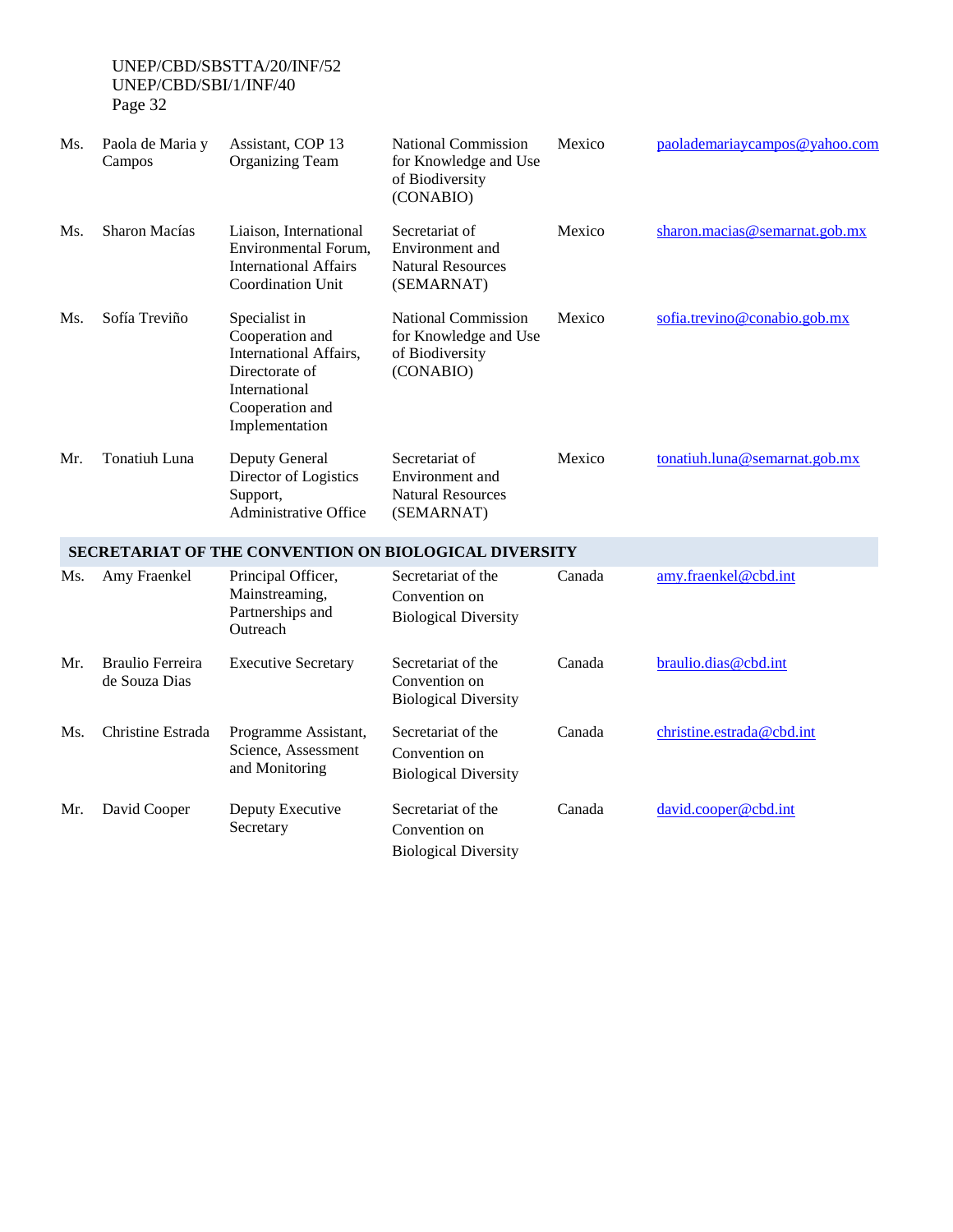| Ms. | Paola de Maria y<br>Campos               | Assistant, COP 13<br><b>Organizing Team</b>                                                                                        | <b>National Commission</b><br>for Knowledge and Use<br>of Biodiversity<br>(CONABIO) | Mexico | paolademariaycampos@yahoo.com |
|-----|------------------------------------------|------------------------------------------------------------------------------------------------------------------------------------|-------------------------------------------------------------------------------------|--------|-------------------------------|
| Ms. | Sharon Macías                            | Liaison, International<br>Environmental Forum,<br><b>International Affairs</b><br>Coordination Unit                                | Secretariat of<br>Environment and<br><b>Natural Resources</b><br>(SEMARNAT)         | Mexico | sharon.macias@semarnat.gob.mx |
| Ms. | Sofía Treviño                            | Specialist in<br>Cooperation and<br>International Affairs,<br>Directorate of<br>International<br>Cooperation and<br>Implementation | National Commission<br>for Knowledge and Use<br>of Biodiversity<br>(CONABIO)        | Mexico | sofia.trevino@conabio.gob.mx  |
| Mr. | Tonatiuh Luna                            | Deputy General<br>Director of Logistics<br>Support,<br>Administrative Office                                                       | Secretariat of<br>Environment and<br><b>Natural Resources</b><br>(SEMARNAT)         | Mexico | tonatiuh.luna@semarnat.gob.mx |
|     |                                          |                                                                                                                                    | <b>SECRETARIAT OF THE CONVENTION ON BIOLOGICAL DIVERSITY</b>                        |        |                               |
| Ms. | Amy Fraenkel                             | Principal Officer,<br>Mainstreaming,<br>Partnerships and<br>Outreach                                                               | Secretariat of the<br>Convention on<br><b>Biological Diversity</b>                  | Canada | amy.fraenkel@cbd.int          |
| Mr. | <b>Braulio Ferreira</b><br>de Souza Dias | <b>Executive Secretary</b>                                                                                                         | Secretariat of the<br>Convention on<br><b>Biological Diversity</b>                  | Canada | braulio.dias@cbd.int          |
| Ms. | Christine Estrada                        | Programme Assistant,<br>Science, Assessment<br>and Monitoring                                                                      | Secretariat of the<br>Convention on<br><b>Biological Diversity</b>                  | Canada | christine.estrada@cbd.int     |
| Mr. | David Cooper                             | Deputy Executive<br>Secretary                                                                                                      | Secretariat of the<br>Convention on<br><b>Biological Diversity</b>                  | Canada | david.cooper@cbd.int          |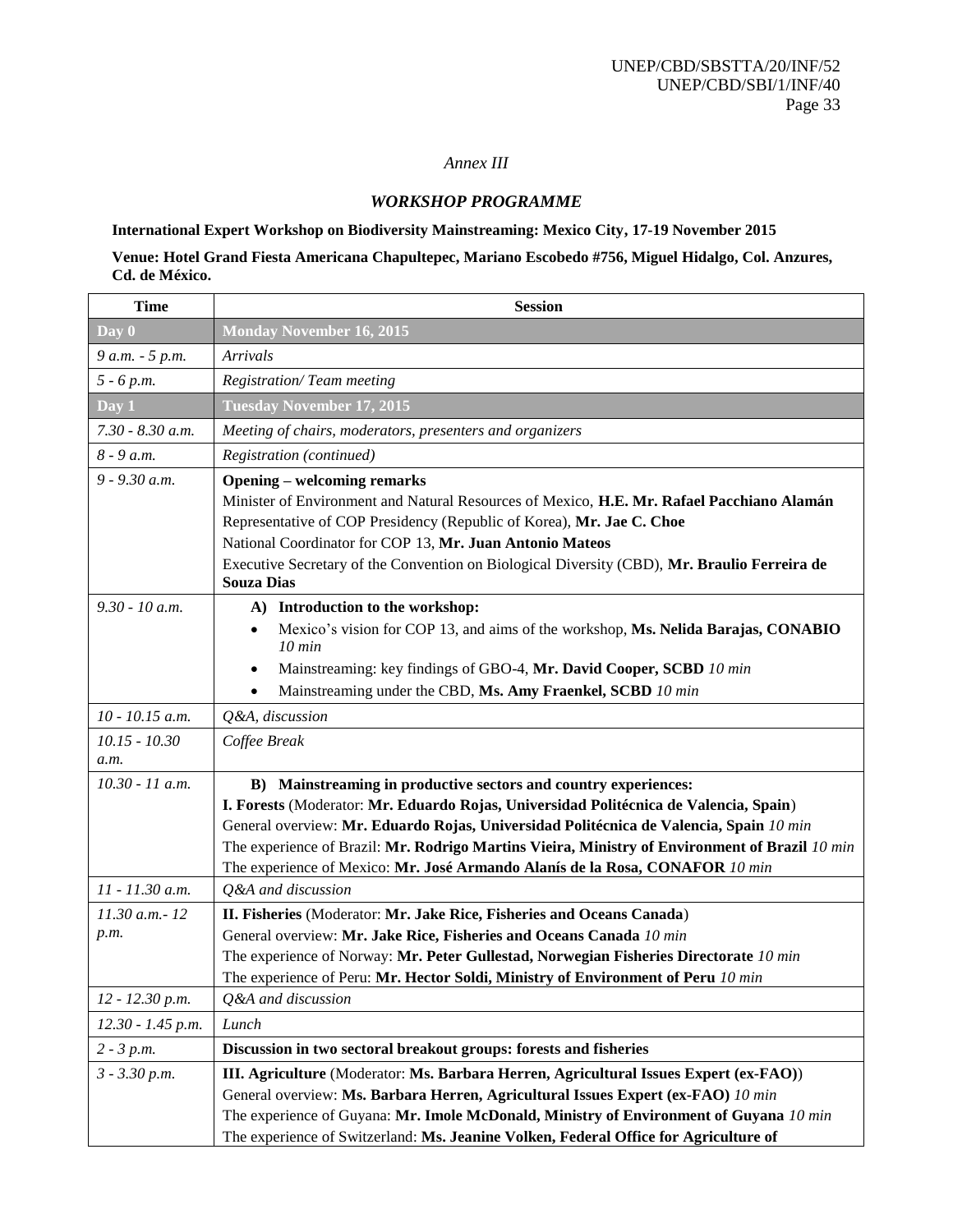## *Annex III*

#### *WORKSHOP PROGRAMME*

# **International Expert Workshop on Biodiversity Mainstreaming: Mexico City, 17-19 November 2015**

## **Venue: Hotel Grand Fiesta Americana Chapultepec, Mariano Escobedo #756, Miguel Hidalgo, Col. Anzures, Cd. de México.**

| <b>Time</b>             | <b>Session</b>                                                                                                                                                                                                                                                                                                                                                                                                                       |
|-------------------------|--------------------------------------------------------------------------------------------------------------------------------------------------------------------------------------------------------------------------------------------------------------------------------------------------------------------------------------------------------------------------------------------------------------------------------------|
| Day 0                   | <b>Monday November 16, 2015</b>                                                                                                                                                                                                                                                                                                                                                                                                      |
| 9 a.m. - 5 p.m.         | Arrivals                                                                                                                                                                                                                                                                                                                                                                                                                             |
| $5 - 6 p.m.$            | <b>Registration/Team meeting</b>                                                                                                                                                                                                                                                                                                                                                                                                     |
| Day 1                   | <b>Tuesday November 17, 2015</b>                                                                                                                                                                                                                                                                                                                                                                                                     |
| 7.30 - 8.30 а.т.        | Meeting of chairs, moderators, presenters and organizers                                                                                                                                                                                                                                                                                                                                                                             |
| $8 - 9 a.m.$            | Registration (continued)                                                                                                                                                                                                                                                                                                                                                                                                             |
| $9 - 9.30$ a.m.         | <b>Opening – welcoming remarks</b><br>Minister of Environment and Natural Resources of Mexico, H.E. Mr. Rafael Pacchiano Alamán<br>Representative of COP Presidency (Republic of Korea), Mr. Jae C. Choe<br>National Coordinator for COP 13, Mr. Juan Antonio Mateos<br>Executive Secretary of the Convention on Biological Diversity (CBD), Mr. Braulio Ferreira de<br><b>Souza Dias</b>                                            |
| $9.30 - 10$ a.m.        | A) Introduction to the workshop:<br>Mexico's vision for COP 13, and aims of the workshop, Ms. Nelida Barajas, CONABIO<br>$\bullet$<br>$10$ min<br>Mainstreaming: key findings of GBO-4, Mr. David Cooper, SCBD 10 min<br>٠<br>Mainstreaming under the CBD, Ms. Amy Fraenkel, SCBD 10 min<br>٠                                                                                                                                        |
| $10 - 10.15$ a.m.       | Q&A, discussion                                                                                                                                                                                                                                                                                                                                                                                                                      |
| $10.15 - 10.30$<br>a.m. | Coffee Break                                                                                                                                                                                                                                                                                                                                                                                                                         |
| 10.30 - 11 a.m.         | B) Mainstreaming in productive sectors and country experiences:<br>I. Forests (Moderator: Mr. Eduardo Rojas, Universidad Politécnica de Valencia, Spain)<br>General overview: Mr. Eduardo Rojas, Universidad Politécnica de Valencia, Spain 10 min<br>The experience of Brazil: Mr. Rodrigo Martins Vieira, Ministry of Environment of Brazil 10 min<br>The experience of Mexico: Mr. José Armando Alanís de la Rosa, CONAFOR 10 min |
| $11 - 11.30$ a.m.       | Q&A and discussion                                                                                                                                                                                                                                                                                                                                                                                                                   |
| 11.30 a.m. - 12<br>p.m. | II. Fisheries (Moderator: Mr. Jake Rice, Fisheries and Oceans Canada)<br>General overview: Mr. Jake Rice, Fisheries and Oceans Canada 10 min<br>The experience of Norway: Mr. Peter Gullestad, Norwegian Fisheries Directorate 10 min<br>The experience of Peru: Mr. Hector Soldi, Ministry of Environment of Peru 10 min                                                                                                            |
| $12 - 12.30 p.m.$       | Q&A and discussion                                                                                                                                                                                                                                                                                                                                                                                                                   |
| 12.30 - 1.45 p.m.       | Lunch                                                                                                                                                                                                                                                                                                                                                                                                                                |
| $2 - 3 p.m.$            | Discussion in two sectoral breakout groups: forests and fisheries                                                                                                                                                                                                                                                                                                                                                                    |
| $3 - 3.30 p.m.$         | III. Agriculture (Moderator: Ms. Barbara Herren, Agricultural Issues Expert (ex-FAO))<br>General overview: Ms. Barbara Herren, Agricultural Issues Expert (ex-FAO) 10 min<br>The experience of Guyana: Mr. Imole McDonald, Ministry of Environment of Guyana 10 min<br>The experience of Switzerland: Ms. Jeanine Volken, Federal Office for Agriculture of                                                                          |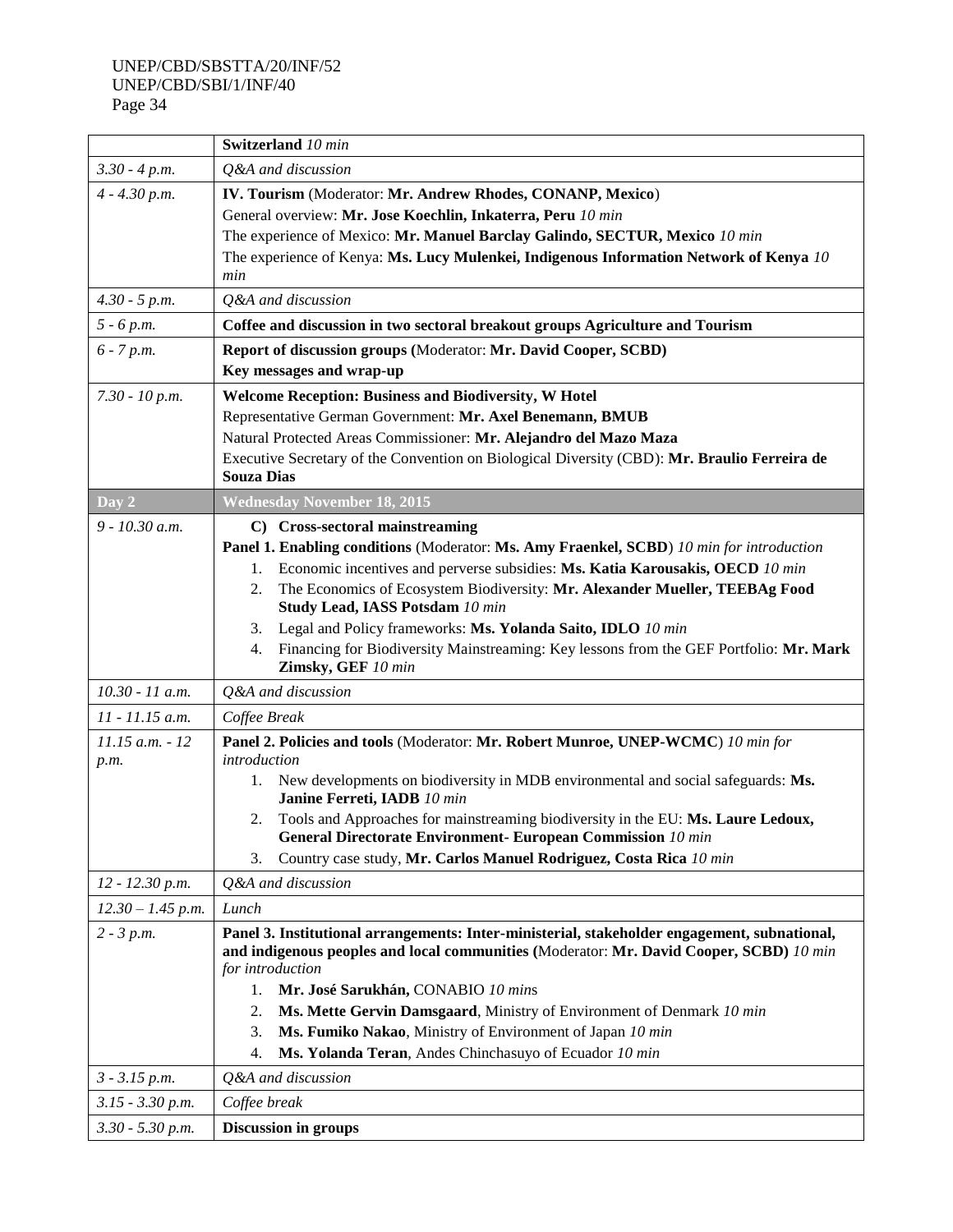|                     | <b>Switzerland</b> 10 min                                                                                                                                                                                   |  |  |  |  |  |
|---------------------|-------------------------------------------------------------------------------------------------------------------------------------------------------------------------------------------------------------|--|--|--|--|--|
| $3.30 - 4 p.m.$     | Q&A and discussion                                                                                                                                                                                          |  |  |  |  |  |
| $4 - 4.30 p.m.$     | IV. Tourism (Moderator: Mr. Andrew Rhodes, CONANP, Mexico)                                                                                                                                                  |  |  |  |  |  |
|                     | General overview: Mr. Jose Koechlin, Inkaterra, Peru 10 min                                                                                                                                                 |  |  |  |  |  |
|                     | The experience of Mexico: Mr. Manuel Barclay Galindo, SECTUR, Mexico 10 min                                                                                                                                 |  |  |  |  |  |
|                     | The experience of Kenya: Ms. Lucy Mulenkei, Indigenous Information Network of Kenya 10                                                                                                                      |  |  |  |  |  |
|                     | min                                                                                                                                                                                                         |  |  |  |  |  |
| $4.30 - 5 p.m.$     | Q&A and discussion                                                                                                                                                                                          |  |  |  |  |  |
| $5 - 6 p.m.$        | Coffee and discussion in two sectoral breakout groups Agriculture and Tourism                                                                                                                               |  |  |  |  |  |
| $6 - 7 p.m.$        | Report of discussion groups (Moderator: Mr. David Cooper, SCBD)                                                                                                                                             |  |  |  |  |  |
|                     | Key messages and wrap-up                                                                                                                                                                                    |  |  |  |  |  |
| $7.30 - 10 p.m.$    | Welcome Reception: Business and Biodiversity, W Hotel                                                                                                                                                       |  |  |  |  |  |
|                     | Representative German Government: Mr. Axel Benemann, BMUB                                                                                                                                                   |  |  |  |  |  |
|                     | Natural Protected Areas Commissioner: Mr. Alejandro del Mazo Maza                                                                                                                                           |  |  |  |  |  |
|                     | Executive Secretary of the Convention on Biological Diversity (CBD): Mr. Braulio Ferreira de<br><b>Souza Dias</b>                                                                                           |  |  |  |  |  |
| Day 2               | <b>Wednesday November 18, 2015</b>                                                                                                                                                                          |  |  |  |  |  |
| $9 - 10.30$ a.m.    | C) Cross-sectoral mainstreaming                                                                                                                                                                             |  |  |  |  |  |
|                     | Panel 1. Enabling conditions (Moderator: Ms. Amy Fraenkel, SCBD) 10 min for introduction                                                                                                                    |  |  |  |  |  |
|                     | Economic incentives and perverse subsidies: Ms. Katia Karousakis, OECD 10 min<br>1.                                                                                                                         |  |  |  |  |  |
|                     | The Economics of Ecosystem Biodiversity: Mr. Alexander Mueller, TEEBAg Food<br>2.                                                                                                                           |  |  |  |  |  |
|                     | Study Lead, IASS Potsdam 10 min                                                                                                                                                                             |  |  |  |  |  |
|                     | Legal and Policy frameworks: Ms. Yolanda Saito, IDLO 10 min<br>3.                                                                                                                                           |  |  |  |  |  |
|                     | Financing for Biodiversity Mainstreaming: Key lessons from the GEF Portfolio: Mr. Mark<br>4.<br>Zimsky, GEF 10 min                                                                                          |  |  |  |  |  |
| 10.30 - 11 a.m.     | Q&A and discussion                                                                                                                                                                                          |  |  |  |  |  |
| $11 - 11.15$ a.m.   | Coffee Break                                                                                                                                                                                                |  |  |  |  |  |
| $11.15$ a.m. $-12$  | Panel 2. Policies and tools (Moderator: Mr. Robert Munroe, UNEP-WCMC) 10 min for                                                                                                                            |  |  |  |  |  |
| p.m.                | introduction                                                                                                                                                                                                |  |  |  |  |  |
|                     | New developments on biodiversity in MDB environmental and social safeguards: Ms.<br>1.<br>Janine Ferreti, IADB 10 min                                                                                       |  |  |  |  |  |
|                     | Tools and Approaches for mainstreaming biodiversity in the EU: Ms. Laure Ledoux,<br>2.<br>General Directorate Environment- European Commission 10 min                                                       |  |  |  |  |  |
|                     | Country case study, Mr. Carlos Manuel Rodriguez, Costa Rica 10 min<br>3.                                                                                                                                    |  |  |  |  |  |
| $12 - 12.30 p.m.$   | Q&A and discussion                                                                                                                                                                                          |  |  |  |  |  |
| $12.30 - 1.45$ p.m. | Lunch                                                                                                                                                                                                       |  |  |  |  |  |
| $2 - 3 p.m.$        | Panel 3. Institutional arrangements: Inter-ministerial, stakeholder engagement, subnational,<br>and indigenous peoples and local communities (Moderator: Mr. David Cooper, SCBD) 10 min<br>for introduction |  |  |  |  |  |
|                     | Mr. José Sarukhán, CONABIO 10 mins<br>1.                                                                                                                                                                    |  |  |  |  |  |
|                     | Ms. Mette Gervin Damsgaard, Ministry of Environment of Denmark 10 min<br>2.                                                                                                                                 |  |  |  |  |  |
|                     | Ms. Fumiko Nakao, Ministry of Environment of Japan 10 min<br>3.                                                                                                                                             |  |  |  |  |  |
|                     | Ms. Yolanda Teran, Andes Chinchasuyo of Ecuador 10 min<br>4.                                                                                                                                                |  |  |  |  |  |
| $3 - 3.15 p.m.$     | Q&A and discussion                                                                                                                                                                                          |  |  |  |  |  |
| $3.15 - 3.30 p.m.$  | Coffee break                                                                                                                                                                                                |  |  |  |  |  |
| $3.30 - 5.30 p.m.$  | <b>Discussion in groups</b>                                                                                                                                                                                 |  |  |  |  |  |